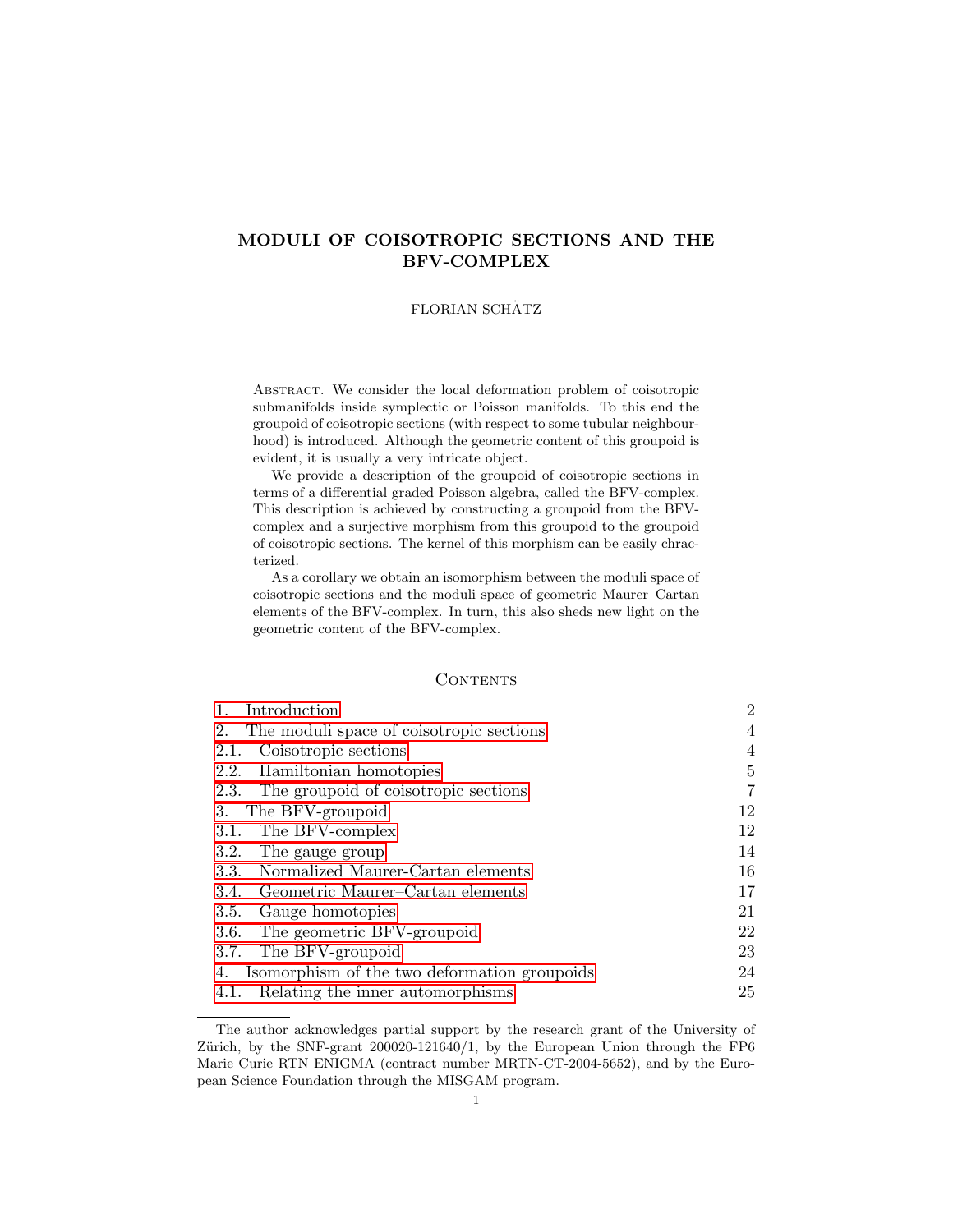# MODULI OF COISOTROPIC SECTIONS AND THE BFV-COMPLEX

### FLORIAN SCHÄTZ

Abstract. We consider the local deformation problem of coisotropic submanifolds inside symplectic or Poisson manifolds. To this end the groupoid of coisotropic sections (with respect to some tubular neighbourhood) is introduced. Although the geometric content of this groupoid is evident, it is usually a very intricate object.

We provide a description of the groupoid of coisotropic sections in terms of a differential graded Poisson algebra, called the BFV-complex. This description is achieved by constructing a groupoid from the BFVcomplex and a surjective morphism from this groupoid to the groupoid of coisotropic sections. The kernel of this morphism can be easily chracterized.

As a corollary we obtain an isomorphism between the moduli space of coisotropic sections and the moduli space of geometric Maurer–Cartan elements of the BFV-complex. In turn, this also sheds new light on the geometric content of the BFV-complex.

#### **CONTENTS**

| Introduction<br>1.                                 | $\overline{2}$ |
|----------------------------------------------------|----------------|
| 2.<br>The moduli space of coisotropic sections     | 4              |
| 2.1. Coisotropic sections                          | 4              |
| 2.2. Hamiltonian homotopies                        | 5              |
| 2.3. The groupoid of coisotropic sections          | 7              |
| The BFV-groupoid<br>3.                             | 12             |
| The BFV-complex<br>3.1.                            | 12             |
| 3.2. The gauge group                               | 14             |
| Normalized Maurer-Cartan elements<br>3.3.          | 16             |
| 3.4. Geometric Maurer-Cartan elements              | 17             |
| Gauge homotopies<br>3.5.                           | 21             |
| 3.6. The geometric BFV-groupoid                    | 22             |
| 3.7. The BFV-groupoid                              | 23             |
| Isomorphism of the two deformation groupoids<br>4. | 24             |
| 4.1. Relating the inner automorphisms              | 25             |

The author acknowledges partial support by the research grant of the University of Zürich, by the SNF-grant  $200020-121640/1$ , by the European Union through the FP6 Marie Curie RTN ENIGMA (contract number MRTN-CT-2004-5652), and by the European Science Foundation through the MISGAM program.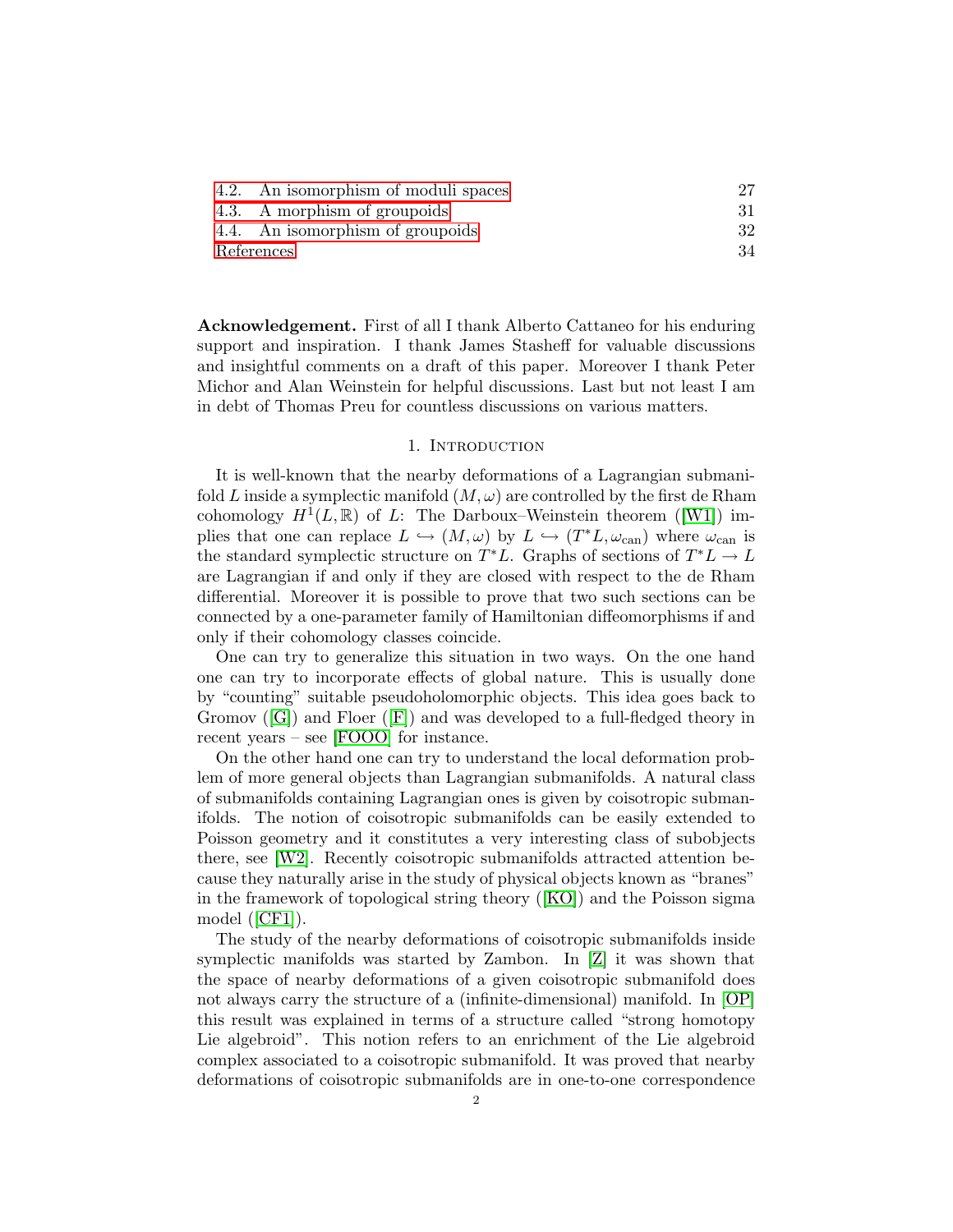| 4.2. An isomorphism of moduli spaces |    |
|--------------------------------------|----|
| 4.3. A morphism of groupoids         |    |
| 4.4. An isomorphism of groupoids     | 32 |
| References                           | 34 |

Acknowledgement. First of all I thank Alberto Cattaneo for his enduring support and inspiration. I thank James Stasheff for valuable discussions and insightful comments on a draft of this paper. Moreover I thank Peter Michor and Alan Weinstein for helpful discussions. Last but not least I am in debt of Thomas Preu for countless discussions on various matters.

#### 1. Introduction

<span id="page-1-0"></span>It is well-known that the nearby deformations of a Lagrangian submanifold L inside a symplectic manifold  $(M, \omega)$  are controlled by the first de Rham cohomology $H^1(L, \mathbb{R})$  of L: The Darboux–Weinstein theorem ([\[W1\]](#page-33-1)) implies that one can replace  $L \hookrightarrow (M, \omega)$  by  $L \hookrightarrow (T^*L, \omega_{can})$  where  $\omega_{can}$  is the standard symplectic structure on  $T^*L$ . Graphs of sections of  $T^*L \to L$ are Lagrangian if and only if they are closed with respect to the de Rham differential. Moreover it is possible to prove that two such sections can be connected by a one-parameter family of Hamiltonian diffeomorphisms if and only if their cohomology classes coincide.

One can try to generalize this situation in two ways. On the one hand one can try to incorporate effects of global nature. This is usually done by "counting" suitable pseudoholomorphic objects. This idea goes back to Gromov([\[G\]](#page-33-2)) and Floer([\[F\]](#page-33-3)) and was developed to a full-fledged theory in recent years – see [\[FOOO\]](#page-33-4) for instance.

On the other hand one can try to understand the local deformation problem of more general objects than Lagrangian submanifolds. A natural class of submanifolds containing Lagrangian ones is given by coisotropic submanifolds. The notion of coisotropic submanifolds can be easily extended to Poisson geometry and it constitutes a very interesting class of subobjects there, see [\[W2\]](#page-33-5). Recently coisotropic submanifolds attracted attention because they naturally arise in the study of physical objects known as "branes" in the framework of topological string theory([\[KO\]](#page-33-6)) and the Poisson sigma model([\[CF1\]](#page-33-7)).

The study of the nearby deformations of coisotropic submanifolds inside symplectic manifolds was started by Zambon. In [\[Z\]](#page-33-8) it was shown that the space of nearby deformations of a given coisotropic submanifold does not always carry the structure of a (infinite-dimensional) manifold. In [\[OP\]](#page-33-9) this result was explained in terms of a structure called "strong homotopy Lie algebroid". This notion refers to an enrichment of the Lie algebroid complex associated to a coisotropic submanifold. It was proved that nearby deformations of coisotropic submanifolds are in one-to-one correspondence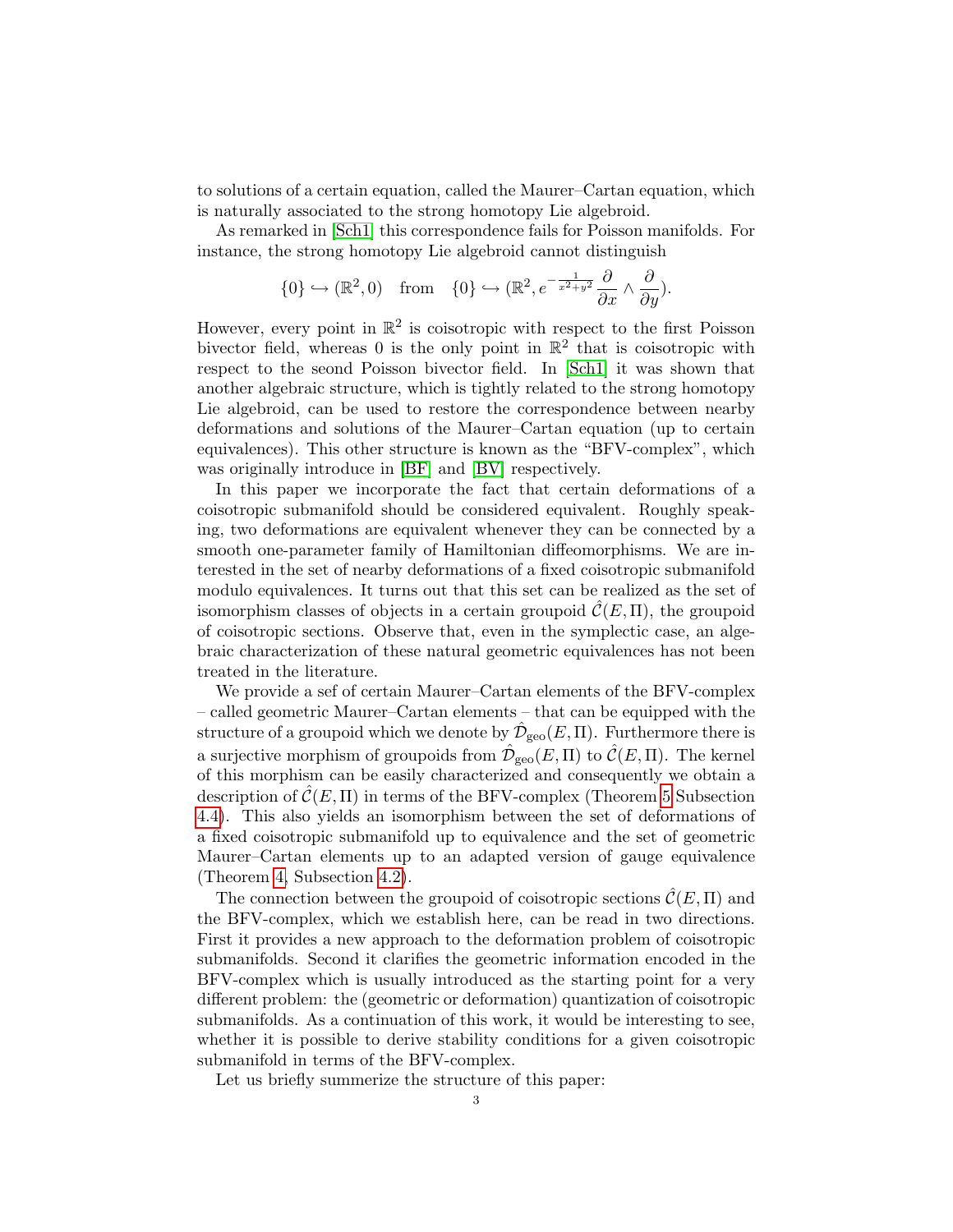to solutions of a certain equation, called the Maurer–Cartan equation, which is naturally associated to the strong homotopy Lie algebroid.

As remarked in [\[Sch1\]](#page-33-10) this correspondence fails for Poisson manifolds. For instance, the strong homotopy Lie algebroid cannot distinguish

$$
\{0\} \hookrightarrow (\mathbb{R}^2, 0) \quad \text{from} \quad \{0\} \hookrightarrow (\mathbb{R}^2, e^{-\frac{1}{x^2+y^2}} \frac{\partial}{\partial x} \wedge \frac{\partial}{\partial y}).
$$

However, every point in  $\mathbb{R}^2$  is coisotropic with respect to the first Poisson bivector field, whereas 0 is the only point in  $\mathbb{R}^2$  that is coisotropic with respect to the seond Poisson bivector field. In [\[Sch1\]](#page-33-10) it was shown that another algebraic structure, which is tightly related to the strong homotopy Lie algebroid, can be used to restore the correspondence between nearby deformations and solutions of the Maurer–Cartan equation (up to certain equivalences). This other structure is known as the "BFV-complex", which was originally introduce in [\[BF\]](#page-33-0) and [\[BV\]](#page-33-11) respectively.

In this paper we incorporate the fact that certain deformations of a coisotropic submanifold should be considered equivalent. Roughly speaking, two deformations are equivalent whenever they can be connected by a smooth one-parameter family of Hamiltonian diffeomorphisms. We are interested in the set of nearby deformations of a fixed coisotropic submanifold modulo equivalences. It turns out that this set can be realized as the set of isomorphism classes of objects in a certain groupoid  $\mathcal{C}(E,\Pi)$ , the groupoid of coisotropic sections. Observe that, even in the symplectic case, an algebraic characterization of these natural geometric equivalences has not been treated in the literature.

We provide a sef of certain Maurer–Cartan elements of the BFV-complex – called geometric Maurer–Cartan elements – that can be equipped with the structure of a groupoid which we denote by  $\hat{\mathcal{D}}_{\text{geo}}(E,\Pi)$ . Furthermore there is a surjective morphism of groupoids from  $\hat{\mathcal{D}}_{\text{geo}}(E,\Pi)$  to  $\hat{\mathcal{C}}(E,\Pi)$ . The kernel of this morphism can be easily characterized and consequently we obtain a description of  $\mathcal{C}(E,\Pi)$  in terms of the BFV-complex (Theorem [5](#page-32-0) Subsection [4.4\)](#page-31-0). This also yields an isomorphism between the set of deformations of a fixed coisotropic submanifold up to equivalence and the set of geometric Maurer–Cartan elements up to an adapted version of gauge equivalence (Theorem [4,](#page-27-0) Subsection [4.2\)](#page-26-0).

The connection between the groupoid of coisotropic sections  $\hat{\mathcal{C}}(E,\Pi)$  and the BFV-complex, which we establish here, can be read in two directions. First it provides a new approach to the deformation problem of coisotropic submanifolds. Second it clarifies the geometric information encoded in the BFV-complex which is usually introduced as the starting point for a very different problem: the (geometric or deformation) quantization of coisotropic submanifolds. As a continuation of this work, it would be interesting to see, whether it is possible to derive stability conditions for a given coisotropic submanifold in terms of the BFV-complex.

Let us briefly summerize the structure of this paper: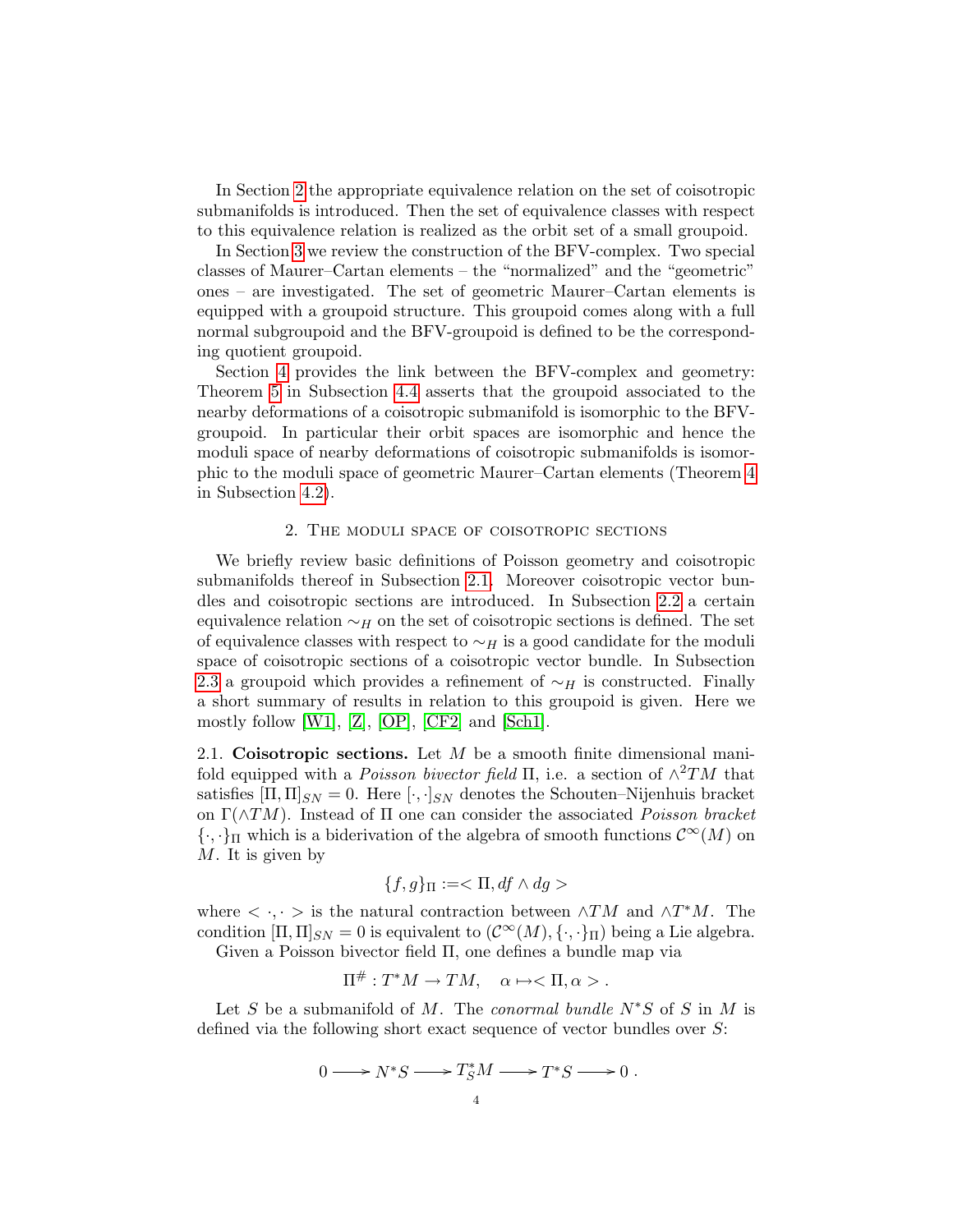In Section [2](#page-3-0) the appropriate equivalence relation on the set of coisotropic submanifolds is introduced. Then the set of equivalence classes with respect to this equivalence relation is realized as the orbit set of a small groupoid.

In Section [3](#page-11-0) we review the construction of the BFV-complex. Two special classes of Maurer–Cartan elements – the "normalized" and the "geometric" ones – are investigated. The set of geometric Maurer–Cartan elements is equipped with a groupoid structure. This groupoid comes along with a full normal subgroupoid and the BFV-groupoid is defined to be the corresponding quotient groupoid.

Section [4](#page-23-0) provides the link between the BFV-complex and geometry: Theorem [5](#page-32-0) in Subsection [4.4](#page-31-0) asserts that the groupoid associated to the nearby deformations of a coisotropic submanifold is isomorphic to the BFVgroupoid. In particular their orbit spaces are isomorphic and hence the moduli space of nearby deformations of coisotropic submanifolds is isomorphic to the moduli space of geometric Maurer–Cartan elements (Theorem [4](#page-27-0) in Subsection [4.2\)](#page-26-0).

### 2. The moduli space of coisotropic sections

<span id="page-3-0"></span>We briefly review basic definitions of Poisson geometry and coisotropic submanifolds thereof in Subsection [2.1.](#page-3-1) Moreover coisotropic vector bundles and coisotropic sections are introduced. In Subsection [2.2](#page-4-0) a certain equivalence relation  $\sim_H$  on the set of coisotropic sections is defined. The set of equivalence classes with respect to  $\sim_H$  is a good candidate for the moduli space of coisotropic sections of a coisotropic vector bundle. In Subsection [2.3](#page-6-0) a groupoid which provides a refinement of  $\sim_H$  is constructed. Finally a short summary of results in relation to this groupoid is given. Here we mostly follow [\[W1\]](#page-33-1),  $[Z]$ ,  $[OP]$ ,  $[CF2]$  and  $[Sch1]$ .

<span id="page-3-1"></span>2.1. Coisotropic sections. Let  $M$  be a smooth finite dimensional manifold equipped with a *Poisson bivector field*  $\Pi$ , i.e. a section of  $\wedge^2 TM$  that satisfies  $[\Pi, \Pi]_{SN} = 0$ . Here  $[\cdot, \cdot]_{SN}$  denotes the Schouten–Nijenhuis bracket on  $\Gamma(\wedge TM)$ . Instead of  $\Pi$  one can consider the associated *Poisson bracket*  ${\{\cdot,\cdot\}}_\Pi$  which is a biderivation of the algebra of smooth functions  $\mathcal{C}^\infty(M)$  on M. It is given by

$$
\{f,g\}_{\Pi}:=<\Pi, df\wedge dg>
$$

where  $\langle \cdot, \cdot \rangle$  is the natural contraction between  $\wedge TM$  and  $\wedge T^*M$ . The condition  $[\Pi,\Pi]_{SN} = 0$  is equivalent to  $(\mathcal{C}^{\infty}(M),\{\cdot,\cdot\}_{\Pi})$  being a Lie algebra.

Given a Poisson bivector field Π, one defines a bundle map via

$$
\Pi^{\#}: T^*M \to TM, \quad \alpha \mapsto \langle \Pi, \alpha \rangle.
$$

Let S be a submanifold of M. The conormal bundle  $N^*S$  of S in M is defined via the following short exact sequence of vector bundles over S:

$$
0 \longrightarrow N^*S \longrightarrow T^*_SM \longrightarrow T^*S \longrightarrow 0.
$$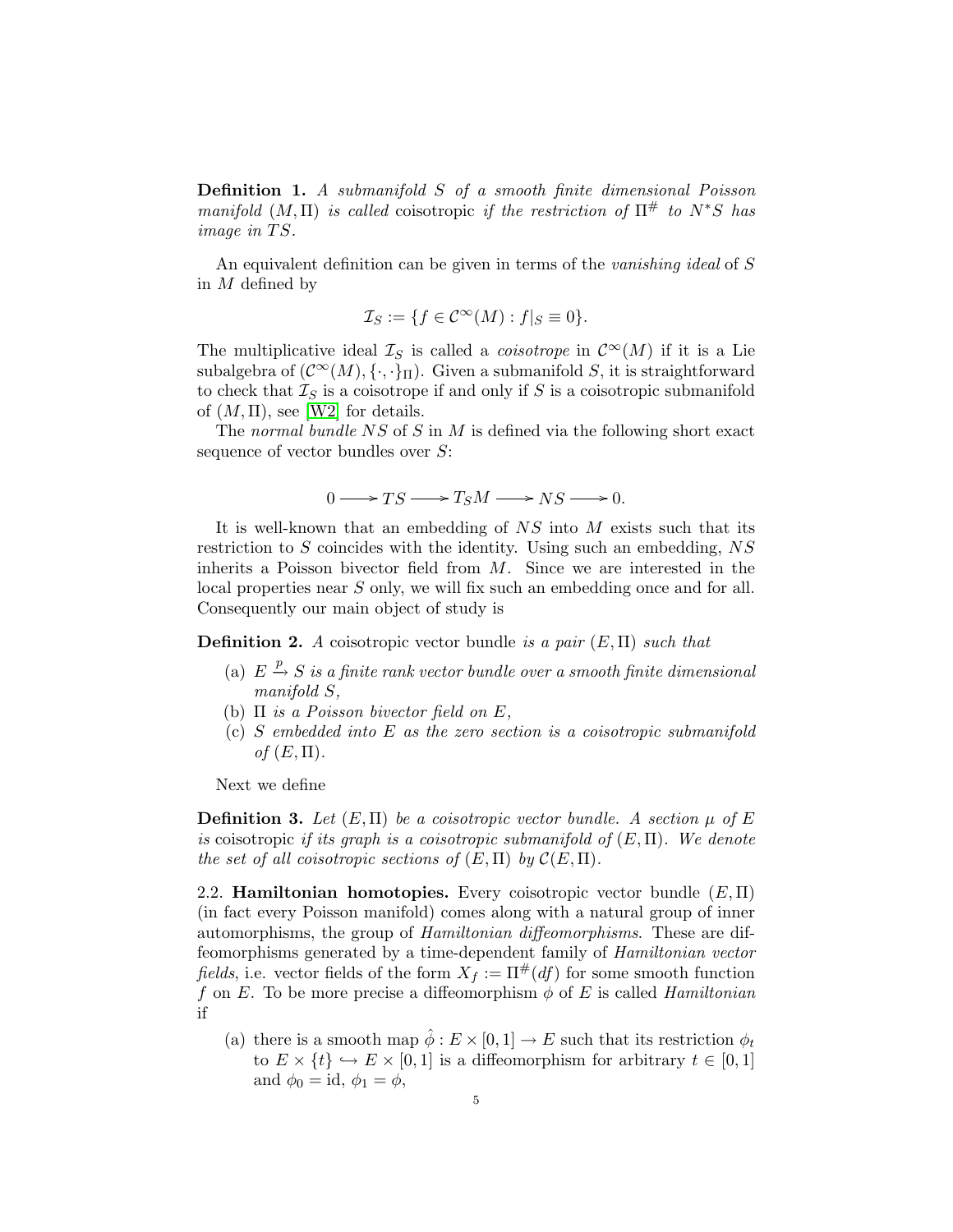Definition 1. A submanifold S of a smooth finite dimensional Poisson manifold  $(M, \Pi)$  is called coisotropic if the restriction of  $\Pi^{\#}$  to  $N^*S$  has image in  $TS$ .

An equivalent definition can be given in terms of the vanishing ideal of S in M defined by

$$
\mathcal{I}_S := \{ f \in \mathcal{C}^\infty(M) : f|_S \equiv 0 \}.
$$

The multiplicative ideal  $\mathcal{I}_S$  is called a *coisotrope* in  $\mathcal{C}^{\infty}(M)$  if it is a Lie subalgebra of  $(C^{\infty}(M), \{\cdot,\cdot\}_{\Pi})$ . Given a submanifold S, it is straightforward to check that  $\mathcal{I}_S$  is a coisotrope if and only if S is a coisotropic submanifold of  $(M, \Pi)$ , see [\[W2\]](#page-33-5) for details.

The normal bundle  $NS$  of S in M is defined via the following short exact sequence of vector bundles over  $S$ :

$$
0 \longrightarrow TS \longrightarrow T_S M \longrightarrow NS \longrightarrow 0.
$$

It is well-known that an embedding of NS into M exists such that its restriction to  $S$  coincides with the identity. Using such an embedding,  $NS$ inherits a Poisson bivector field from M. Since we are interested in the local properties near S only, we will fix such an embedding once and for all. Consequently our main object of study is

**Definition 2.** A coisotropic vector bundle is a pair  $(E, \Pi)$  such that

- (a)  $E \stackrel{p}{\rightarrow} S$  is a finite rank vector bundle over a smooth finite dimensional manifold S,
- (b)  $\Pi$  is a Poisson bivector field on E,
- (c) S embedded into E as the zero section is a coisotropic submanifold of  $(E,\Pi)$ .

<span id="page-4-1"></span>Next we define

**Definition 3.** Let  $(E, \Pi)$  be a coisotropic vector bundle. A section  $\mu$  of E is coisotropic if its graph is a coisotropic submanifold of  $(E, \Pi)$ . We denote the set of all coisotropic sections of  $(E,\Pi)$  by  $\mathcal{C}(E,\Pi)$ .

<span id="page-4-0"></span>2.2. **Hamiltonian homotopies.** Every coisotropic vector bundle  $(E, \Pi)$ (in fact every Poisson manifold) comes along with a natural group of inner automorphisms, the group of Hamiltonian diffeomorphisms. These are diffeomorphisms generated by a time-dependent family of Hamiltonian vector fields, i.e. vector fields of the form  $X_f := \Pi^{\#}(df)$  for some smooth function f on E. To be more precise a diffeomorphism  $\phi$  of E is called *Hamiltonian* if

(a) there is a smooth map  $\hat{\phi}: E \times [0,1] \to E$  such that its restriction  $\phi_t$ to  $E \times \{t\} \hookrightarrow E \times [0,1]$  is a diffeomorphism for arbitrary  $t \in [0,1]$ and  $\phi_0 = \text{id}, \phi_1 = \phi$ ,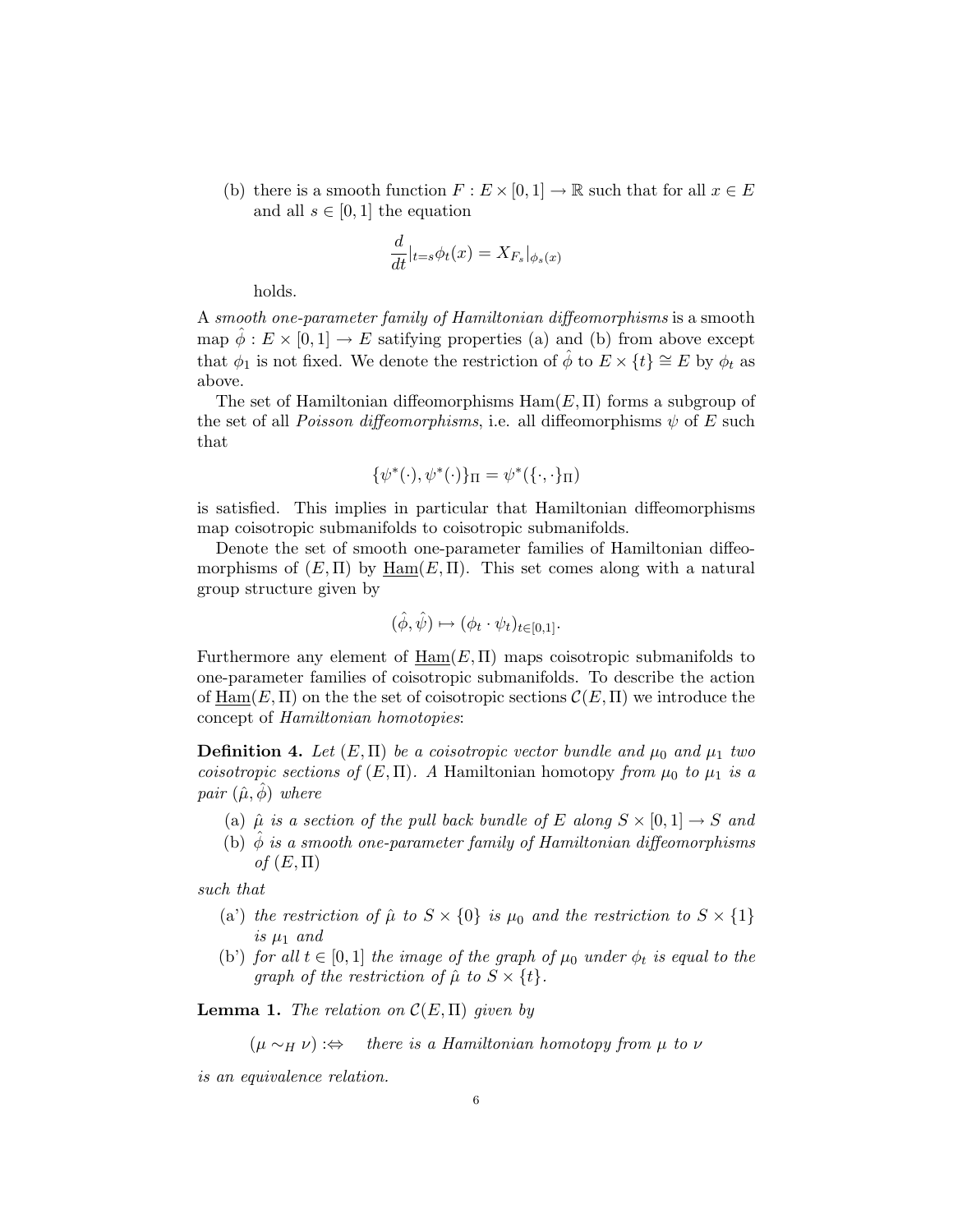(b) there is a smooth function  $F : E \times [0, 1] \to \mathbb{R}$  such that for all  $x \in E$ and all  $s \in [0, 1]$  the equation

$$
\frac{d}{dt}|_{t=s}\phi_t(x) = X_{F_s}|_{\phi_s(x)}
$$

holds.

A smooth one-parameter family of Hamiltonian diffeomorphisms is a smooth map  $\phi : E \times [0,1] \to E$  satifying properties (a) and (b) from above except that  $\phi_1$  is not fixed. We denote the restriction of  $\hat{\phi}$  to  $E \times \{t\} \cong E$  by  $\phi_t$  as above.

The set of Hamiltonian diffeomorphisms  $\text{Ham}(E, \Pi)$  forms a subgroup of the set of all *Poisson diffeomorphisms*, i.e. all diffeomorphisms  $\psi$  of E such that

$$
\{\psi^*(\cdot),\psi^*(\cdot)\}_\Pi=\psi^*(\{\cdot,\cdot\}_\Pi)
$$

is satisfied. This implies in particular that Hamiltonian diffeomorphisms map coisotropic submanifolds to coisotropic submanifolds.

Denote the set of smooth one-parameter families of Hamiltonian diffeomorphisms of  $(E, \Pi)$  by  $\text{Ham}(E, \Pi)$ . This set comes along with a natural group structure given by

$$
(\hat{\phi}, \hat{\psi}) \mapsto (\phi_t \cdot \psi_t)_{t \in [0,1]}.
$$

Furthermore any element of  $\text{Ham}(E,\Pi)$  maps coisotropic submanifolds to one-parameter families of coisotropic submanifolds. To describe the action of Ham(E,  $\Pi$ ) on the the set of coisotropic sections  $\mathcal{C}(E, \Pi)$  we introduce the concept of Hamiltonian homotopies:

**Definition 4.** Let  $(E, \Pi)$  be a coisotropic vector bundle and  $\mu_0$  and  $\mu_1$  two coisotropic sections of  $(E, \Pi)$ . A Hamiltonian homotopy from  $\mu_0$  to  $\mu_1$  is a pair  $(\hat{\mu}, \phi)$  where

- (a)  $\hat{\mu}$  is a section of the pull back bundle of E along  $S \times [0,1] \rightarrow S$  and
- (b)  $\phi$  is a smooth one-parameter family of Hamiltonian diffeomorphisms of  $(E,\Pi)$

such that

- (a) the restriction of  $\hat{\mu}$  to  $S \times \{0\}$  is  $\mu_0$  and the restriction to  $S \times \{1\}$ is  $\mu_1$  and
- (b') for all  $t \in [0,1]$  the image of the graph of  $\mu_0$  under  $\phi_t$  is equal to the graph of the restriction of  $\hat{\mu}$  to  $S \times \{t\}$ .

<span id="page-5-0"></span>**Lemma 1.** The relation on  $\mathcal{C}(E,\Pi)$  given by

 $(\mu \sim_H \nu)$  :⇔ there is a Hamiltonian homotopy from  $\mu$  to  $\nu$ 

is an equivalence relation.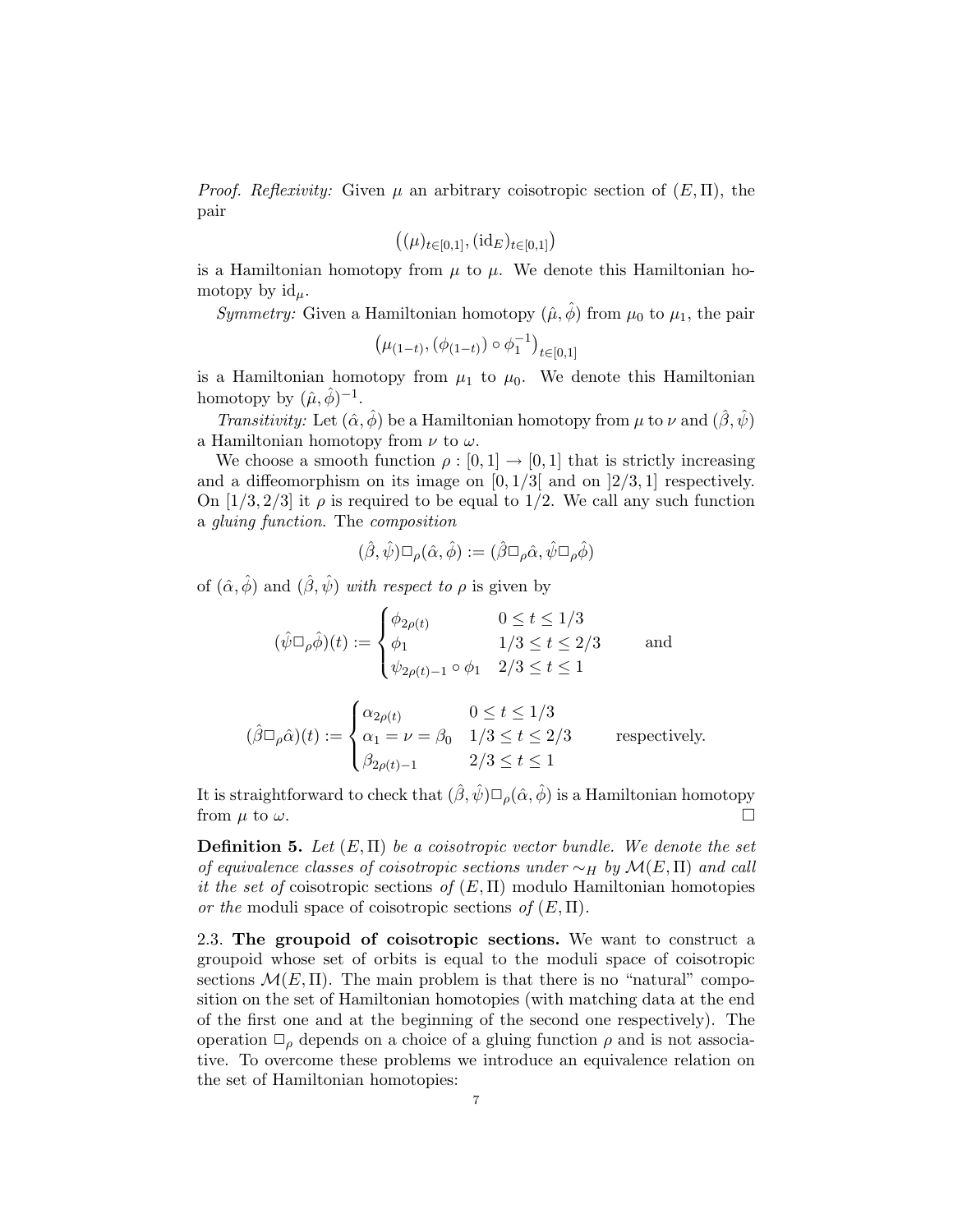*Proof. Reflexivity:* Given  $\mu$  an arbitrary coisotropic section of  $(E,\Pi)$ , the pair

$$
((\mu)_{t\in[0,1]},(\mathrm{id}_E)_{t\in[0,1]})
$$

is a Hamiltonian homotopy from  $\mu$  to  $\mu$ . We denote this Hamiltonian homotopy by  $\mathrm{id}_{\mu}$ .

*Symmetry:* Given a Hamiltonian homotopy  $(\hat{\mu}, \hat{\phi})$  from  $\mu_0$  to  $\mu_1$ , the pair

$$
(\mu_{(1-t)}, (\phi_{(1-t)}) \circ \phi_1^{-1})_{t \in [0,1]}
$$

is a Hamiltonian homotopy from  $\mu_1$  to  $\mu_0$ . We denote this Hamiltonian homotopy by  $(\hat{\mu}, \hat{\phi})^{-1}$ .

Transitivity: Let  $(\hat{\alpha}, \hat{\phi})$  be a Hamiltonian homotopy from  $\mu$  to  $\nu$  and  $(\hat{\beta}, \hat{\psi})$ a Hamiltonian homotopy from  $\nu$  to  $\omega$ .

We choose a smooth function  $\rho : [0,1] \to [0,1]$  that is strictly increasing and a diffeomorphism on its image on  $[0, 1/3]$  and on  $[2/3, 1]$  respectively. On  $[1/3, 2/3]$  it  $\rho$  is required to be equal to 1/2. We call any such function a gluing function. The composition

$$
(\hat{\beta}, \hat{\psi}) \Box_{\rho} (\hat{\alpha}, \hat{\phi}) := (\hat{\beta} \Box_{\rho} \hat{\alpha}, \hat{\psi} \Box_{\rho} \hat{\phi})
$$

of  $(\hat{\alpha}, \hat{\phi})$  and  $(\hat{\beta}, \hat{\psi})$  with respect to  $\rho$  is given by

$$
(\hat{\psi} \Box_{\rho} \hat{\phi})(t) := \begin{cases} \phi_{2\rho(t)} & 0 \le t \le 1/3 \\ \phi_1 & 1/3 \le t \le 2/3 \\ \psi_{2\rho(t)-1} \circ \phi_1 & 2/3 \le t \le 1 \end{cases}
$$
 and

$$
(\hat{\beta}\Box_{\rho}\hat{\alpha})(t) := \begin{cases} \alpha_{2\rho(t)} & 0 \le t \le 1/3 \\ \alpha_1 = \nu = \beta_0 & 1/3 \le t \le 2/3 \\ \beta_{2\rho(t)-1} & 2/3 \le t \le 1 \end{cases}
$$
 respectively.

It is straightforward to check that  $(\hat{\beta}, \hat{\psi}) \square_{\rho} (\hat{\alpha}, \hat{\phi})$  is a Hamiltonian homotopy from  $\mu$  to  $\omega$ .

**Definition 5.** Let  $(E, \Pi)$  be a coisotropic vector bundle. We denote the set of equivalence classes of coisotropic sections under  $\sim_H$  by  $\mathcal{M}(E,\Pi)$  and call it the set of coisotropic sections of  $(E,\Pi)$  modulo Hamiltonian homotopies or the moduli space of coisotropic sections of  $(E, \Pi)$ .

<span id="page-6-0"></span>2.3. The groupoid of coisotropic sections. We want to construct a groupoid whose set of orbits is equal to the moduli space of coisotropic sections  $\mathcal{M}(E,\Pi)$ . The main problem is that there is no "natural" composition on the set of Hamiltonian homotopies (with matching data at the end of the first one and at the beginning of the second one respectively). The operation  $\Box_{\rho}$  depends on a choice of a gluing function  $\rho$  and is not associative. To overcome these problems we introduce an equivalence relation on the set of Hamiltonian homotopies: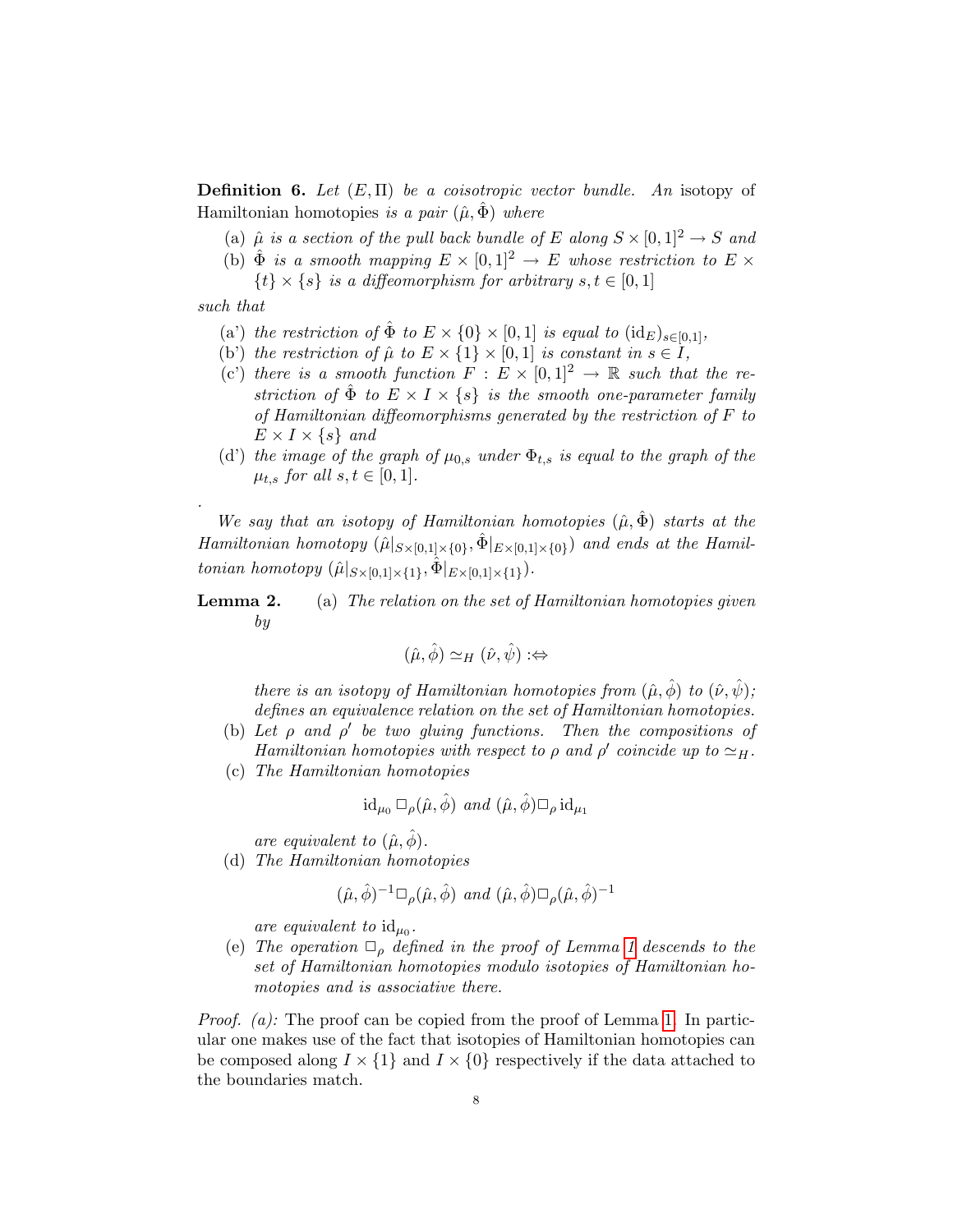**Definition 6.** Let  $(E, \Pi)$  be a coisotropic vector bundle. An isotopy of Hamiltonian homotopies is a pair  $(\hat{\mu}, \Phi)$  where

- (a)  $\hat{\mu}$  is a section of the pull back bundle of E along  $S \times [0,1]^2 \rightarrow S$  and
- (b)  $\hat{\Phi}$  is a smooth mapping  $E \times [0,1]^2 \rightarrow E$  whose restriction to  $E \times$  $\{t\} \times \{s\}$  is a diffeomorphism for arbitrary  $s, t \in [0, 1]$

such that

.

- (a') the restriction of  $\hat{\Phi}$  to  $E \times \{0\} \times [0,1]$  is equal to  $(id_E)_{s \in [0,1]},$
- (b) the restriction of  $\hat{\mu}$  to  $E \times \{1\} \times [0,1]$  is constant in  $s \in I$ ,
- (c) there is a smooth function  $F : E \times [0,1]^2 \rightarrow \mathbb{R}$  such that the restriction of  $\hat{\Phi}$  to  $E \times I \times \{s\}$  is the smooth one-parameter family of Hamiltonian diffeomorphisms generated by the restriction of  $F$  to  $E \times I \times \{s\}$  and
- (d') the image of the graph of  $\mu_{0,s}$  under  $\Phi_{t,s}$  is equal to the graph of the  $\mu_{t,s}$  for all  $s,t \in [0,1]$ .

We say that an isotopy of Hamiltonian homotopies  $(\hat{\mu}, \hat{\Phi})$  starts at the Hamiltonian homotopy  $(\hat{\mu}|_{S\times[0,1]\times\{0\}},\hat{\Phi}|_{E\times[0,1]\times\{0\}})$  and ends at the Hamiltonian homotopy  $(\hat{\mu}|_{S\times[0,1]\times\{1\}}, \hat{\Phi}|_{E\times[0,1]\times\{1\}})$ .

<span id="page-7-0"></span>**Lemma 2.** (a) The relation on the set of Hamiltonian homotopies given by

$$
(\hat{\mu}, \hat{\phi}) \simeq_H (\hat{\nu}, \hat{\psi}) : \Leftrightarrow
$$

there is an isotopy of Hamiltonian homotopies from  $(\hat{\mu}, \hat{\phi})$  to  $(\hat{\nu}, \hat{\psi})$ ; defines an equivalence relation on the set of Hamiltonian homotopies.

- (b) Let  $\rho$  and  $\rho'$  be two gluing functions. Then the compositions of Hamiltonian homotopies with respect to  $\rho$  and  $\rho'$  coincide up to  $\simeq_H$ .
- (c) The Hamiltonian homotopies

$$
\mathrm{id}_{\mu_0}\,\Box_\rho(\hat\mu,\hat\phi)\ \ and\ (\hat\mu,\hat\phi)\Box_\rho\,\mathrm{id}_{\mu_1}
$$

are equivalent to  $(\hat{\mu}, \hat{\phi})$ .

(d) The Hamiltonian homotopies

$$
(\hat{\mu}, \hat{\phi})^{-1} \Box_{\rho} (\hat{\mu}, \hat{\phi}) \text{ and } (\hat{\mu}, \hat{\phi}) \Box_{\rho} (\hat{\mu}, \hat{\phi})^{-1}
$$

are equivalent to  $id_{\mu_0}$ .

(e) The operation  $\Box_{\rho}$  defined in the proof of Lemma [1](#page-5-0) descends to the set of Hamiltonian homotopies modulo isotopies of Hamiltonian homotopies and is associative there.

*Proof.* (a): The proof can be copied from the proof of Lemma [1.](#page-5-0) In particular one makes use of the fact that isotopies of Hamiltonian homotopies can be composed along  $I \times \{1\}$  and  $I \times \{0\}$  respectively if the data attached to the boundaries match.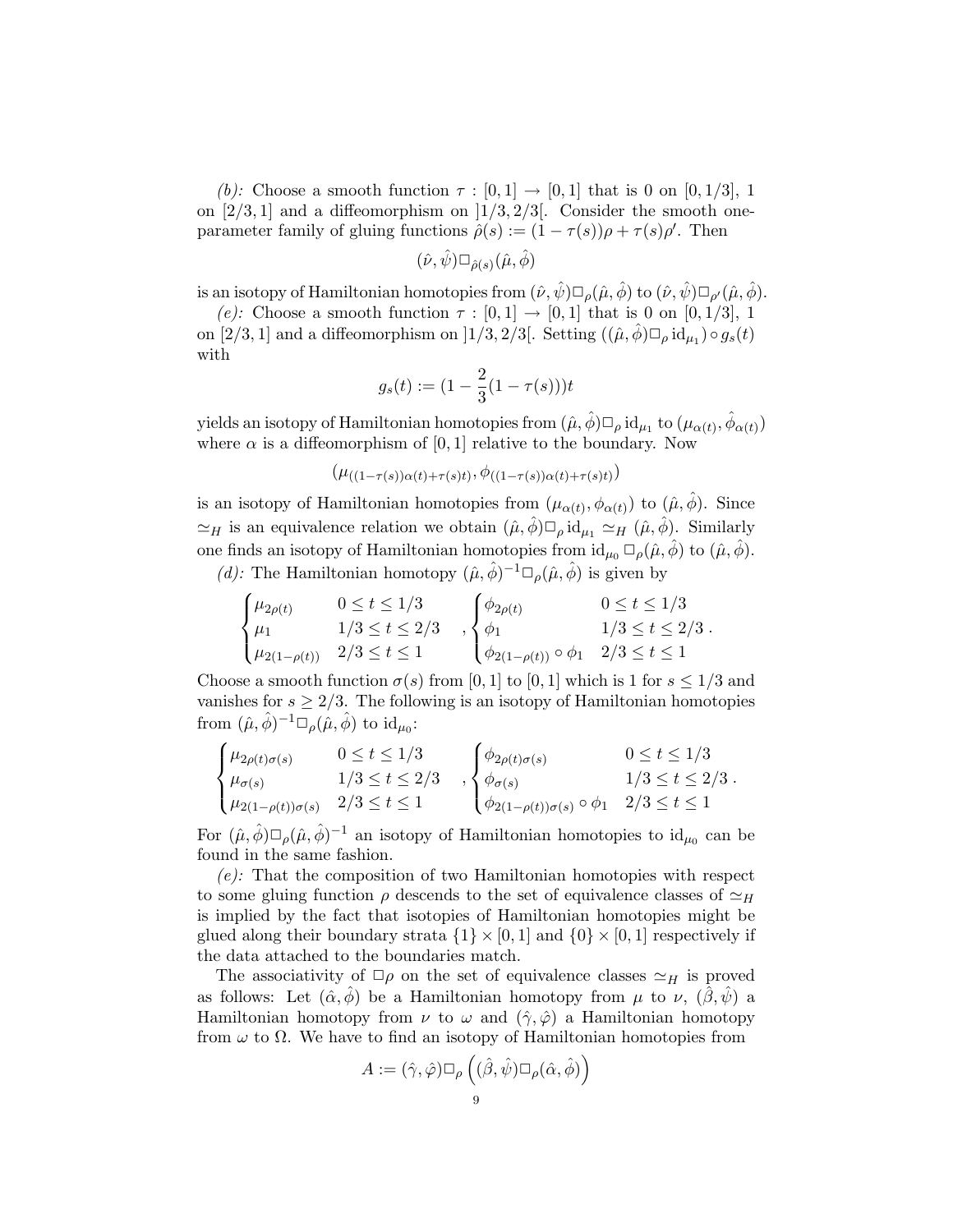(b): Choose a smooth function  $\tau : [0,1] \rightarrow [0,1]$  that is 0 on  $[0,1/3]$ , 1 on  $[2/3, 1]$  and a diffeomorphism on  $[1/3, 2/3]$ . Consider the smooth oneparameter family of gluing functions  $\hat{\rho}(s) := (1 - \tau(s))\rho + \tau(s)\rho'$ . Then

$$
(\hat{\nu},\hat{\psi})\Box_{\hat{\rho}(s)}(\hat{\mu},\hat{\phi})
$$

is an isotopy of Hamiltonian homotopies from  $(\hat{\nu}, \hat{\psi}) \Box_{\rho} (\hat{\mu}, \hat{\phi})$  to  $(\hat{\nu}, \hat{\psi}) \Box_{\rho'} (\hat{\mu}, \hat{\phi})$ .

(e): Choose a smooth function  $\tau : [0,1] \rightarrow [0,1]$  that is 0 on  $[0,1/3]$ , 1 on [2/3, 1] and a diffeomorphism on [1/3, 2/3]. Setting  $((\hat{\mu}, \hat{\phi}) \Box_{\rho} id_{\mu_1}) \circ g_s(t)$ with

$$
g_s(t) := (1 - \frac{2}{3}(1 - \tau(s)))t
$$

yields an isotopy of Hamiltonian homotopies from  $(\hat\mu,\hat\phi)\Box_\rho\,\mathrm{id}_{\mu_1}$  to  $(\mu_{\alpha(t)},\hat\phi_{\alpha(t)})$ where  $\alpha$  is a diffeomorphism of [0, 1] relative to the boundary. Now

$$
(\mu_{((1-\tau(s))\alpha(t)+\tau(s)t)}, \phi_{((1-\tau(s))\alpha(t)+\tau(s)t)})
$$

is an isotopy of Hamiltonian homotopies from  $(\mu_{\alpha(t)}, \phi_{\alpha(t)})$  to  $(\hat{\mu}, \hat{\phi})$ . Since  $\simeq_H$  is an equivalence relation we obtain  $(\hat{\mu}, \hat{\phi}) \square_{\rho} id_{\mu_1} \simeq_H (\hat{\mu}, \hat{\phi})$ . Similarly one finds an isotopy of Hamiltonian homotopies from  $id_{\mu_0} \Box_{\rho}(\hat{\mu}, \hat{\phi})$  to  $(\hat{\mu}, \hat{\phi})$ .

(d): The Hamiltonian homotopy  $(\hat{\mu}, \hat{\phi})^{-1} \Box_{\rho} (\hat{\mu}, \hat{\phi})$  is given by

$$
\begin{cases}\n\mu_{2\rho(t)} & 0 \le t \le 1/3 \\
\mu_1 & 1/3 \le t \le 2/3 \\
\mu_{2(1-\rho(t))} & 2/3 \le t \le 1\n\end{cases}, \begin{cases}\n\phi_{2\rho(t)} & 0 \le t \le 1/3 \\
\phi_1 & 1/3 \le t \le 2/3 \\
\phi_{2(1-\rho(t))} \circ \phi_1 & 2/3 \le t \le 1\n\end{cases}.
$$

Choose a smooth function  $\sigma(s)$  from [0, 1] to [0, 1] which is 1 for  $s \leq 1/3$  and vanishes for  $s \geq 2/3$ . The following is an isotopy of Hamiltonian homotopies from  $(\hat{\mu}, \hat{\phi})^{-1} \Box_{\rho} (\hat{\mu}, \hat{\phi})$  to  $\mathrm{id}_{\mu_0}$ :

$$
\begin{cases}\n\mu_{2\rho(t)\sigma(s)} & 0 \le t \le 1/3 \\
\mu_{\sigma(s)} & 1/3 \le t \le 2/3 \\
\mu_{2(1-\rho(t))\sigma(s)} & 2/3 \le t \le 1\n\end{cases}, \begin{cases}\n\phi_{2\rho(t)\sigma(s)} & 0 \le t \le 1/3 \\
\phi_{\sigma(s)} & 1/3 \le t \le 2/3 \\
\phi_{2(1-\rho(t))\sigma(s)} \circ \phi_1 & 2/3 \le t \le 1\n\end{cases}.
$$

For  $(\hat{\mu}, \hat{\phi}) \Box_{\rho} (\hat{\mu}, \hat{\phi})^{-1}$  an isotopy of Hamiltonian homotopies to  $\mathrm{id}_{\mu_0}$  can be found in the same fashion.

 $(e)$ : That the composition of two Hamiltonian homotopies with respect to some gluing function  $\rho$  descends to the set of equivalence classes of  $\simeq_H$ is implied by the fact that isotopies of Hamiltonian homotopies might be glued along their boundary strata  $\{1\} \times [0,1]$  and  $\{0\} \times [0,1]$  respectively if the data attached to the boundaries match.

The associativity of  $\Box \rho$  on the set of equivalence classes  $\simeq_H$  is proved as follows: Let  $(\hat{\alpha}, \hat{\phi})$  be a Hamiltonian homotopy from  $\mu$  to  $\nu$ ,  $(\hat{\beta}, \hat{\psi})$  a Hamiltonian homotopy from  $\nu$  to  $\omega$  and  $(\hat{\gamma}, \hat{\varphi})$  a Hamiltonian homotopy from  $\omega$  to  $\Omega$ . We have to find an isotopy of Hamiltonian homotopies from

$$
A:=(\hat{\gamma},\hat{\varphi})\Box_{\rho}\left((\hat{\beta},\hat{\psi})\Box_{\rho}(\hat{\alpha},\hat{\phi})\right)
$$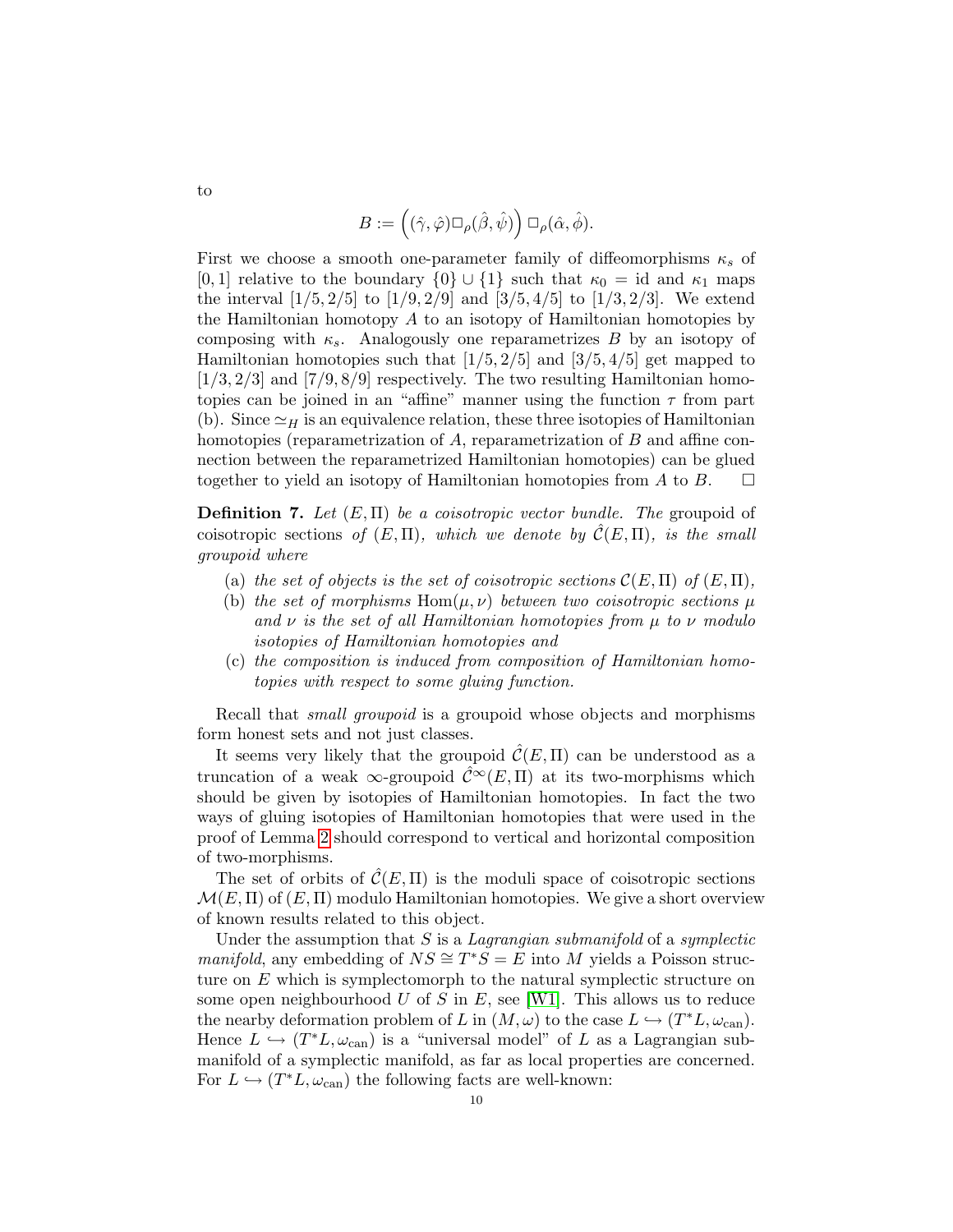$$
B:=\Big((\hat{\gamma},\hat{\varphi})\Box_\rho(\hat{\beta},\hat{\psi})\Big)\,\Box_\rho(\hat{\alpha},\hat{\phi}).
$$

First we choose a smooth one-parameter family of diffeomorphisms  $\kappa_s$  of [0, 1] relative to the boundary  $\{0\} \cup \{1\}$  such that  $\kappa_0 = id$  and  $\kappa_1$  maps the interval  $[1/5, 2/5]$  to  $[1/9, 2/9]$  and  $[3/5, 4/5]$  to  $[1/3, 2/3]$ . We extend the Hamiltonian homotopy A to an isotopy of Hamiltonian homotopies by composing with  $\kappa_s$ . Analogously one reparametrizes B by an isotopy of Hamiltonian homotopies such that  $[1/5, 2/5]$  and  $[3/5, 4/5]$  get mapped to  $[1/3, 2/3]$  and  $[7/9, 8/9]$  respectively. The two resulting Hamiltonian homotopies can be joined in an "affine" manner using the function  $\tau$  from part (b). Since  $\simeq_H$  is an equivalence relation, these three isotopies of Hamiltonian homotopies (reparametrization of A, reparametrization of B and affine connection between the reparametrized Hamiltonian homotopies) can be glued together to yield an isotopy of Hamiltonian homotopies from A to B.

<span id="page-9-0"></span>**Definition 7.** Let  $(E, \Pi)$  be a coisotropic vector bundle. The groupoid of coisotropic sections of  $(E,\Pi)$ , which we denote by  $\mathcal{C}(E,\Pi)$ , is the small groupoid where

- (a) the set of objects is the set of coisotropic sections  $\mathcal{C}(E,\Pi)$  of  $(E,\Pi)$ ,
- (b) the set of morphisms  $Hom(\mu, \nu)$  between two coisotropic sections  $\mu$ and  $\nu$  is the set of all Hamiltonian homotopies from  $\mu$  to  $\nu$  modulo isotopies of Hamiltonian homotopies and
- (c) the composition is induced from composition of Hamiltonian homotopies with respect to some gluing function.

Recall that *small groupoid* is a groupoid whose objects and morphisms form honest sets and not just classes.

It seems very likely that the groupoid  $\mathcal{C}(E,\Pi)$  can be understood as a truncation of a weak  $\infty$ -groupoid  $\hat{\mathcal{C}}^{\infty}(E,\Pi)$  at its two-morphisms which should be given by isotopies of Hamiltonian homotopies. In fact the two ways of gluing isotopies of Hamiltonian homotopies that were used in the proof of Lemma [2](#page-7-0) should correspond to vertical and horizontal composition of two-morphisms.

The set of orbits of  $\mathcal{C}(E,\Pi)$  is the moduli space of coisotropic sections  $\mathcal{M}(E,\Pi)$  of  $(E,\Pi)$  modulo Hamiltonian homotopies. We give a short overview of known results related to this object.

Under the assumption that  $S$  is a *Lagrangian submanifold* of a *symplectic manifold*, any embedding of  $NS \cong T^*S = E$  into M yields a Poisson structure on  $E$  which is symplectomorph to the natural symplectic structure on some open neighbourhood  $U$  of  $S$  in  $E$ , see [\[W1\]](#page-33-1). This allows us to reduce the nearby deformation problem of L in  $(M, \omega)$  to the case  $L \hookrightarrow (T^*L, \omega_{\text{can}})$ . Hence  $L \hookrightarrow (T^*L, \omega_{\text{can}})$  is a "universal model" of L as a Lagrangian submanifold of a symplectic manifold, as far as local properties are concerned. For  $L \hookrightarrow (T^*L, \omega_{\text{can}})$  the following facts are well-known:

to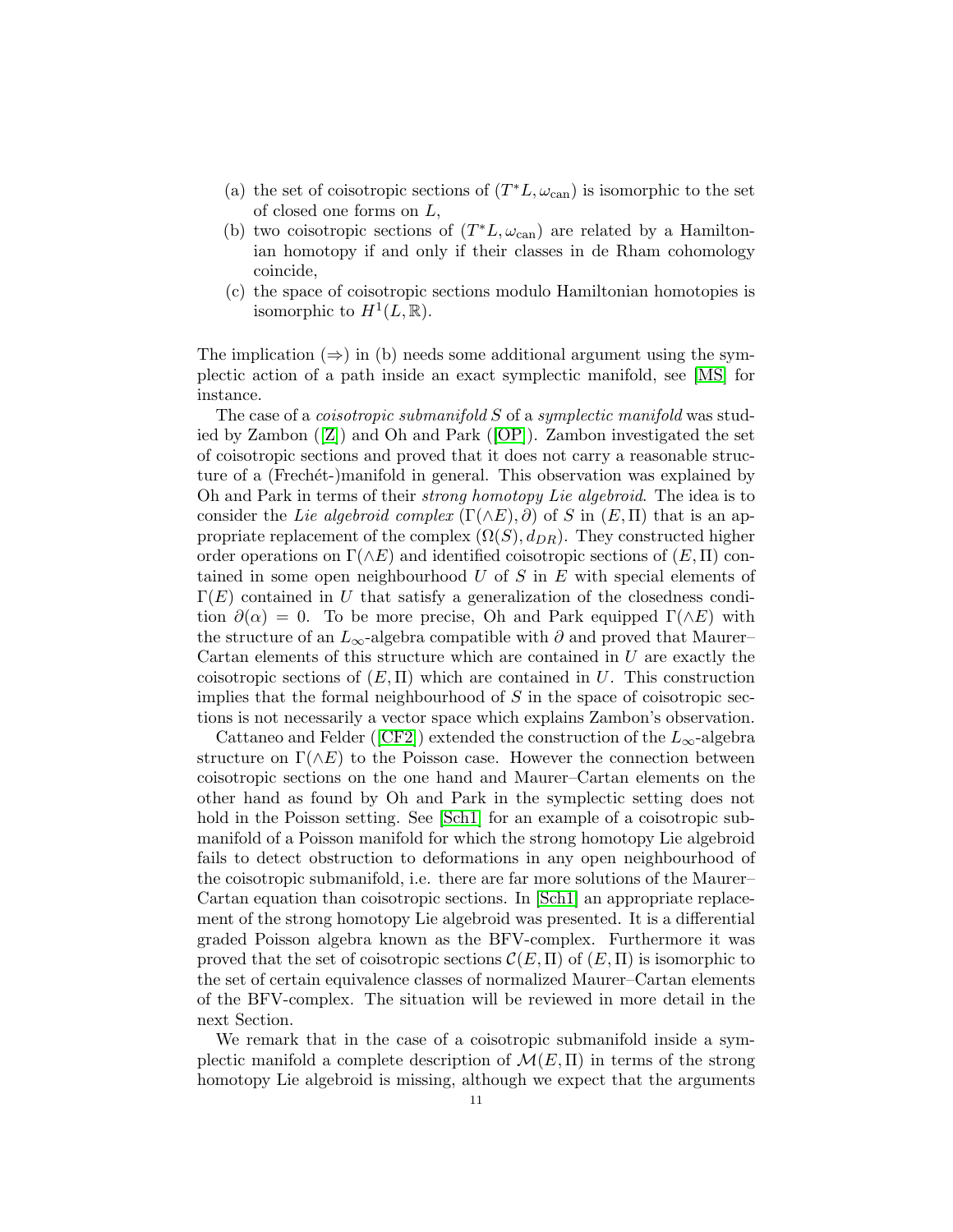- (a) the set of coisotropic sections of  $(T^*L, \omega_{\text{can}})$  is isomorphic to the set of closed one forms on L,
- (b) two coisotropic sections of  $(T^*L, \omega_{\text{can}})$  are related by a Hamiltonian homotopy if and only if their classes in de Rham cohomology coincide,
- (c) the space of coisotropic sections modulo Hamiltonian homotopies is isomorphic to  $H^1(L, \mathbb{R})$ .

The implication  $(\Rightarrow)$  in (b) needs some additional argument using the symplectic action of a path inside an exact symplectic manifold, see [\[MS\]](#page-33-13) for instance.

The case of a *coisotropic submanifold* S of a *symplectic manifold* was studied by Zambon([\[Z\]](#page-33-8)) and Oh and Park([\[OP\]](#page-33-9)). Zambon investigated the set of coisotropic sections and proved that it does not carry a reasonable structure of a (Frechet-)manifold in general. This observation was explained by Oh and Park in terms of their strong homotopy Lie algebroid. The idea is to consider the Lie algebroid complex  $(\Gamma(\wedge E), \partial)$  of S in  $(E, \Pi)$  that is an appropriate replacement of the complex  $(\Omega(S), d_{DR})$ . They constructed higher order operations on  $\Gamma(\wedge E)$  and identified coisotropic sections of  $(E, \Pi)$  contained in some open neighbourhood  $U$  of  $S$  in  $E$  with special elements of  $\Gamma(E)$  contained in U that satisfy a generalization of the closedness condition  $\partial(\alpha) = 0$ . To be more precise, Oh and Park equipped  $\Gamma(\wedge E)$  with the structure of an  $L_{\infty}$ -algebra compatible with  $\partial$  and proved that Maurer– Cartan elements of this structure which are contained in  $U$  are exactly the coisotropic sections of  $(E,\Pi)$  which are contained in U. This construction implies that the formal neighbourhood of  $S$  in the space of coisotropic sections is not necessarily a vector space which explains Zambon's observation.

Cattaneoand Felder ([\[CF2\]](#page-33-12)) extended the construction of the  $L_{\infty}$ -algebra structure on  $\Gamma(\wedge E)$  to the Poisson case. However the connection between coisotropic sections on the one hand and Maurer–Cartan elements on the other hand as found by Oh and Park in the symplectic setting does not hold in the Poisson setting. See [\[Sch1\]](#page-33-10) for an example of a coisotropic submanifold of a Poisson manifold for which the strong homotopy Lie algebroid fails to detect obstruction to deformations in any open neighbourhood of the coisotropic submanifold, i.e. there are far more solutions of the Maurer– Cartan equation than coisotropic sections. In [\[Sch1\]](#page-33-10) an appropriate replacement of the strong homotopy Lie algebroid was presented. It is a differential graded Poisson algebra known as the BFV-complex. Furthermore it was proved that the set of coisotropic sections  $\mathcal{C}(E,\Pi)$  of  $(E,\Pi)$  is isomorphic to the set of certain equivalence classes of normalized Maurer–Cartan elements of the BFV-complex. The situation will be reviewed in more detail in the next Section.

We remark that in the case of a coisotropic submanifold inside a symplectic manifold a complete description of  $\mathcal{M}(E,\Pi)$  in terms of the strong homotopy Lie algebroid is missing, although we expect that the arguments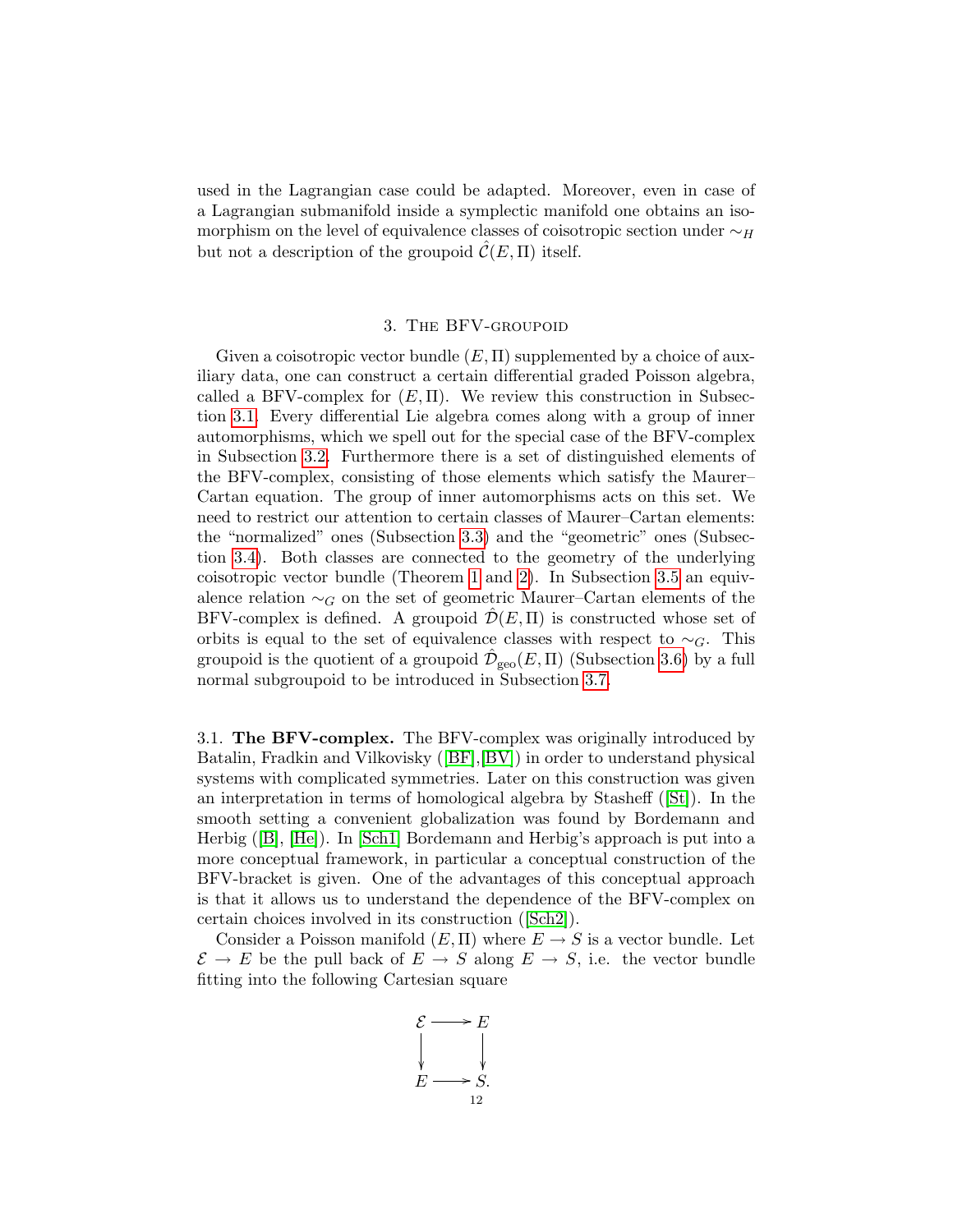used in the Lagrangian case could be adapted. Moreover, even in case of a Lagrangian submanifold inside a symplectic manifold one obtains an isomorphism on the level of equivalence classes of coisotropic section under  $\sim_H$ but not a description of the groupoid  $\mathcal{C}(E,\Pi)$  itself.

## 3. The BFV-groupoid

<span id="page-11-0"></span>Given a coisotropic vector bundle  $(E, \Pi)$  supplemented by a choice of auxiliary data, one can construct a certain differential graded Poisson algebra, called a BFV-complex for  $(E, \Pi)$ . We review this construction in Subsection [3.1.](#page-11-1) Every differential Lie algebra comes along with a group of inner automorphisms, which we spell out for the special case of the BFV-complex in Subsection [3.2.](#page-13-0) Furthermore there is a set of distinguished elements of the BFV-complex, consisting of those elements which satisfy the Maurer– Cartan equation. The group of inner automorphisms acts on this set. We need to restrict our attention to certain classes of Maurer–Cartan elements: the "normalized" ones (Subsection [3.3\)](#page-15-0) and the "geometric" ones (Subsection [3.4\)](#page-16-0). Both classes are connected to the geometry of the underlying coisotropic vector bundle (Theorem [1](#page-16-1) and [2\)](#page-19-0). In Subsection [3.5](#page-20-0) an equivalence relation  $\sim_G$  on the set of geometric Maurer–Cartan elements of the BFV-complex is defined. A groupoid  $\mathcal{D}(E,\Pi)$  is constructed whose set of orbits is equal to the set of equivalence classes with respect to  $\sim_G$ . This groupoid is the quotient of a groupoid  $\hat{\mathcal{D}}_{\text{geo}}(E,\Pi)$  (Subsection [3.6\)](#page-21-0) by a full normal subgroupoid to be introduced in Subsection [3.7.](#page-22-0)

<span id="page-11-1"></span>3.1. The BFV-complex. The BFV-complex was originally introduced by Batalin, Fradkin and Vilkovisky([\[BF\]](#page-33-0),[\[BV\]](#page-33-11)) in order to understand physical systems with complicated symmetries. Later on this construction was given an interpretation in terms of homological algebra by Stasheff([\[St\]](#page-33-14)). In the smooth setting a convenient globalization was found by Bordemann and Herbig([\[B\]](#page-33-15), [\[He\]](#page-33-16)). In [\[Sch1\]](#page-33-10) Bordemann and Herbig's approach is put into a more conceptual framework, in particular a conceptual construction of the BFV-bracket is given. One of the advantages of this conceptual approach is that it allows us to understand the dependence of the BFV-complex on certain choices involved in its construction([\[Sch2\]](#page-33-17)).

Consider a Poisson manifold  $(E, \Pi)$  where  $E \to S$  is a vector bundle. Let  $\mathcal{E} \to E$  be the pull back of  $E \to S$  along  $E \to S$ , i.e. the vector bundle fitting into the following Cartesian square

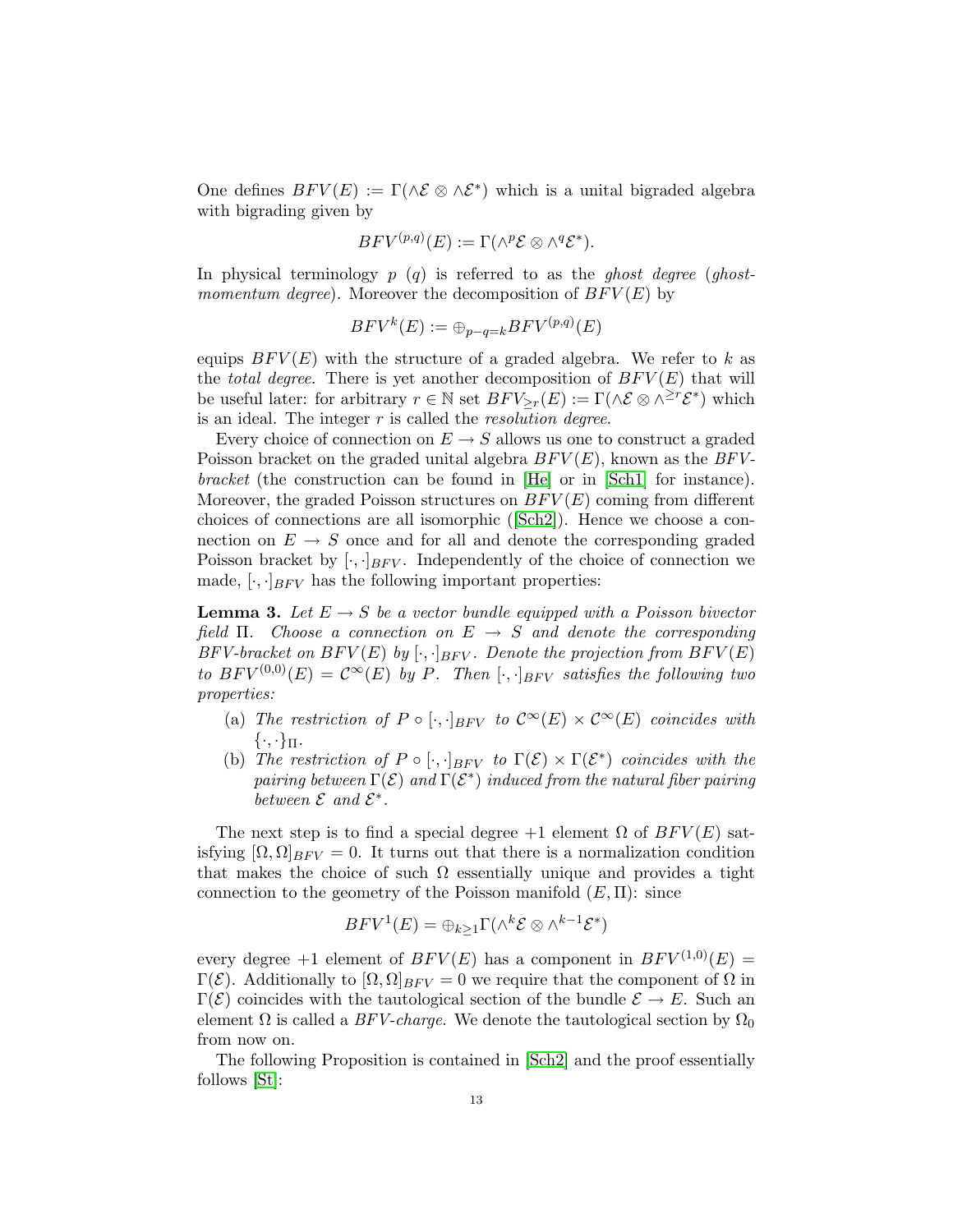One defines  $BFV(E) := \Gamma(\wedge \mathcal{E} \otimes \wedge \mathcal{E}^*)$  which is a unital bigraded algebra with bigrading given by

$$
BFV^{(p,q)}(E) := \Gamma(\wedge^p \mathcal{E} \otimes \wedge^q \mathcal{E}^*).
$$

In physical terminology  $p(q)$  is referred to as the ghost degree (ghostmomentum degree). Moreover the decomposition of  $BFV(E)$  by

$$
BFV^k(E) := \bigoplus_{p-q=k} BFV^{(p,q)}(E)
$$

equips  $BFV(E)$  with the structure of a graded algebra. We refer to k as the *total degree*. There is yet another decomposition of  $BFV(E)$  that will be useful later: for arbitrary  $r \in \mathbb{N}$  set  $BFV_{\geq r}(E) := \Gamma(\wedge \mathcal{E} \otimes \wedge^{\geq r} \mathcal{E}^*)$  which is an ideal. The integer  $r$  is called the *resolution degree*.

Every choice of connection on  $E \to S$  allows us one to construct a graded Poisson bracket on the graded unital algebra  $BFV(E)$ , known as the  $BFV$ bracket (the construction can be found in [\[He\]](#page-33-16) or in [\[Sch1\]](#page-33-10) for instance). Moreover, the graded Poisson structures on  $BFV(E)$  coming from different choices of connections are all isomorphic([\[Sch2\]](#page-33-17)). Hence we choose a connection on  $E \to S$  once and for all and denote the corresponding graded Poisson bracket by  $[\cdot, \cdot]_{BFV}$ . Independently of the choice of connection we made,  $[\cdot, \cdot]_{BFV}$  has the following important properties:

<span id="page-12-0"></span>**Lemma 3.** Let  $E \rightarrow S$  be a vector bundle equipped with a Poisson bivector field Π. Choose a connection on  $E \rightarrow S$  and denote the corresponding BFV-bracket on  $BFV(E)$  by  $[\cdot, \cdot]_{BFV}$ . Denote the projection from  $BFV(E)$ to  $BFV^{(0,0)}(E) = C^{\infty}(E)$  by P. Then  $[\cdot, \cdot]_{BFV}$  satisfies the following two properties:

- (a) The restriction of  $P \circ [\cdot, \cdot]_{BFV}$  to  $\mathcal{C}^{\infty}(E) \times \mathcal{C}^{\infty}(E)$  coincides with  $\{\cdot,\cdot\}_{\Pi}$ .
- (b) The restriction of  $P \circ [\cdot, \cdot]_{BFV}$  to  $\Gamma(\mathcal{E}) \times \Gamma(\mathcal{E}^*)$  coincides with the pairing between  $\Gamma(\mathcal{E})$  and  $\Gamma(\mathcal{E}^*)$  induced from the natural fiber pairing between  $\mathcal E$  and  $\mathcal E^*$ .

The next step is to find a special degree  $+1$  element  $\Omega$  of  $BFV(E)$  satisfying  $[\Omega, \Omega]_{BFV} = 0$ . It turns out that there is a normalization condition that makes the choice of such  $\Omega$  essentially unique and provides a tight connection to the geometry of the Poisson manifold  $(E,\Pi)$ : since

$$
BFV^1(E) = \bigoplus_{k \geq 1} \Gamma(\wedge^k \mathcal{E} \otimes \wedge^{k-1} \mathcal{E}^*)
$$

every degree +1 element of  $BFV(E)$  has a component in  $BFV^{(1,0)}(E)$  = Γ(E). Additionally to  $[\Omega, \Omega]_{BFV} = 0$  we require that the component of  $\Omega$  in  $\Gamma(\mathcal{E})$  coincides with the tautological section of the bundle  $\mathcal{E} \to E$ . Such an element  $\Omega$  is called a BFV-charge. We denote the tautological section by  $\Omega_0$ from now on.

<span id="page-12-1"></span>The following Proposition is contained in [\[Sch2\]](#page-33-17) and the proof essentially follows [\[St\]](#page-33-14):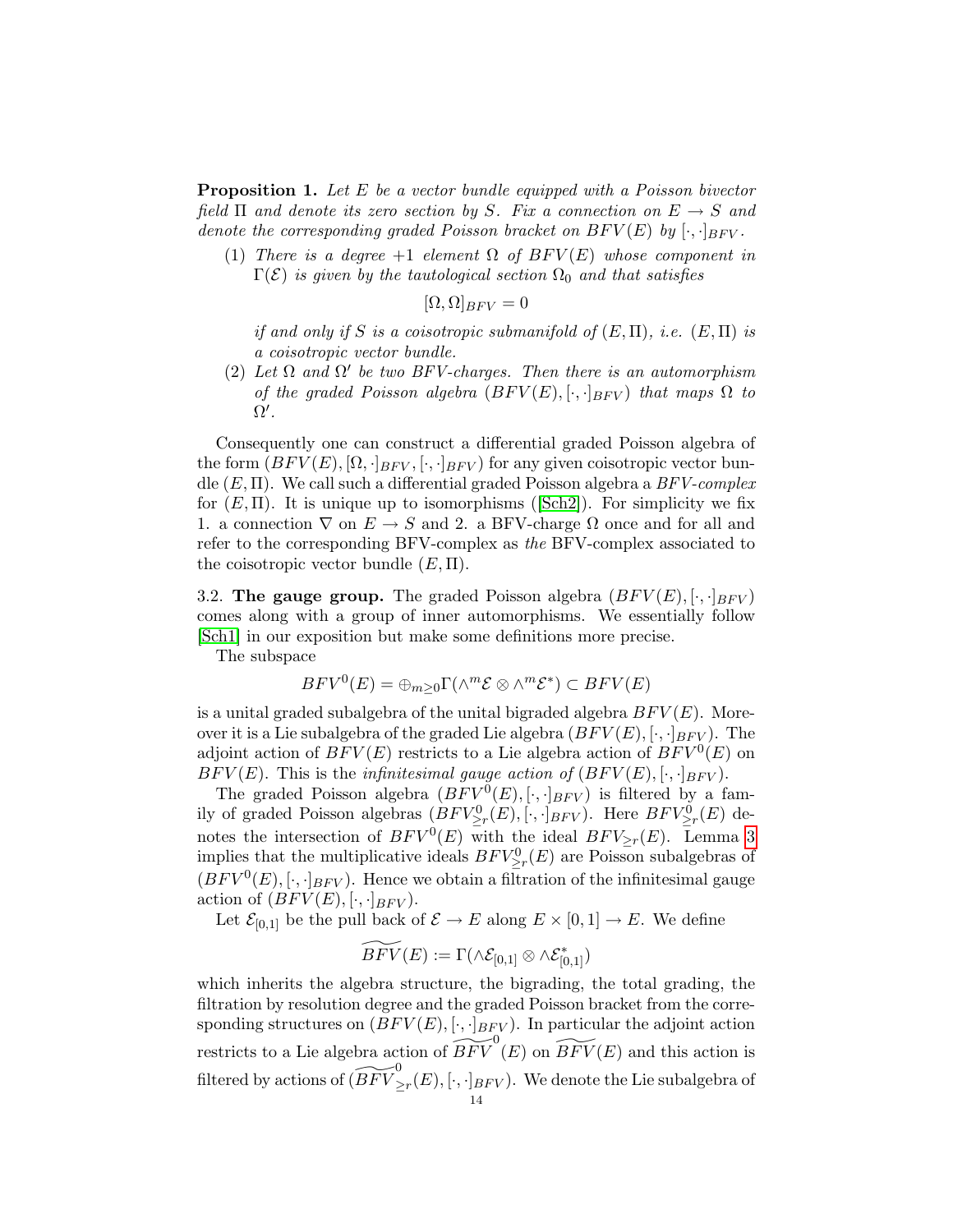Proposition 1. Let E be a vector bundle equipped with a Poisson bivector field  $\Pi$  and denote its zero section by S. Fix a connection on  $E \to S$  and denote the corresponding graded Poisson bracket on  $BFV(E)$  by  $[\cdot,\cdot]_{BFV}$ .

(1) There is a degree +1 element  $\Omega$  of  $BFV(E)$  whose component in  $\Gamma(\mathcal{E})$  is given by the tautological section  $\Omega_0$  and that satisfies

$$
[\Omega,\Omega]_{BFV}=0
$$

if and only if S is a coisotropic submanifold of  $(E, \Pi)$ , i.e.  $(E, \Pi)$  is a coisotropic vector bundle.

(2) Let  $\Omega$  and  $\Omega'$  be two BFV-charges. Then there is an automorphism of the graded Poisson algebra  $(BFV(E), [\cdot, \cdot]_{BFV})$  that maps  $\Omega$  to  $\Omega^{\prime}$ .

Consequently one can construct a differential graded Poisson algebra of the form  $(BFV(E), [\Omega, \cdot]_{BFV}, [\cdot, \cdot]_{BFV})$  for any given coisotropic vector bundle  $(E, \Pi)$ . We call such a differential graded Poisson algebra a  $BFV$ -complex for $(E, \Pi)$ . It is unique up to isomorphisms ([\[Sch2\]](#page-33-17)). For simplicity we fix 1. a connection  $\nabla$  on  $E \to S$  and 2. a BFV-charge  $\Omega$  once and for all and refer to the corresponding BFV-complex as the BFV-complex associated to the coisotropic vector bundle  $(E, \Pi)$ .

<span id="page-13-0"></span>3.2. The gauge group. The graded Poisson algebra  $(BFV(E), [\cdot, \cdot]_{BFV})$ comes along with a group of inner automorphisms. We essentially follow [\[Sch1\]](#page-33-10) in our exposition but make some definitions more precise.

The subspace

$$
BFV^{0}(E) = \bigoplus_{m \geq 0} \Gamma(\wedge^{m} \mathcal{E} \otimes \wedge^{m} \mathcal{E}^{*}) \subset BFV(E)
$$

is a unital graded subalgebra of the unital bigraded algebra  $BFV(E)$ . Moreover it is a Lie subalgebra of the graded Lie algebra  $(BFV(E), [\cdot, \cdot]_{BFV})$ . The adjoint action of  $BFV(E)$  restricts to a Lie algebra action of  $BFV^0(E)$  on  $BFV(E)$ . This is the *infinitesimal gauge action of*  $(BFV(E), [\cdot, \cdot]_{BFV})$ *.* 

The graded Poisson algebra  $(BFV^0(E), [\cdot, \cdot]_{BFV})$  is filtered by a family of graded Poisson algebras  $(BFV_{\geq r}^{0}(E), [\cdot, \cdot]_{BFV})$ . Here  $BFV_{\geq r}^{0}(E)$  denotes the intersection of  $BFV^0(E)$  with the ideal  $BFV_{\geq r}(E)$ . Lemma [3](#page-12-0) implies that the multiplicative ideals  $BFV^0_{\geq r}(E)$  are Poisson subalgebras of  $(BFV^0(E), [\cdot, \cdot]_{BFV})$ . Hence we obtain a filtration of the infinitesimal gauge action of  $(BFV(E), [\cdot, \cdot]_{BFV})$ .

Let  $\mathcal{E}_{[0,1]}$  be the pull back of  $\mathcal{E} \to E$  along  $E \times [0,1] \to E$ . We define

$$
\widetilde{BFV}(E):=\Gamma(\wedge \mathcal{E}_{[0,1]}\otimes \wedge \mathcal{E}_{[0,1]}^*)
$$

which inherits the algebra structure, the bigrading, the total grading, the filtration by resolution degree and the graded Poisson bracket from the corresponding structures on  $(BFV(E), [\cdot, \cdot]_{BFV})$ . In particular the adjoint action restricts to a Lie algebra action of  $\widetilde{BFV} ^{0} (E)$  on  $\widetilde{BFV} (E)$  and this action is filtered by actions of  $(\widetilde{BFV} ^0_{\geq r}(E), [\cdot,\cdot]_{BFV} ).$  We denote the Lie subalgebra of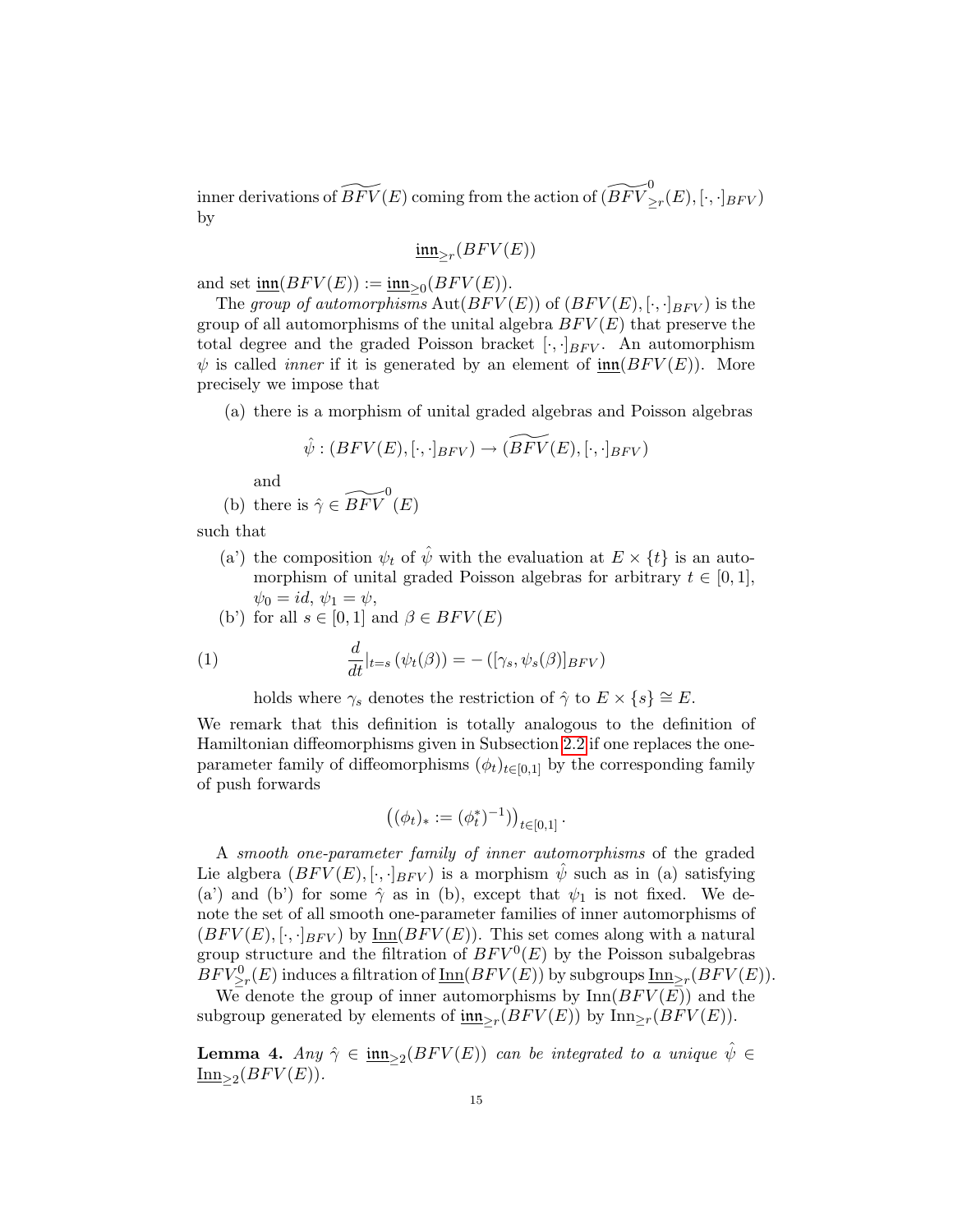inner derivations of  $\widetilde{BFV}(E)$  coming from the action of  $(\widetilde{BFV} ^0_{\geq r}(E), [\cdot,\cdot]_{BFV} )$ by

$$
\underline{\mathfrak{inn}}_{\geq r}(BFV(E))
$$

and set  $\underline{\text{im}}(BFV(E)) := \underline{\text{im}}_{\geq 0}(BFV(E)).$ 

The group of automorphisms  $\text{Aut}(BFV(E))$  of  $(BFV(E), [\cdot, \cdot]_{BFV})$  is the group of all automorphisms of the unital algebra  $BFV(E)$  that preserve the total degree and the graded Poisson bracket  $[\cdot, \cdot]_{BFV}$ . An automorphism  $\psi$  is called *inner* if it is generated by an element of  $\text{inn}(BFV(E))$ . More precisely we impose that

(a) there is a morphism of unital graded algebras and Poisson algebras

$$
\hat{\psi}: (BFV(E), [\cdot, \cdot]_{BFV}) \to (\widetilde{BFV}(E), [\cdot, \cdot]_{BFV})
$$

and

(b) there is 
$$
\hat{\gamma} \in \widetilde{BFV}^0(E)
$$

such that

(a') the composition  $\psi_t$  of  $\hat{\psi}$  with the evaluation at  $E \times \{t\}$  is an automorphism of unital graded Poisson algebras for arbitrary  $t \in [0, 1]$ ,  $\psi_0 = id, \psi_1 = \psi,$ 

(b') for all 
$$
s \in [0,1]
$$
 and  $\beta \in BFV(E)$ 

<span id="page-14-0"></span>(1) 
$$
\frac{d}{dt}|_{t=s} (\psi_t(\beta)) = -([\gamma_s, \psi_s(\beta)]_{BFV})
$$

holds where  $\gamma_s$  denotes the restriction of  $\hat{\gamma}$  to  $E \times \{s\} \cong E$ .

We remark that this definition is totally analogous to the definition of Hamiltonian diffeomorphisms given in Subsection [2.2](#page-4-0) if one replaces the oneparameter family of diffeomorphisms  $(\phi_t)_{t\in[0,1]}$  by the corresponding family of push forwards

$$
\left( (\phi_t)_* := (\phi_t^*)^{-1} \right) \Big)_{t \in [0,1]}.
$$

A smooth one-parameter family of inner automorphisms of the graded Lie algbera  $(BFV(E), [\cdot, \cdot]_{BFV})$  is a morphism  $\psi$  such as in (a) satisfying (a') and (b') for some  $\hat{\gamma}$  as in (b), except that  $\psi_1$  is not fixed. We denote the set of all smooth one-parameter families of inner automorphisms of  $(BFV(E), [\cdot, \cdot]_{BFV})$  by Inn $(BFV(E))$ . This set comes along with a natural group structure and the filtration of  $BFV^0(E)$  by the Poisson subalgebras  $BFV^0_{\geq r}(E)$  induces a filtration of  $\underline{\mathrm{Inn}}(BFV(E))$  by subgroups  $\underline{\mathrm{Inn}}_{\geq r}(BFV(E)).$ 

We denote the group of inner automorphisms by  $\text{Inn}(BFV(\overline{E}))$  and the subgroup generated by elements of  $\underline{\text{im}}_{\geq r}(BFV(E))$  by  $\text{Inn}_{\geq r}(BFV(E)).$ 

<span id="page-14-1"></span>**Lemma 4.** Any  $\hat{\gamma} \in \underline{\text{im}}_{\geq 2}(BFV(E))$  can be integrated to a unique  $\hat{\psi} \in$  $\underline{\text{Inn}}_{\geq 2}(BFV(E)).$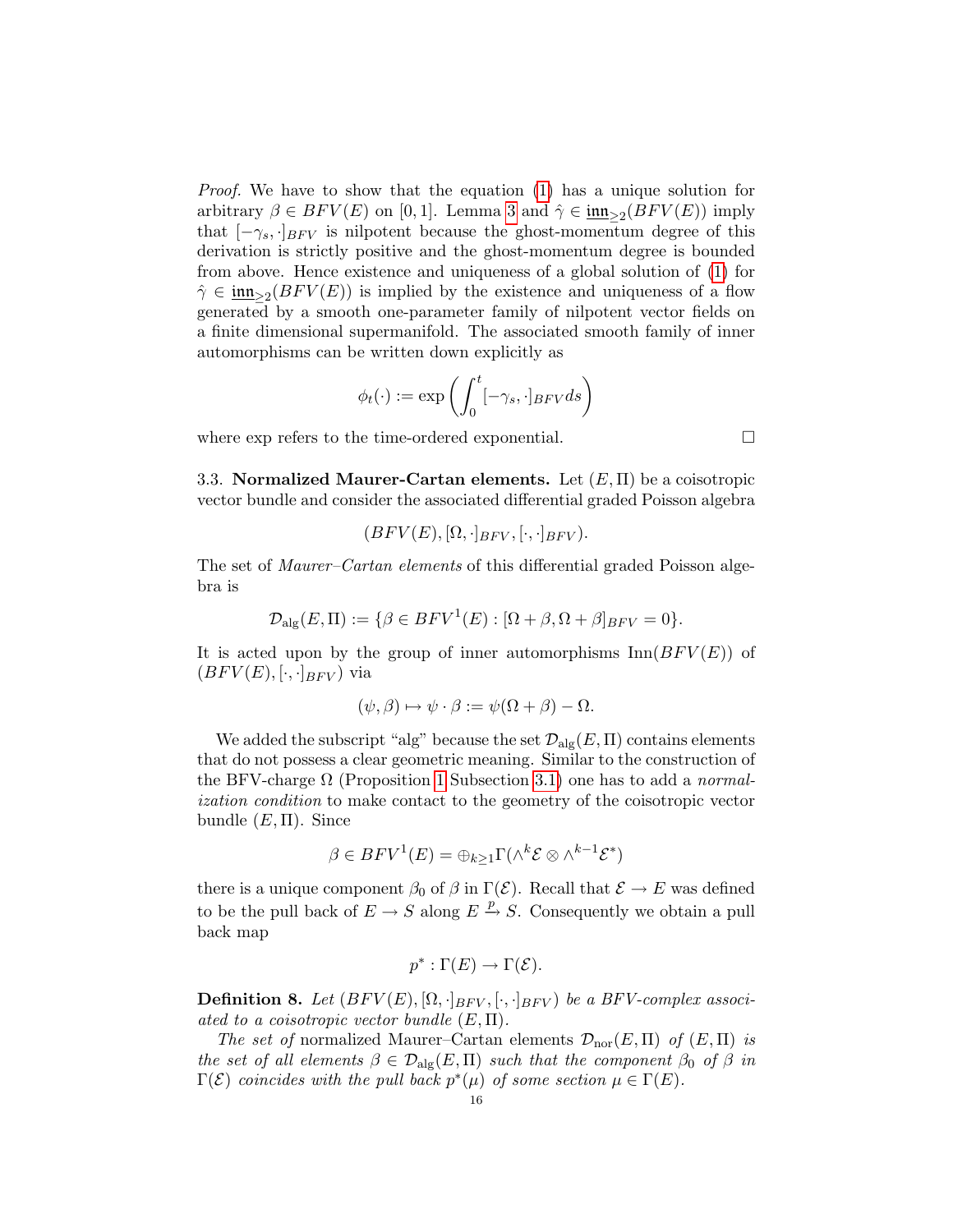Proof. We have to show that the equation [\(1\)](#page-14-0) has a unique solution for arbitrary  $\beta \in BFV(E)$  on [0,1]. Lemma [3](#page-12-0) and  $\hat{\gamma} \in \underline{\text{inn}}_{\geq 2}(BFV(E))$  imply that  $[-\gamma_s, \cdot]_{BFV}$  is nilpotent because the ghost-momentum degree of this derivation is strictly positive and the ghost-momentum degree is bounded from above. Hence existence and uniqueness of a global solution of [\(1\)](#page-14-0) for  $\hat{\gamma} \in \underline{\mathfrak{inn}}_{\geq 2}(BFV(E))$  is implied by the existence and uniqueness of a flow generated by a smooth one-parameter family of nilpotent vector fields on a finite dimensional supermanifold. The associated smooth family of inner automorphisms can be written down explicitly as

$$
\phi_t(\cdot) := \exp\left(\int_0^t [-\gamma_s,\cdot]_{BFV} ds\right)
$$

where exp refers to the time-ordered exponential.

<span id="page-15-0"></span>3.3. Normalized Maurer-Cartan elements. Let  $(E, \Pi)$  be a coisotropic vector bundle and consider the associated differential graded Poisson algebra

$$
(BFV(E), [\Omega, \cdot]_{BFV}, [\cdot, \cdot]_{BFV}).
$$

The set of Maurer–Cartan elements of this differential graded Poisson algebra is

$$
\mathcal{D}_{\mathrm{alg}}(E,\Pi) := \{ \beta \in BFV^1(E) : [\Omega + \beta, \Omega + \beta]_{BFV} = 0 \}.
$$

It is acted upon by the group of inner automorphisms  $\text{Inn}(BFV(E))$  of  $(BFV(E), [\cdot, \cdot]_{BFV})$  via

$$
(\psi, \beta) \mapsto \psi \cdot \beta := \psi(\Omega + \beta) - \Omega.
$$

We added the subscript "alg" because the set  $\mathcal{D}_{\text{alg}}(E,\Pi)$  contains elements that do not possess a clear geometric meaning. Similar to the construction of the BFV-charge  $\Omega$  (Proposition [1](#page-12-1) Subsection [3.1\)](#page-11-1) one has to add a normalization condition to make contact to the geometry of the coisotropic vector bundle  $(E, \Pi)$ . Since

$$
\beta \in BFV^{1}(E) = \bigoplus_{k \geq 1} \Gamma(\wedge^{k} \mathcal{E} \otimes \wedge^{k-1} \mathcal{E}^{*})
$$

there is a unique component  $\beta_0$  of  $\beta$  in  $\Gamma(\mathcal{E})$ . Recall that  $\mathcal{E} \to E$  was defined to be the pull back of  $E \to S$  along  $E \stackrel{p}{\to} S$ . Consequently we obtain a pull back map

$$
p^*:\Gamma(E)\to\Gamma(\mathcal{E}).
$$

**Definition 8.** Let  $(BFV(E), [\Omega, \cdot]_{BFV}, [\cdot, \cdot]_{BFV})$  be a BFV-complex associ-ated to a coisotropic vector bundle  $(E,\Pi)$ .

The set of normalized Maurer–Cartan elements  $\mathcal{D}_{\text{nor}}(E,\Pi)$  of  $(E,\Pi)$  is the set of all elements  $\beta \in \mathcal{D}_{\text{alg}}(E,\Pi)$  such that the component  $\beta_0$  of  $\beta$  in  $\Gamma(\mathcal{E})$  coincides with the pull back  $p^*(\mu)$  of some section  $\mu \in \Gamma(E)$ .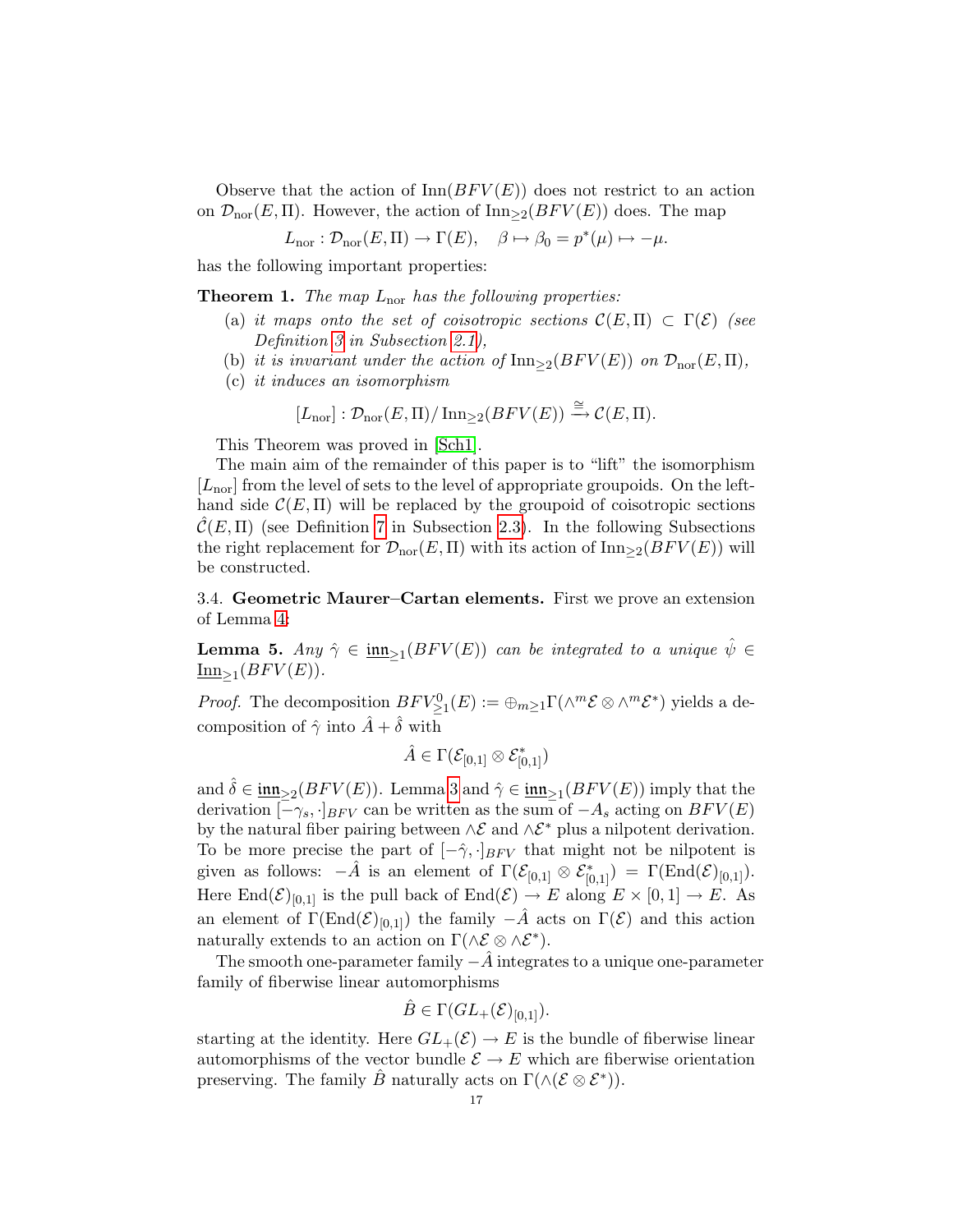Observe that the action of  $\text{Inn}(BFV(E))$  does not restrict to an action on  $\mathcal{D}_{\text{nor}}(E,\Pi)$ . However, the action of  $\text{Inn}_{\geq 2}(BFV(E))$  does. The map

$$
L_{\text{nor}}: \mathcal{D}_{\text{nor}}(E,\Pi) \to \Gamma(E), \quad \beta \mapsto \beta_0 = p^*(\mu) \mapsto -\mu.
$$

<span id="page-16-1"></span>has the following important properties:

**Theorem 1.** The map  $L_{\text{nor}}$  has the following properties:

- (a) it maps onto the set of coisotropic sections  $\mathcal{C}(E,\Pi) \subset \Gamma(\mathcal{E})$  (see Definition [3](#page-4-1) in Subsection [2.1\)](#page-3-1),
- (b) it is invariant under the action of  $\text{Inn}_{\geq 2}(BFV(E))$  on  $\mathcal{D}_{\text{nor}}(E,\Pi)$ ,
- (c) it induces an isomorphism

$$
[L_{\text{nor}}]: \mathcal{D}_{\text{nor}}(E,\Pi)/\text{Inn}_{\geq 2}(BFV(E)) \xrightarrow{\cong} \mathcal{C}(E,\Pi).
$$

This Theorem was proved in [\[Sch1\]](#page-33-10).

The main aim of the remainder of this paper is to "lift" the isomorphism  $[L_{\text{nor}}]$  from the level of sets to the level of appropriate groupoids. On the lefthand side  $\mathcal{C}(E,\Pi)$  will be replaced by the groupoid of coisotropic sections  $\mathcal{C}(E,\Pi)$  (see Definition [7](#page-9-0) in Subsection [2.3\)](#page-6-0). In the following Subsections the right replacement for  $\mathcal{D}_{\text{nor}}(E,\Pi)$  with its action of  $\text{Inn}_{\geq 2}(BFV(E))$  will be constructed.

<span id="page-16-0"></span>3.4. Geometric Maurer–Cartan elements. First we prove an extension of Lemma [4:](#page-14-1)

<span id="page-16-2"></span>**Lemma 5.** Any  $\hat{\gamma} \in \underline{\text{im}_{\geq 1}}(BFV(E))$  can be integrated to a unique  $\hat{\psi} \in$  $\underline{\text{Inn}}_{\geq 1}(BFV(E)).$ 

*Proof.* The decomposition  $BFV^0_{\geq 1}(E) := \bigoplus_{m\geq 1} \Gamma(\wedge^m \mathcal{E} \otimes \wedge^m \mathcal{E}^*)$  yields a decomposition of  $\hat{\gamma}$  into  $\hat{A} + \hat{\delta}$  with

$$
\hat{A}\in\Gamma(\mathcal E_{[0,1]}\otimes\mathcal E_{[0,1]}^*)
$$

and  $\hat{\delta} \in \underline{\mathfrak{inn}}_{\geq 2}(BFV(E))$ . Lemma [3](#page-12-0) and  $\hat{\gamma} \in \underline{\mathfrak{inn}}_{\geq 1}(BFV(E))$  imply that the derivation  $[-\gamma_s, \cdot]_{BFV}$  can be written as the sum of  $-A_s$  acting on  $BFV(E)$ by the natural fiber pairing between  $\wedge \mathcal{E}$  and  $\wedge \mathcal{E}^*$  plus a nilpotent derivation. To be more precise the part of  $[-\hat{\gamma}, \cdot]_{BFV}$  that might not be nilpotent is given as follows:  $-\hat{A}$  is an element of  $\Gamma(\mathcal{E}_{[0,1]}\otimes \mathcal{E}_{[0,1]}^*) = \Gamma(\text{End}(\mathcal{E})_{[0,1]}).$ Here  $\text{End}(\mathcal{E})_{[0,1]}$  is the pull back of  $\text{End}(\mathcal{E}) \to E$  along  $E \times [0,1] \to E$ . As an element of  $\Gamma(\text{End}(\mathcal{E})_{[0,1]})$  the family  $-\hat{A}$  acts on  $\Gamma(\mathcal{E})$  and this action naturally extends to an action on  $\Gamma(\wedge \mathcal{E} \otimes \wedge \mathcal{E}^*)$ .

The smooth one-parameter family  $-\tilde{A}$  integrates to a unique one-parameter family of fiberwise linear automorphisms

$$
\hat{B} \in \Gamma(GL_+(\mathcal{E})_{[0,1]}).
$$

starting at the identity. Here  $GL_{+}(\mathcal{E}) \to E$  is the bundle of fiberwise linear automorphisms of the vector bundle  $\mathcal{E} \to E$  which are fiberwise orientation preserving. The family  $\hat{B}$  naturally acts on  $\Gamma(\wedge(\mathcal{E}\otimes\mathcal{E}^*))$ .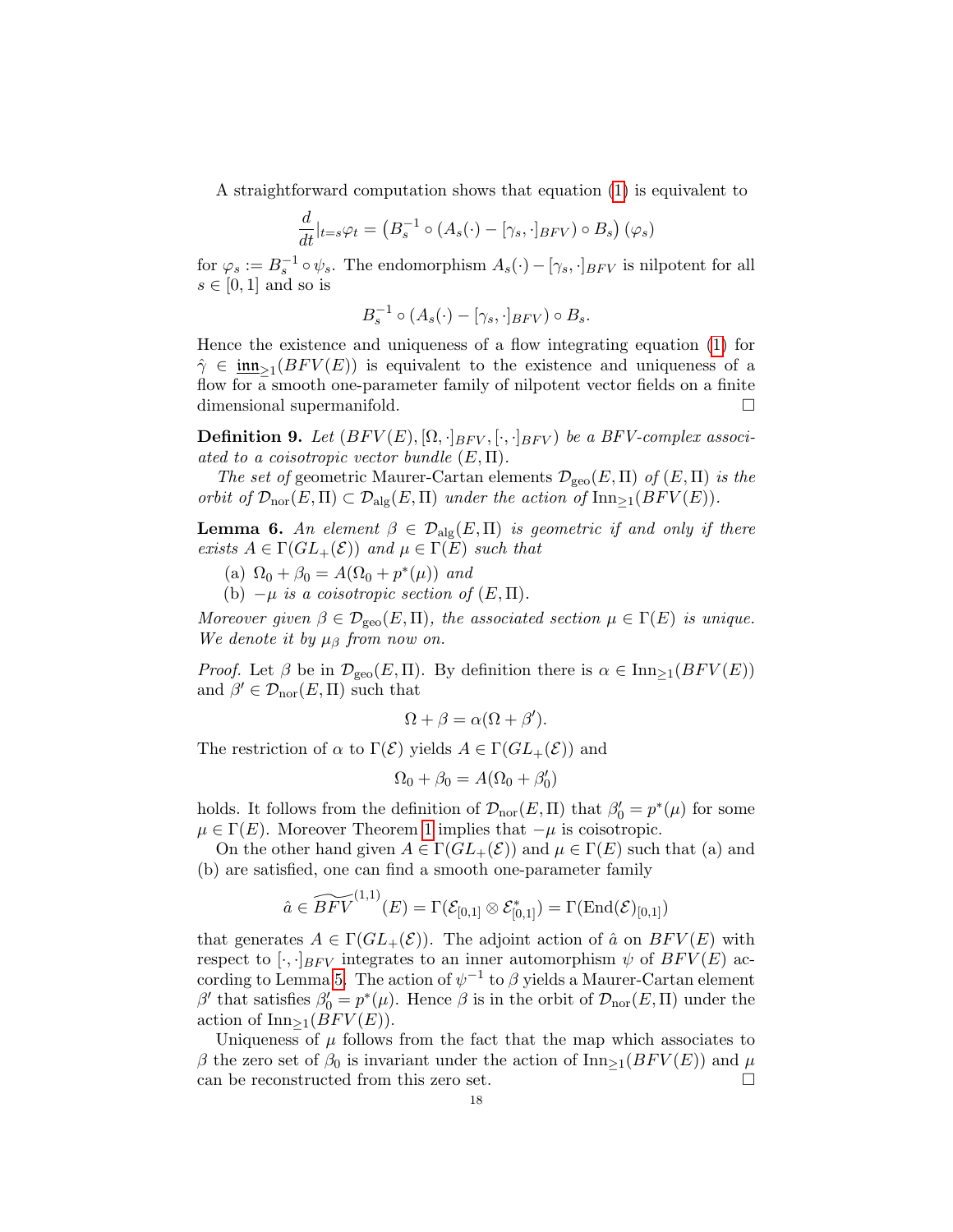A straightforward computation shows that equation [\(1\)](#page-14-0) is equivalent to

$$
\frac{d}{dt}|_{t=s}\varphi_t = \left(B_s^{-1} \circ (A_s(\cdot) - [\gamma_s, \cdot]_{BFV}) \circ B_s\right)(\varphi_s)
$$

for  $\varphi_s := B_s^{-1} \circ \psi_s$ . The endomorphism  $A_s(\cdot) - [\gamma_s, \cdot]_{BFV}$  is nilpotent for all  $s \in [0,1]$  and so is

$$
B_s^{-1} \circ (A_s(\cdot) - [\gamma_s, \cdot]_{BFV}) \circ B_s.
$$

Hence the existence and uniqueness of a flow integrating equation [\(1\)](#page-14-0) for  $\hat{\gamma} \in \underline{\mathsf{inn}}_{\geq 1}(BFV(E))$  is equivalent to the existence and uniqueness of a flow for a smooth one-parameter family of nilpotent vector fields on a finite dimensional supermanifold.

**Definition 9.** Let  $(BFV(E), [\Omega, \cdot]_{BFV}, [\cdot, \cdot]_{BFV})$  be a BFV-complex associ-ated to a coisotropic vector bundle  $(E, \Pi)$ .

The set of geometric Maurer-Cartan elements  $\mathcal{D}_{\text{geo}}(E,\Pi)$  of  $(E,\Pi)$  is the orbit of  $\mathcal{D}_{\text{nor}}(E,\Pi) \subset \mathcal{D}_{\text{alg}}(E,\Pi)$  under the action of  $\text{Inn}_{\geq 1}(BFV(E)).$ 

<span id="page-17-0"></span>**Lemma 6.** An element  $\beta \in \mathcal{D}_{\text{alg}}(E,\Pi)$  is geometric if and only if there exists  $A \in \Gamma(GL_{+}(\mathcal{E}))$  and  $\mu \in \Gamma(E)$  such that

(a)  $\Omega_0 + \beta_0 = A(\Omega_0 + p^*(\mu))$  and

(b)  $-\mu$  is a coisotropic section of  $(E,\Pi)$ .

Moreover given  $\beta \in \mathcal{D}_{\text{geo}}(E,\Pi)$ , the associated section  $\mu \in \Gamma(E)$  is unique. We denote it by  $\mu_{\beta}$  from now on.

*Proof.* Let  $\beta$  be in  $\mathcal{D}_{\text{geo}}(E,\Pi)$ . By definition there is  $\alpha \in \text{Inn}_{\geq 1}(BFV(E))$ and  $\beta' \in \mathcal{D}_{\text{nor}}(E,\Pi)$  such that

$$
\Omega + \beta = \alpha(\Omega + \beta').
$$

The restriction of  $\alpha$  to  $\Gamma(\mathcal{E})$  yields  $A \in \Gamma(GL_+(\mathcal{E}))$  and

$$
\Omega_0 + \beta_0 = A(\Omega_0 + \beta'_0)
$$

holds. It follows from the definition of  $\mathcal{D}_{\text{nor}}(E,\Pi)$  that  $\beta'_{0} = p^{*}(\mu)$  for some  $\mu \in \Gamma(E)$ . Moreover Theorem [1](#page-16-1) implies that  $-\mu$  is coisotropic.

On the other hand given  $A \in \Gamma(GL_{+}(\mathcal{E}))$  and  $\mu \in \Gamma(E)$  such that (a) and (b) are satisfied, one can find a smooth one-parameter family

$$
\hat{a} \in \widetilde{BFV}^{(1,1)}(E) = \Gamma(\mathcal{E}_{[0,1]} \otimes \mathcal{E}_{[0,1]}^*) = \Gamma(\text{End}(\mathcal{E})_{[0,1]})
$$

that generates  $A \in \Gamma(GL_+(\mathcal{E}))$ . The adjoint action of  $\hat{a}$  on  $BFV(E)$  with respect to [ $\cdot$ ,  $\cdot$ ]<sub>BFV</sub> integrates to an inner automorphism  $\psi$  of BFV(E) ac-cording to Lemma [5.](#page-16-2) The action of  $\psi^{-1}$  to  $\beta$  yields a Maurer-Cartan element β' that satisfies  $β'_{0} = p^{*}(\mu)$ . Hence β is in the orbit of  $\mathcal{D}_{\text{nor}}(E,\Pi)$  under the action of  $\text{Inn}_{\geq 1}(BFV(E)).$ 

Uniqueness of  $\mu$  follows from the fact that the map which associates to β the zero set of  $β_0$  is invariant under the action of Inn<sub>>1</sub>(BFV(E)) and  $μ$ can be reconstructed from this zero set.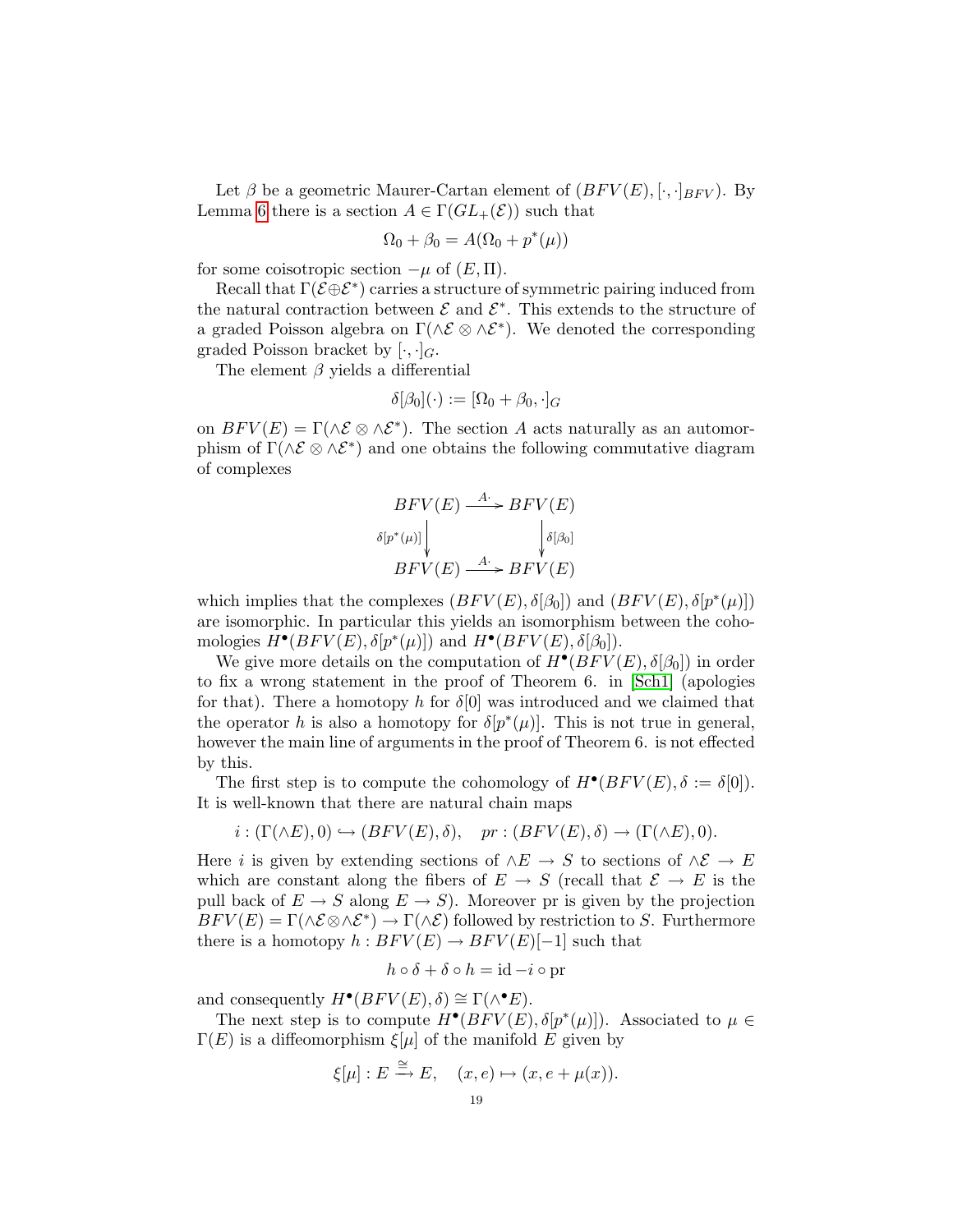Let  $\beta$  be a geometric Maurer-Cartan element of  $(BFV(E), [\cdot, \cdot]_{BFV})$ . By Lemma [6](#page-17-0) there is a section  $A \in \Gamma(GL_{+}(\mathcal{E}))$  such that

$$
\Omega_0 + \beta_0 = A(\Omega_0 + p^*(\mu))
$$

for some coisotropic section  $-\mu$  of  $(E,\Pi)$ .

Recall that  $\Gamma(\mathcal{E} \oplus \mathcal{E}^*)$  carries a structure of symmetric pairing induced from the natural contraction between  $\mathcal E$  and  $\mathcal E^*$ . This extends to the structure of a graded Poisson algebra on  $\Gamma(\wedge \mathcal{E} \otimes \wedge \mathcal{E}^*)$ . We denoted the corresponding graded Poisson bracket by  $[\cdot, \cdot]_G$ .

The element  $\beta$  yields a differential

$$
\delta[\beta_0](\cdot) := [\Omega_0 + \beta_0, \cdot]_G
$$

on  $BFV(E) = \Gamma(\wedge \mathcal{E} \otimes \wedge \mathcal{E}^*)$ . The section A acts naturally as an automorphism of  $\Gamma(\wedge \mathcal{E} \otimes \wedge \mathcal{E}^*)$  and one obtains the following commutative diagram of complexes

$$
BFV(E) \xrightarrow{A^*} BFV(E)
$$
  
\n
$$
\delta[p^*(\mu)] \downarrow \qquad \qquad \downarrow \delta[\beta_0]
$$
  
\n
$$
BFV(E) \xrightarrow{A^*} BFV(E)
$$

which implies that the complexes  $(BFV(E), \delta[\beta_0])$  and  $(BFV(E), \delta[p^*(\mu)])$ are isomorphic. In particular this yields an isomorphism between the cohomologies  $H^{\bullet}(BFV(E), \delta[p^*(\mu)])$  and  $H^{\bullet}(BFV(E), \delta[\beta_0])$ .

We give more details on the computation of  $H^{\bullet}(BFV(E), \delta[\beta_0])$  in order to fix a wrong statement in the proof of Theorem 6. in [\[Sch1\]](#page-33-10) (apologies for that). There a homotopy h for  $\delta[0]$  was introduced and we claimed that the operator h is also a homotopy for  $\delta[p^*(\mu)]$ . This is not true in general, however the main line of arguments in the proof of Theorem 6. is not effected by this.

The first step is to compute the cohomology of  $H^{\bullet}(BFV(E), \delta := \delta[0]).$ It is well-known that there are natural chain maps

$$
i: (\Gamma(\wedge E), 0) \hookrightarrow (BFV(E), \delta), \quad pr: (BFV(E), \delta) \to (\Gamma(\wedge E), 0).
$$

Here i is given by extending sections of  $\wedge E \to S$  to sections of  $\wedge \mathcal{E} \to E$ which are constant along the fibers of  $E \to S$  (recall that  $\mathcal{E} \to E$  is the pull back of  $E \to S$  along  $E \to S$ ). Moreover pr is given by the projection  $BFV(E) = \Gamma(\wedge \mathcal{E} \otimes \wedge \mathcal{E}^*) \rightarrow \Gamma(\wedge \mathcal{E})$  followed by restriction to S. Furthermore there is a homotopy  $h : BFV(E) \to BFV(E)[-1]$  such that

$$
h \circ \delta + \delta \circ h = id - i \circ pr
$$

and consequently  $H^{\bullet}(BFV(E), \delta) \cong \Gamma(\wedge^{\bullet} E).$ 

The next step is to compute  $H^{\bullet}(BFV(E), \delta[p^*(\mu)])$ . Associated to  $\mu \in$  $\Gamma(E)$  is a diffeomorphism  $\xi[\mu]$  of the manifold E given by

$$
\xi[\mu]:E \stackrel{\cong}{\longrightarrow} E, \quad (x,e) \mapsto (x,e+\mu(x)).
$$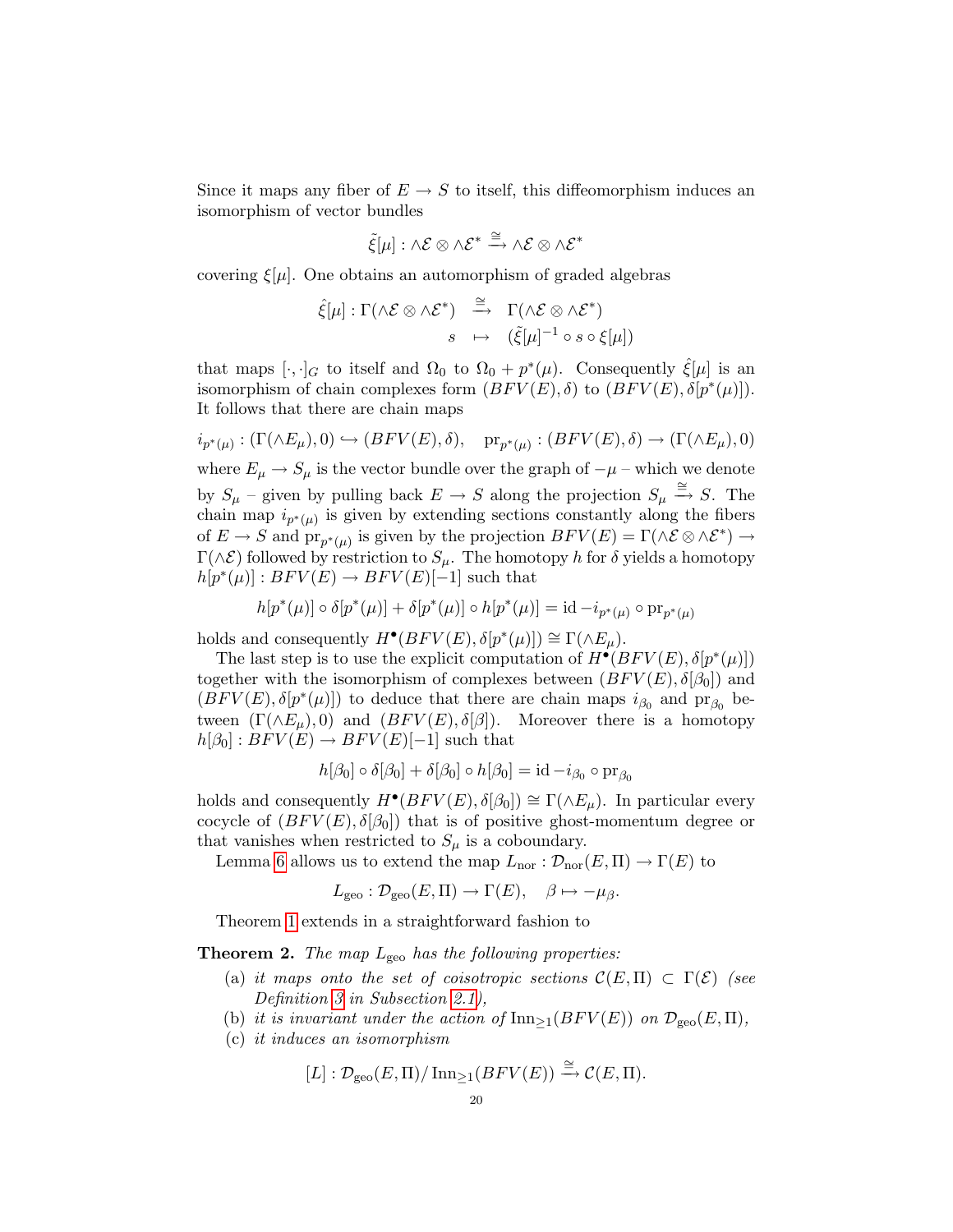Since it maps any fiber of  $E \to S$  to itself, this diffeomorphism induces an isomorphism of vector bundles

$$
\tilde{\xi}[\mu]:\wedge\mathcal{E}\otimes\wedge\mathcal{E}^*\xrightarrow{\cong}\wedge\mathcal{E}\otimes\wedge\mathcal{E}^*
$$

covering  $\xi[\mu]$ . One obtains an automorphism of graded algebras

$$
\hat{\xi}[\mu] : \Gamma(\wedge \mathcal{E} \otimes \wedge \mathcal{E}^*) \stackrel{\cong}{\longrightarrow} \Gamma(\wedge \mathcal{E} \otimes \wedge \mathcal{E}^*)
$$

$$
s \mapsto (\tilde{\xi}[\mu]^{-1} \circ s \circ \xi[\mu])
$$

that maps  $[\cdot, \cdot]_G$  to itself and  $\Omega_0$  to  $\Omega_0 + p^*(\mu)$ . Consequently  $\hat{\xi}[\mu]$  is an isomorphism of chain complexes form  $(BFV(E), \delta)$  to  $(BFV(E), \delta[p^*(\mu)]$ . It follows that there are chain maps

$$
i_{p^*(\mu)} : (\Gamma(\wedge E_{\mu}), 0) \hookrightarrow (BFV(E), \delta), \quad \text{pr}_{p^*(\mu)} : (BFV(E), \delta) \to (\Gamma(\wedge E_{\mu}), 0)
$$

where  $E_{\mu} \rightarrow S_{\mu}$  is the vector bundle over the graph of  $-\mu$  – which we denote by  $S_\mu$  – given by pulling back  $E \to S$  along the projection  $S_\mu \stackrel{\cong}{\to} S$ . The chain map  $i_{p^*(\mu)}$  is given by extending sections constantly along the fibers of  $E \to S$  and  $\text{pr}_{p^*(\mu)}$  is given by the projection  $BFV(E) = \Gamma(\wedge \mathcal{E} \otimes \wedge \mathcal{E}^*) \to$  $\Gamma(\wedge \mathcal{E})$  followed by restriction to  $S_\mu$ . The homotopy h for  $\delta$  yields a homotopy  $h[p^*(\mu)] : BFV(E) \to BFV(E)[-1]$  such that

$$
h[p^*(\mu)]\circ\delta[p^*(\mu)]+\delta[p^*(\mu)]\circ h[p^*(\mu)]=\mathrm{id}-i_{p^*(\mu)}\circ\mathrm{pr}_{p^*(\mu)}
$$

holds and consequently  $H^{\bullet}(BFV(E), \delta[p^*(\mu)]) \cong \Gamma(\wedge E_{\mu}).$ 

The last step is to use the explicit computation of  $H^{\bullet}(BFV(E), \delta[p^*(\mu)])$ together with the isomorphism of complexes between  $(BFV(E), \delta[\beta_0])$  and  $(BFV(E), \delta[p^*(\mu)])$  to deduce that there are chain maps  $i_{\beta_0}$  and  $pr_{\beta_0}$  between  $(\Gamma(\wedge E_{\mu}),0)$  and  $(BFV(E),\delta[\beta])$ . Moreover there is a homotopy  $h[\beta_0]: BFV(E) \to BFV(E)[-1]$  such that

$$
h[\beta_0] \circ \delta[\beta_0] + \delta[\beta_0] \circ h[\beta_0] = id - i_{\beta_0} \circ pr_{\beta_0}
$$

holds and consequently  $H^{\bullet}(BFV(E), \delta[\beta_0]) \cong \Gamma(\wedge E_{\mu})$ . In particular every cocycle of  $(BFV(E), \delta[\beta_0])$  that is of positive ghost-momentum degree or that vanishes when restricted to  $S_{\mu}$  is a coboundary.

Lemma [6](#page-17-0) allows us to extend the map  $L_{\text{nor}} : \mathcal{D}_{\text{nor}}(E,\Pi) \to \Gamma(E)$  to

$$
L_{\text{geo}} : \mathcal{D}_{\text{geo}}(E,\Pi) \to \Gamma(E), \quad \beta \mapsto -\mu_{\beta}.
$$

Theorem [1](#page-16-1) extends in a straightforward fashion to

<span id="page-19-0"></span>**Theorem 2.** The map  $L_{\text{geo}}$  has the following properties:

- (a) it maps onto the set of coisotropic sections  $\mathcal{C}(E,\Pi) \subset \Gamma(\mathcal{E})$  (see Definition [3](#page-4-1) in Subsection [2.1\)](#page-3-1),
- (b) it is invariant under the action of  $\text{Inn}_{>1}(BFV(E))$  on  $\mathcal{D}_{\text{geo}}(E,\Pi)$ ,
- (c) it induces an isomorphism

$$
[L]: \mathcal{D}_{\text{geo}}(E,\Pi)/\operatorname{Inn}_{\geq 1}(BFV(E)) \xrightarrow{\cong} \mathcal{C}(E,\Pi).
$$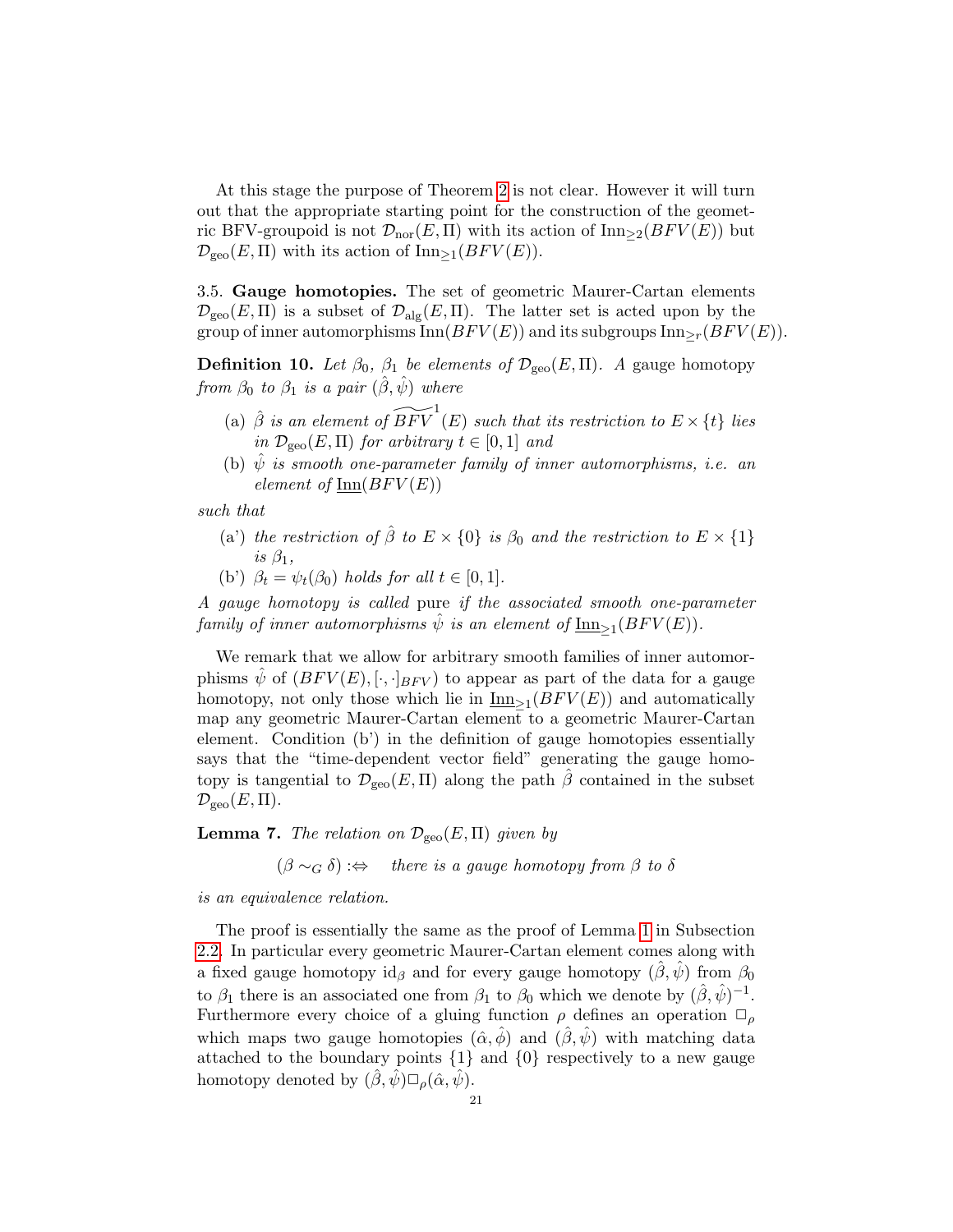At this stage the purpose of Theorem [2](#page-19-0) is not clear. However it will turn out that the appropriate starting point for the construction of the geometric BFV-groupoid is not  $\mathcal{D}_{\text{nor}}(E,\Pi)$  with its action of  $\text{Inn}_{\geq 2}(BFV(E))$  but  $\mathcal{D}_{\rm geo}(E,\Pi)$  with its action of Inn>1(BFV(E)).

<span id="page-20-0"></span>3.5. Gauge homotopies. The set of geometric Maurer-Cartan elements  $\mathcal{D}_{\rm geo}(E,\Pi)$  is a subset of  $\mathcal{D}_{\rm alg}(E,\Pi)$ . The latter set is acted upon by the group of inner automorphisms Inn( $BFV(E)$ ) and its subgroups Inn $_{\geq r}(BFV(E))$ .

<span id="page-20-1"></span>**Definition 10.** Let  $\beta_0$ ,  $\beta_1$  be elements of  $\mathcal{D}_{\text{geo}}(E,\Pi)$ . A gauge homotopy from  $\beta_0$  to  $\beta_1$  is a pair  $(\hat{\beta}, \hat{\psi})$  where

- (a)  $\hat{\beta}$  is an element of  $\widetilde{BFV} ^{1}(E)$  such that its restriction to  $E\times \{t\}$  lies in  $\mathcal{D}_{\text{geo}}(E,\Pi)$  for arbitrary  $t \in [0,1]$  and
- (b)  $\hat{\psi}$  is smooth one-parameter family of inner automorphisms, i.e. an element of  $\text{Inn}(BFV(E))$

such that

- (a') the restriction of  $\hat{\beta}$  to  $E \times \{0\}$  is  $\beta_0$  and the restriction to  $E \times \{1\}$ is  $\beta_1$ ,
- (b')  $\beta_t = \psi_t(\beta_0)$  holds for all  $t \in [0, 1]$ .

A gauge homotopy is called pure if the associated smooth one-parameter family of inner automorphisms  $\hat{\psi}$  is an element of  $\underline{\text{Inn}}_{\geq 1}(BFV(E)).$ 

We remark that we allow for arbitrary smooth families of inner automorphisms  $\tilde{\psi}$  of  $(BFV(E), [\cdot, \cdot]_{BFV})$  to appear as part of the data for a gauge homotopy, not only those which lie in  $\underline{\text{Inn}}_{\geq 1}(BFV(E))$  and automatically map any geometric Maurer-Cartan element to a geometric Maurer-Cartan element. Condition (b') in the definition of gauge homotopies essentially says that the "time-dependent vector field" generating the gauge homotopy is tangential to  $\mathcal{D}_{\rm geo}(E,\Pi)$  along the path  $\hat{\beta}$  contained in the subset  $\mathcal{D}_{\rm geo}(E,\Pi).$ 

**Lemma 7.** The relation on  $\mathcal{D}_{\text{geo}}(E,\Pi)$  given by

 $(\beta \sim_G \delta)$  :⇔ there is a gauge homotopy from  $\beta$  to  $\delta$ 

is an equivalence relation.

The proof is essentially the same as the proof of Lemma [1](#page-5-0) in Subsection [2.2.](#page-4-0) In particular every geometric Maurer-Cartan element comes along with a fixed gauge homotopy id<sub>β</sub> and for every gauge homotopy  $(\hat{\beta}, \hat{\psi})$  from  $\beta_0$ to  $\beta_1$  there is an associated one from  $\beta_1$  to  $\beta_0$  which we denote by  $(\hat{\beta}, \hat{\psi})^{-1}$ . Furthermore every choice of a gluing function  $\rho$  defines an operation  $\Box_{\rho}$ which maps two gauge homotopies  $(\hat{\alpha}, \hat{\phi})$  and  $(\hat{\beta}, \hat{\psi})$  with matching data attached to the boundary points  $\{1\}$  and  $\{0\}$  respectively to a new gauge homotopy denoted by  $(\hat{\beta}, \hat{\psi}) \square_{\rho} (\hat{\alpha}, \hat{\psi}).$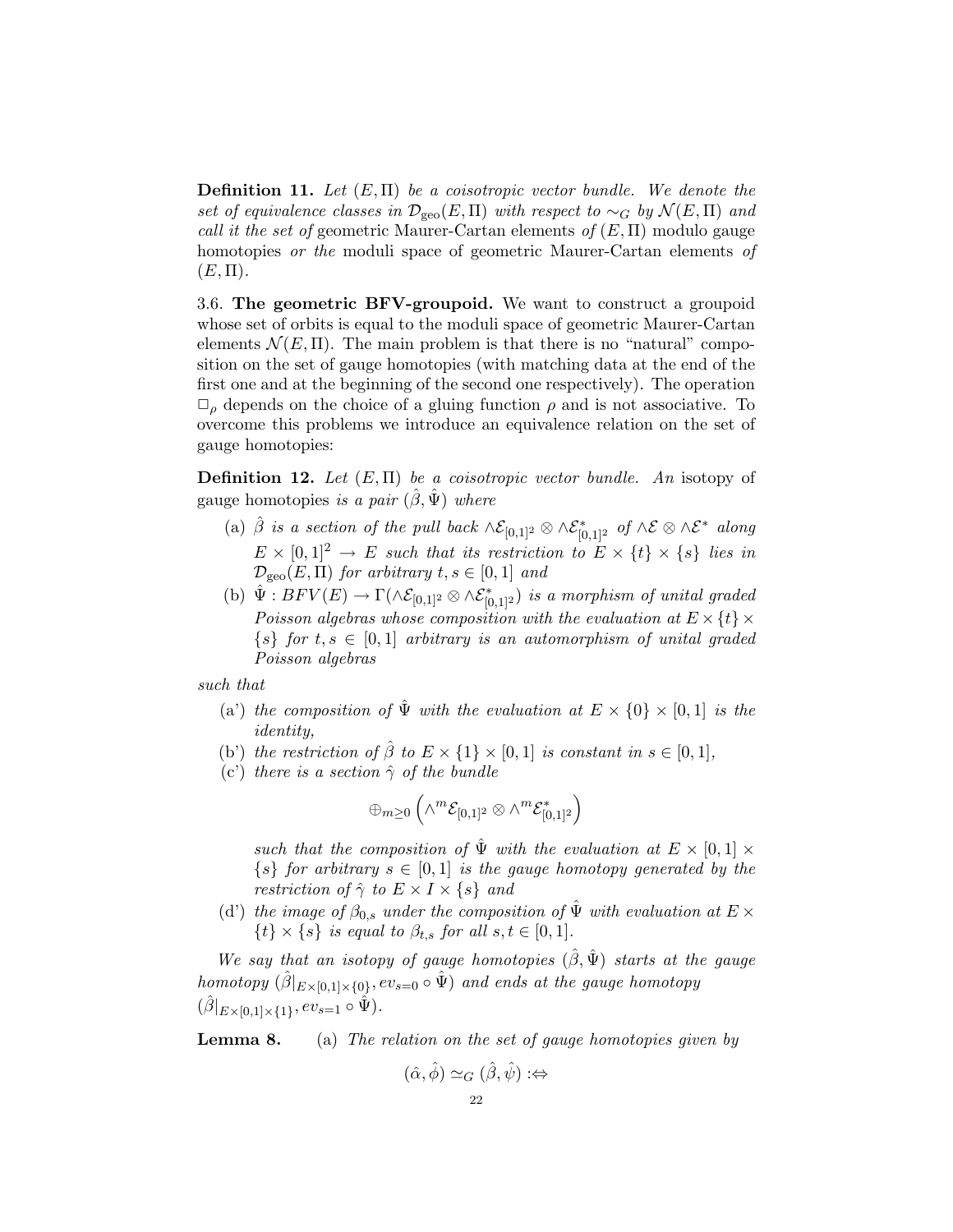**Definition 11.** Let  $(E, \Pi)$  be a coisotropic vector bundle. We denote the set of equivalence classes in  $\mathcal{D}_{\text{geo}}(E,\Pi)$  with respect to  $\sim_G$  by  $\mathcal{N}(E,\Pi)$  and call it the set of geometric Maurer-Cartan elements of  $(E, \Pi)$  modulo gauge homotopies *or the* moduli space of geometric Maurer-Cartan elements of  $(E,\Pi).$ 

<span id="page-21-0"></span>3.6. The geometric BFV-groupoid. We want to construct a groupoid whose set of orbits is equal to the moduli space of geometric Maurer-Cartan elements  $\mathcal{N}(E,\Pi)$ . The main problem is that there is no "natural" composition on the set of gauge homotopies (with matching data at the end of the first one and at the beginning of the second one respectively). The operation  $\Box$ <sub>ρ</sub> depends on the choice of a gluing function  $\rho$  and is not associative. To overcome this problems we introduce an equivalence relation on the set of gauge homotopies:

**Definition 12.** Let  $(E, \Pi)$  be a coisotropic vector bundle. An isotopy of gauge homotopies is a pair  $(\hat{\beta}, \hat{\Psi})$  where

- (a)  $\hat{\beta}$  is a section of the pull back  $\wedge \mathcal{E}_{[0,1]^2} \otimes \wedge \mathcal{E}_{[0,1]^2}^*$  of  $\wedge \mathcal{E} \otimes \wedge \mathcal{E}^*$  along  $E \times [0,1]^2 \rightarrow E$  such that its restriction to  $E \times \{t\} \times \{s\}$  lies in  $\mathcal{D}_{\text{geo}}(E,\Pi)$  for arbitrary  $t,s\in[0,1]$  and
- (b)  $\hat{\Psi}: BFV(E) \to \Gamma(\wedge \mathcal{E}_{[0,1]^2} \otimes \wedge \mathcal{E}_{[0,1]^2}^*)$  is a morphism of unital graded Poisson algebras whose composition with the evaluation at  $E \times \{t\} \times$  $\{s\}$  for  $t, s \in [0,1]$  arbitrary is an automorphism of unital graded Poisson algebras

such that

- (a) the composition of  $\hat{\Psi}$  with the evaluation at  $E \times \{0\} \times [0,1]$  is the identity,
- (b') the restriction of  $\hat{\beta}$  to  $E \times \{1\} \times [0,1]$  is constant in  $s \in [0,1]$ ,
- (c') there is a section  $\hat{\gamma}$  of the bundle

$$
\oplus_{m\geq 0}\left(\wedge^m \mathcal{E}_{[0,1]^2}\otimes \wedge^m \mathcal{E}^*_{[0,1]^2}\right)
$$

such that the composition of  $\hat{\Psi}$  with the evaluation at  $E \times [0,1] \times$  $\{s\}$  for arbitrary  $s \in [0,1]$  is the gauge homotopy generated by the restriction of  $\hat{\gamma}$  to  $E \times I \times \{s\}$  and

(d') the image of  $\beta_{0,s}$  under the composition of  $\hat{\Psi}$  with evaluation at  $E \times$  $\{t\} \times \{s\}$  is equal to  $\beta_{t,s}$  for all  $s,t \in [0,1]$ .

We say that an isotopy of gauge homotopies  $(\hat{\beta}, \hat{\Psi})$  starts at the gauge homotopy  $(\hat{\beta}|_{E\times [0,1]\times \{0\}}, ev_{s=0} \circ \hat{\Psi})$  and ends at the gauge homotopy  $(\hat{\beta}|_{E\times[0,1]\times\{1\}}, ev_{s=1}\circ \hat{\Psi}).$ 

**Lemma 8.** (a) The relation on the set of gauge homotopies given by

$$
(\hat{\alpha}, \hat{\phi}) \simeq_G (\hat{\beta}, \hat{\psi}) :\Leftrightarrow
$$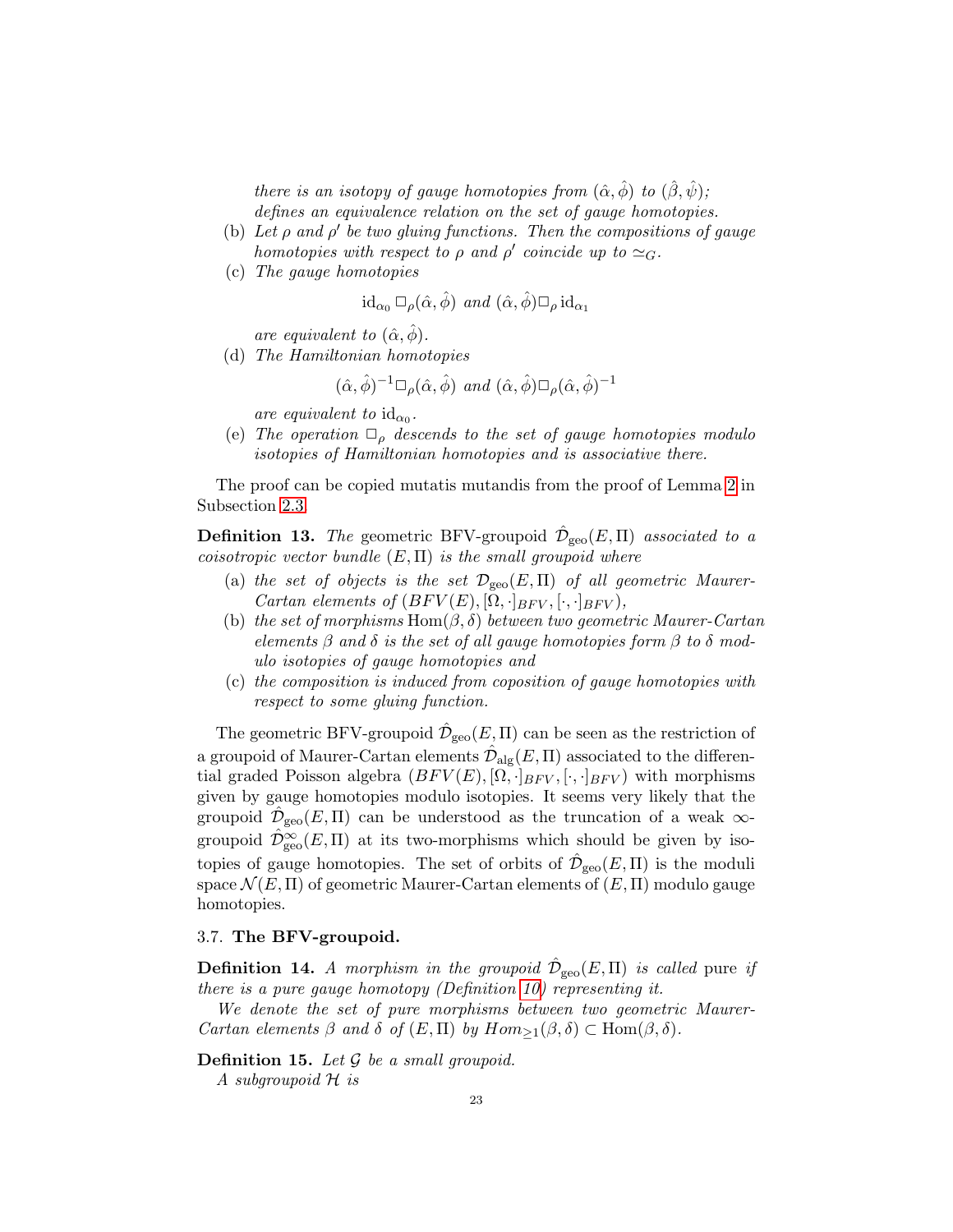there is an isotopy of gauge homotopies from  $(\hat{\alpha}, \hat{\phi})$  to  $(\hat{\beta}, \hat{\psi})$ ; defines an equivalence relation on the set of gauge homotopies.

- (b) Let  $\rho$  and  $\rho'$  be two gluing functions. Then the compositions of gauge homotopies with respect to  $\rho$  and  $\rho'$  coincide up to  $\simeq_G$ .
- (c) The gauge homotopies

$$
\mathrm{id}_{\alpha_0} \sqcup_{\rho} (\hat{\alpha}, \hat{\phi}) \ \text{and} \ (\hat{\alpha}, \hat{\phi}) \sqcup_{\rho} \mathrm{id}_{\alpha_1}
$$

are equivalent to  $(\hat{\alpha}, \phi)$ .

(d) The Hamiltonian homotopies

$$
(\hat{\alpha}, \hat{\phi})^{-1} \Box_{\rho} (\hat{\alpha}, \hat{\phi}) \text{ and } (\hat{\alpha}, \hat{\phi}) \Box_{\rho} (\hat{\alpha}, \hat{\phi})^{-1}
$$

are equivalent to  $id_{\alpha_0}$ .

(e) The operation  $\Box_{\rho}$  descends to the set of gauge homotopies modulo isotopies of Hamiltonian homotopies and is associative there.

The proof can be copied mutatis mutandis from the proof of Lemma [2](#page-7-0) in Subsection [2.3.](#page-6-0)

**Definition 13.** The geometric BFV-groupoid  $\hat{\mathcal{D}}_{geo}(E,\Pi)$  associated to a coisotropic vector bundle  $(E, \Pi)$  is the small groupoid where

- (a) the set of objects is the set  $\mathcal{D}_{\text{geo}}(E,\Pi)$  of all geometric Maurer-Cartan elements of  $(BFV(E), [\Omega, \cdot]_{BFV}, [\cdot, \cdot]_{BFV}),$
- (b) the set of morphisms Hom $(\beta, \delta)$  between two geometric Maurer-Cartan elements  $\beta$  and  $\delta$  is the set of all gauge homotopies form  $\beta$  to  $\delta$  modulo isotopies of gauge homotopies and
- (c) the composition is induced from coposition of gauge homotopies with respect to some gluing function.

The geometric BFV-groupoid  $\hat{\mathcal{D}}_{\text{geo}}(E,\Pi)$  can be seen as the restriction of a groupoid of Maurer-Cartan elements  $\hat{\mathcal{D}}_{\text{alg}}(E,\Pi)$  associated to the differential graded Poisson algebra  $(BFV(E), [\Omega, \cdot]_{BFV}, [\cdot, \cdot]_{BFV})$  with morphisms given by gauge homotopies modulo isotopies. It seems very likely that the groupoid  $\hat{\mathcal{D}}_{\rm geo}(E,\Pi)$  can be understood as the truncation of a weak  $\infty$ groupoid  $\hat{\mathcal{D}}_{\rm geo}^{\infty}(E,\Pi)$  at its two-morphisms which should be given by isotopies of gauge homotopies. The set of orbits of  $\hat{\mathcal{D}}_{\text{geo}}(E,\Pi)$  is the moduli space  $\mathcal{N}(E,\Pi)$  of geometric Maurer-Cartan elements of  $(E,\Pi)$  modulo gauge homotopies.

### <span id="page-22-0"></span>3.7. The BFV-groupoid.

<span id="page-22-1"></span>**Definition 14.** A morphism in the groupoid  $\hat{\mathcal{D}}_{\text{geo}}(E,\Pi)$  is called pure if there is a pure gauge homotopy (Definition [10\)](#page-20-1) representing it.

We denote the set of pure morphisms between two geometric Maurer-Cartan elements  $\beta$  and  $\delta$  of  $(E,\Pi)$  by  $Hom_{\geq 1}(\beta,\delta) \subset Hom(\beta,\delta)$ .

**Definition 15.** Let  $\mathcal G$  be a small groupoid.

A subgroupoid H is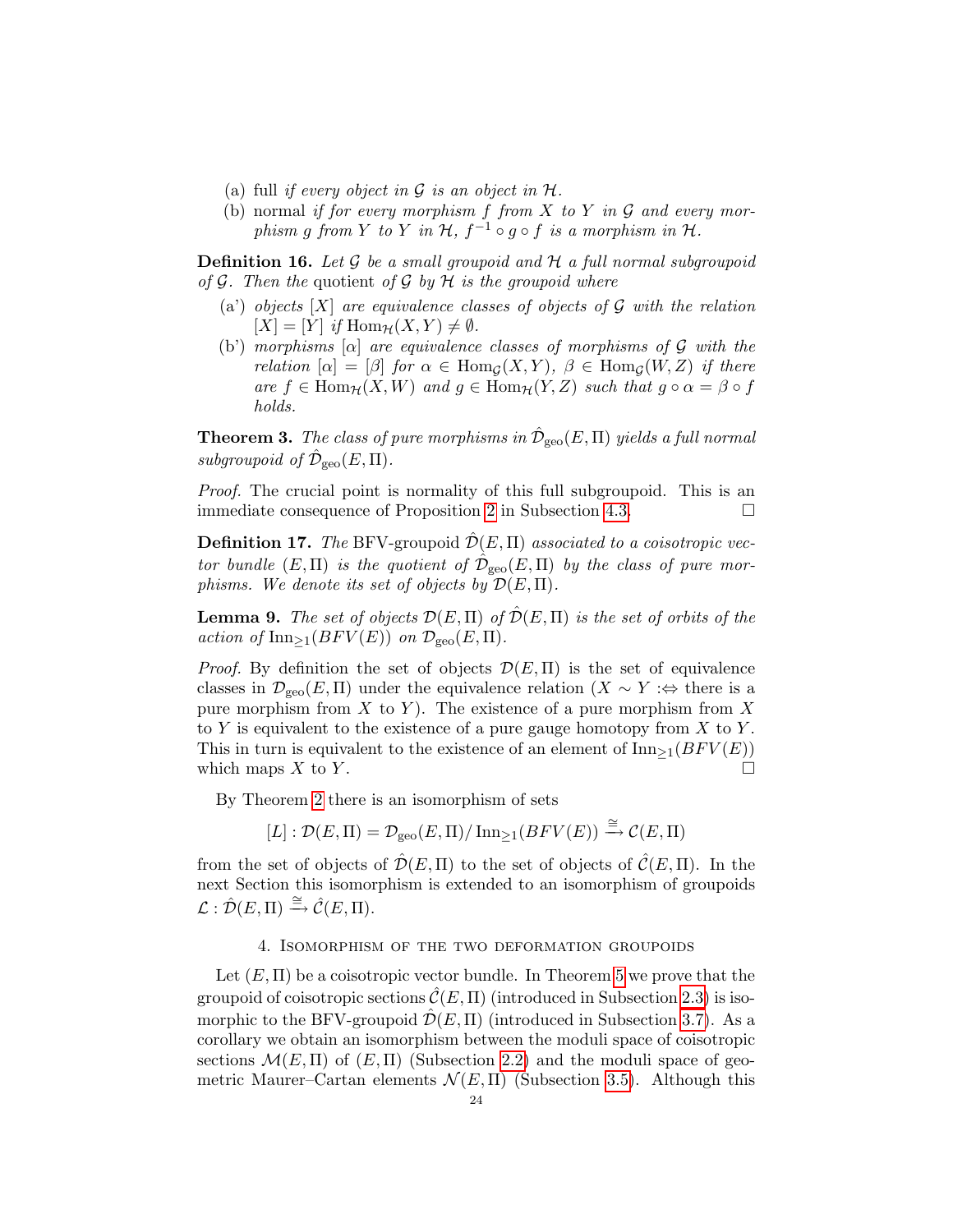- (a) full if every object in  $\mathcal G$  is an object in  $\mathcal H$ .
- (b) normal if for every morphism f from  $X$  to  $Y$  in  $G$  and every morphism g from Y to Y in  $H$ ,  $f^{-1} \circ g \circ f$  is a morphism in H.

**Definition 16.** Let  $\mathcal G$  be a small groupoid and  $\mathcal H$  a full normal subgroupoid of  $G$ . Then the quotient of  $G$  by  $H$  is the groupoid where

- (a') objects  $[X]$  are equivalence classes of objects of  $G$  with the relation  $[X] = [Y]$  if  $\text{Hom}_{\mathcal{H}}(X, Y) \neq \emptyset$ .
- (b') morphisms  $[\alpha]$  are equivalence classes of morphisms of G with the relation  $[\alpha] = [\beta]$  for  $\alpha \in \text{Hom}_{\mathcal{G}}(X, Y)$ ,  $\beta \in \text{Hom}_{\mathcal{G}}(W, Z)$  if there are  $f \in \text{Hom}_{\mathcal{H}}(X, W)$  and  $g \in \text{Hom}_{\mathcal{H}}(Y, Z)$  such that  $g \circ \alpha = \beta \circ f$ holds.

<span id="page-23-1"></span>**Theorem 3.** The class of pure morphisms in  $\hat{\mathcal{D}}_{\text{geo}}(E,\Pi)$  yields a full normal subgroupoid of  $\hat{\mathcal{D}}_{\rm geo}(E,\Pi)$ .

Proof. The crucial point is normality of this full subgroupoid. This is an immediate consequence of Proposition [2](#page-31-1) in Subsection [4.3.](#page-30-0)

<span id="page-23-2"></span>**Definition 17.** The BFV-groupoid  $\mathcal{D}(E,\Pi)$  associated to a coisotropic vector bundle  $(E, \Pi)$  is the quotient of  $\hat{\mathcal{D}}_{\text{geo}}(E, \Pi)$  by the class of pure morphisms. We denote its set of objects by  $\mathcal{D}(E,\Pi)$ .

**Lemma 9.** The set of objects  $\mathcal{D}(E,\Pi)$  of  $\hat{\mathcal{D}}(E,\Pi)$  is the set of orbits of the action of  $\text{Inn}_{\geq 1}(BFV(E))$  on  $\mathcal{D}_{\text{geo}}(E,\Pi)$ .

*Proof.* By definition the set of objects  $\mathcal{D}(E,\Pi)$  is the set of equivalence classes in  $\mathcal{D}_{\text{geo}}(E,\Pi)$  under the equivalence relation  $(X \sim Y : \Leftrightarrow$  there is a pure morphism from  $X$  to  $Y$ ). The existence of a pure morphism from  $X$ to Y is equivalent to the existence of a pure gauge homotopy from  $X$  to  $Y$ . This in turn is equivalent to the existence of an element of  $\text{Inn}_{\geq 1}(BFV(E))$ which maps  $X$  to  $Y$ .

By Theorem [2](#page-19-0) there is an isomorphism of sets

 $[L]: \mathcal{D}(E,\Pi) = \mathcal{D}_{\text{geo}}(E,\Pi)/\operatorname{Inn}_{\geq 1}(BFV(E)) \stackrel{\cong}{\longrightarrow} \mathcal{C}(E,\Pi)$ 

from the set of objects of  $\hat{\mathcal{D}}(E,\Pi)$  to the set of objects of  $\hat{\mathcal{C}}(E,\Pi)$ . In the next Section this isomorphism is extended to an isomorphism of groupoids  $\mathcal{L} : \hat{\mathcal{D}}(E,\Pi) \stackrel{\cong}{\longrightarrow} \hat{\mathcal{C}}(E,\Pi).$ 

## 4. Isomorphism of the two deformation groupoids

<span id="page-23-0"></span>Let  $(E, \Pi)$  be a coisotropic vector bundle. In Theorem [5](#page-32-0) we prove that the groupoid of coisotropic sections  $\hat{\mathcal{C}}(E,\Pi)$  (introduced in Subsection [2.3\)](#page-6-0) is isomorphic to the BFV-groupoid  $\mathcal{D}(E,\Pi)$  (introduced in Subsection [3.7\)](#page-22-0). As a corollary we obtain an isomorphism between the moduli space of coisotropic sections  $\mathcal{M}(E,\Pi)$  of  $(E,\Pi)$  (Subsection [2.2\)](#page-4-0) and the moduli space of geometric Maurer–Cartan elements  $\mathcal{N}(E,\Pi)$  (Subsection [3.5\)](#page-20-0). Although this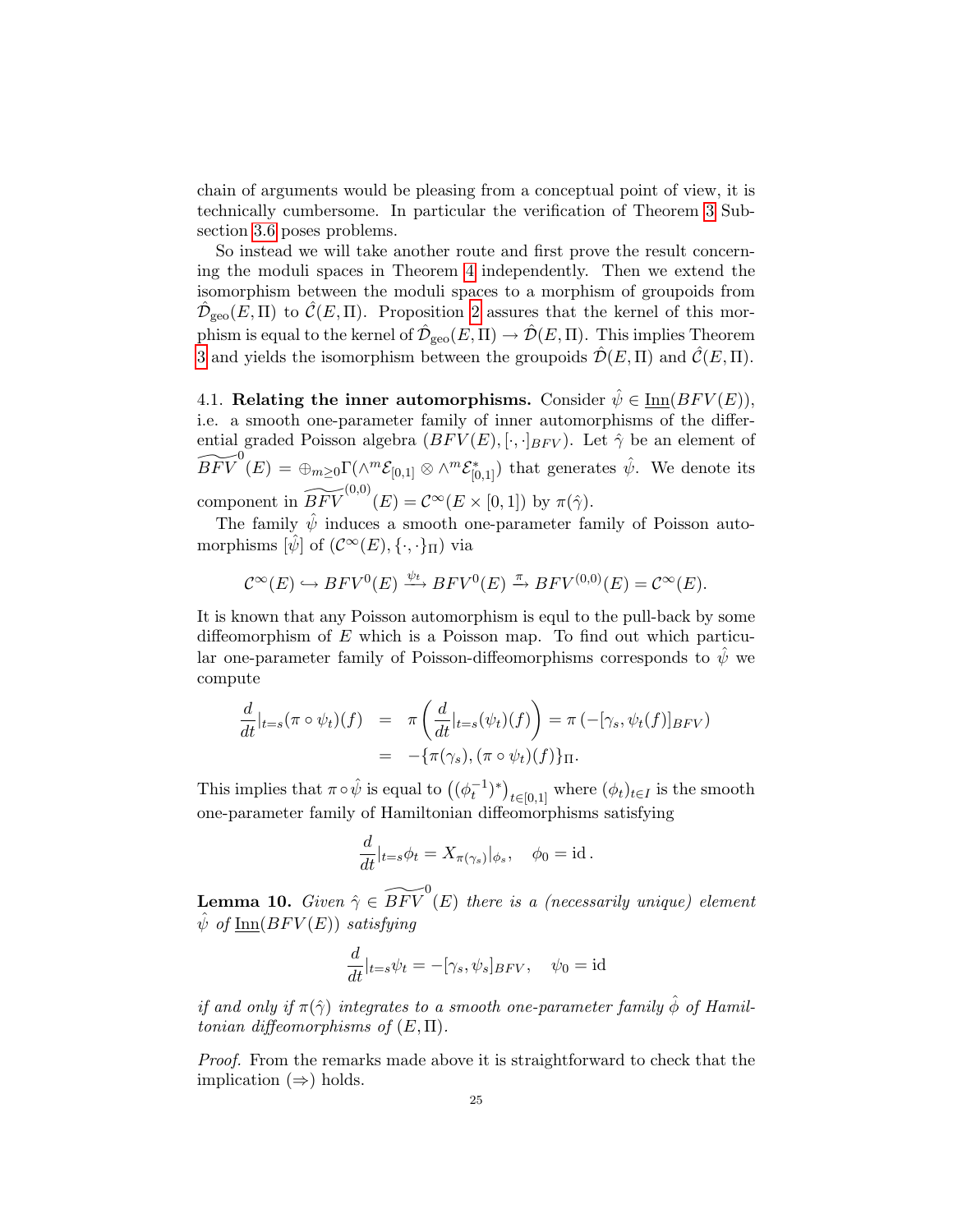chain of arguments would be pleasing from a conceptual point of view, it is technically cumbersome. In particular the verification of Theorem [3](#page-23-1) Subsection [3.6](#page-21-0) poses problems.

So instead we will take another route and first prove the result concerning the moduli spaces in Theorem [4](#page-27-0) independently. Then we extend the isomorphism between the moduli spaces to a morphism of groupoids from  $\hat{\mathcal{D}}_{\rm geo}(E,\Pi)$  to  $\hat{\mathcal{C}}(E,\Pi)$ . Proposition [2](#page-31-1) assures that the kernel of this morphism is equal to the kernel of  $\hat{\mathcal{D}}_{\rm geo}(E,\Pi) \to \hat{\mathcal{D}}(E,\Pi)$ . This implies Theorem [3](#page-23-1) and yields the isomorphism between the groupoids  $\hat{\mathcal{D}}(E,\Pi)$  and  $\hat{\mathcal{C}}(E,\Pi)$ .

<span id="page-24-0"></span>4.1. Relating the inner automorphisms. Consider  $\hat{\psi} \in \text{Inn}(BFV(E)),$ i.e. a smooth one-parameter family of inner automorphisms of the differential graded Poisson algebra  $(BFV(E), [\cdot, \cdot]_{BFV})$ . Let  $\hat{\gamma}$  be an element of  $\widetilde{BFV} ^0(E) = \bigoplus_{m \geq 0} \Gamma(\wedge^m \mathcal{E}_{[0,1]} \otimes \wedge^m \mathcal{E}_{[0,1]}^*)$  that generates  $\hat{\psi}$ . We denote its component in  $\widetilde{BFV}^{(0,0)}(E) = \mathcal{C}^{\infty}(E \times [0,1])$  by  $\pi(\hat{\gamma})$ .

The family  $\hat{\psi}$  induces a smooth one-parameter family of Poisson automorphisms  $[\hat{\psi}]$  of  $(\mathcal{C}^{\infty}(E), \{\cdot, \cdot\}_{\Pi})$  via

$$
\mathcal{C}^{\infty}(E) \hookrightarrow BFV^{0}(E) \xrightarrow{\psi_t} BFV^{0}(E) \xrightarrow{\pi} BFV^{(0,0)}(E) = \mathcal{C}^{\infty}(E).
$$

It is known that any Poisson automorphism is equl to the pull-back by some diffeomorphism of  $E$  which is a Poisson map. To find out which particular one-parameter family of Poisson-diffeomorphisms corresponds to  $\hat{\psi}$  we compute

$$
\frac{d}{dt}|_{t=s}(\pi \circ \psi_t)(f) = \pi \left(\frac{d}{dt}|_{t=s}(\psi_t)(f)\right) = \pi \left(-[\gamma_s, \psi_t(f)]_{BFV}\right)
$$

$$
= -\{\pi(\gamma_s), (\pi \circ \psi_t)(f)\}_{\Pi}.
$$

This implies that  $\pi \circ \hat{\psi}$  is equal to  $((\phi_t^{-1})^*)_{t \in [0,1]}$  where  $(\phi_t)_{t \in I}$  is the smooth one-parameter family of Hamiltonian diffeomorphisms satisfying

$$
\frac{d}{dt}|_{t=s}\phi_t=X_{\pi(\gamma_s)}|_{\phi_s},\quad \phi_0=\mathrm{id}\,.
$$

**Lemma 10.** Given  $\hat{\gamma} \in \widetilde{BFV} ^{0}(E)$  there is a (necessarily unique) element  $\hat{\psi}$  of Inn( $BFV(E)$ ) satisfying

$$
\frac{d}{dt}|_{t=s}\psi_t = -[\gamma_s, \psi_s]_{BFV}, \quad \psi_0 = id
$$

if and only if  $\pi(\hat{\gamma})$  integrates to a smooth one-parameter family  $\hat{\phi}$  of Hamiltonian diffeomorphisms of  $(E, \Pi)$ .

Proof. From the remarks made above it is straightforward to check that the implication  $(\Rightarrow)$  holds.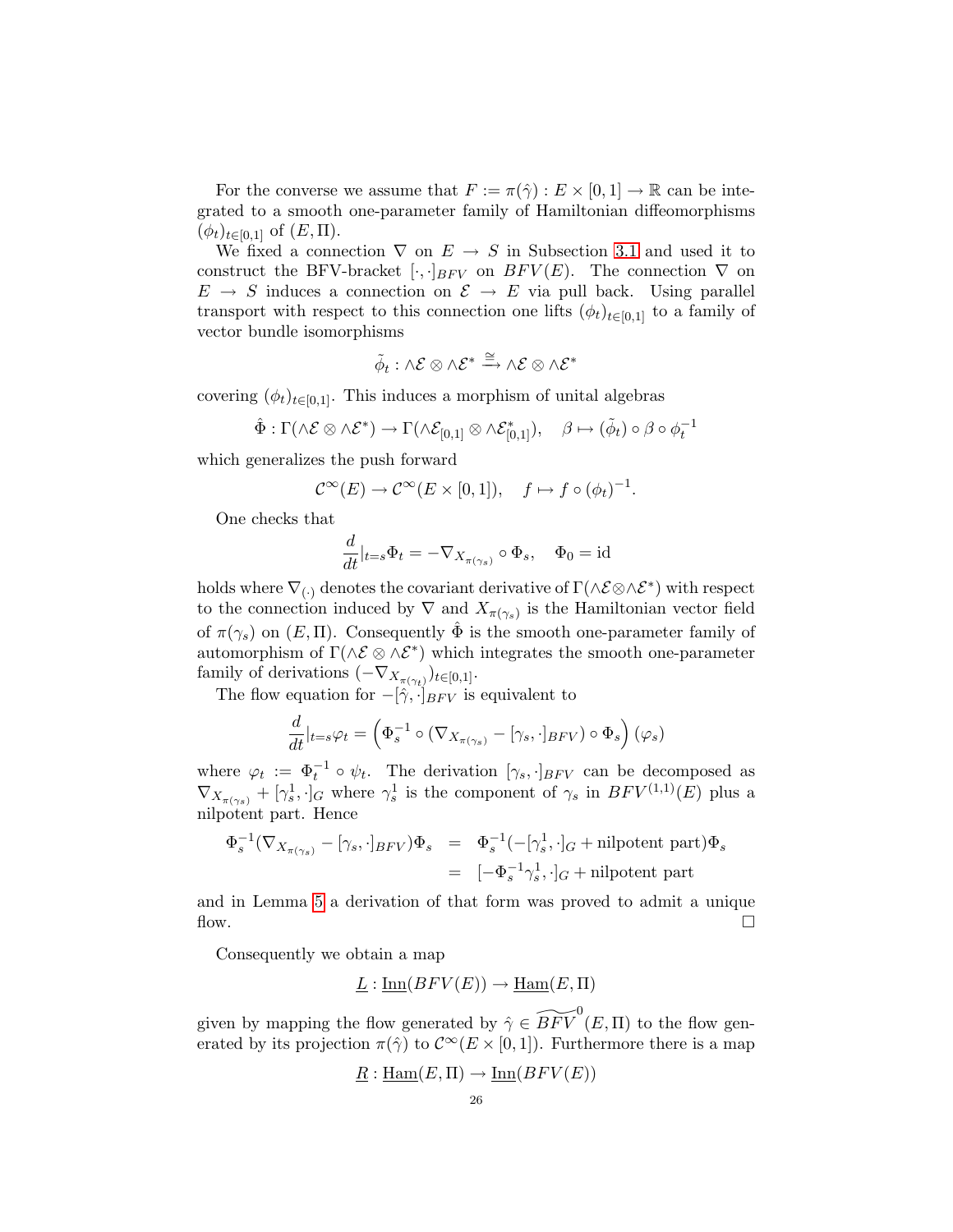For the converse we assume that  $F := \pi(\hat{\gamma}) : E \times [0,1] \to \mathbb{R}$  can be integrated to a smooth one-parameter family of Hamiltonian diffeomorphisms  $(\phi_t)_{t\in[0,1]}$  of  $(E,\Pi)$ .

We fixed a connection  $\nabla$  on  $E \rightarrow S$  in Subsection [3.1](#page-11-1) and used it to construct the BFV-bracket  $[\cdot,\cdot]_{BFV}$  on  $BFV(E)$ . The connection  $\nabla$  on  $E \rightarrow S$  induces a connection on  $\mathcal{E} \rightarrow E$  via pull back. Using parallel transport with respect to this connection one lifts  $(\phi_t)_{t\in[0,1]}$  to a family of vector bundle isomorphisms

$$
\tilde{\phi}_t : \wedge \mathcal{E} \otimes \wedge \mathcal{E}^* \xrightarrow{\cong} \wedge \mathcal{E} \otimes \wedge \mathcal{E}^*
$$

covering  $(\phi_t)_{t\in[0,1]}$ . This induces a morphism of unital algebras

$$
\hat{\Phi} : \Gamma(\wedge \mathcal{E} \otimes \wedge \mathcal{E}^*) \to \Gamma(\wedge \mathcal{E}_{[0,1]} \otimes \wedge \mathcal{E}_{[0,1]}^*), \quad \beta \mapsto (\tilde{\phi}_t) \circ \beta \circ \phi_t^{-1}
$$

which generalizes the push forward

$$
\mathcal{C}^{\infty}(E) \to \mathcal{C}^{\infty}(E \times [0,1]), \quad f \mapsto f \circ (\phi_t)^{-1}.
$$

One checks that

$$
\frac{d}{dt}|_{t=s}\Phi_t = -\nabla_{X_{\pi(\gamma_s)}} \circ \Phi_s, \quad \Phi_0 = id
$$

holds where  $\nabla_{(\cdot)}$  denotes the covariant derivative of  $\Gamma(\wedge \mathcal{E} \otimes \wedge \mathcal{E}^*)$  with respect to the connection induced by  $\nabla$  and  $X_{\pi(\gamma_s)}$  is the Hamiltonian vector field of  $\pi(\gamma_s)$  on  $(E, \Pi)$ . Consequently  $\hat{\Phi}$  is the smooth one-parameter family of automorphism of  $\Gamma(\wedge \mathcal{E} \otimes \wedge \mathcal{E}^*)$  which integrates the smooth one-parameter family of derivations  $(-\nabla_{X_{\pi(\gamma_t)}})_{t\in[0,1]}.$ 

The flow equation for  $-[\hat{\gamma}, \cdot]_{BFV}$  is equivalent to

$$
\frac{d}{dt}|_{t=s}\varphi_t = \left(\Phi_s^{-1} \circ (\nabla_{X_{\pi(\gamma_s)}} - [\gamma_s, \cdot]_{BFV}) \circ \Phi_s\right)(\varphi_s)
$$

where  $\varphi_t := \Phi_t^{-1} \circ \psi_t$ . The derivation  $[\gamma_s, \cdot]_{BFV}$  can be decomposed as  $\nabla_{X_{\pi(\gamma_s)}} + [\gamma_s^1, \cdot]_G$  where  $\gamma_s^1$  is the component of  $\gamma_s$  in  $BFV^{(1,1)}(E)$  plus a nilpotent part. Hence

$$
\begin{array}{rcl}\n\Phi_s^{-1}(\nabla_{X_{\pi(\gamma_s)}} - [\gamma_s, \cdot]_{BFV})\Phi_s & = & \Phi_s^{-1}(-[\gamma_s^1, \cdot]_G + \text{nilpotent part})\Phi_s \\
& = & [-\Phi_s^{-1}\gamma_s^1, \cdot]_G + \text{nilpotent part}\n\end{array}
$$

and in Lemma [5](#page-16-2) a derivation of that form was proved to admit a unique flow.  $\Box$ 

Consequently we obtain a map

$$
\underline{L}: \underline{\text{Inn}}(BFV(E)) \to \underline{\text{Ham}}(E, \Pi)
$$

given by mapping the flow generated by  $\hat{\gamma} \in \widetilde{BFV} ^{0}(E, \Pi)$  to the flow generated by its projection  $\pi(\hat{\gamma})$  to  $\mathcal{C}^{\infty}(E \times [0,1])$ . Furthermore there is a map

$$
\underline{R} : \underline{\text{Ham}}(E, \Pi) \to \underline{\text{Inn}}(BFV(E))
$$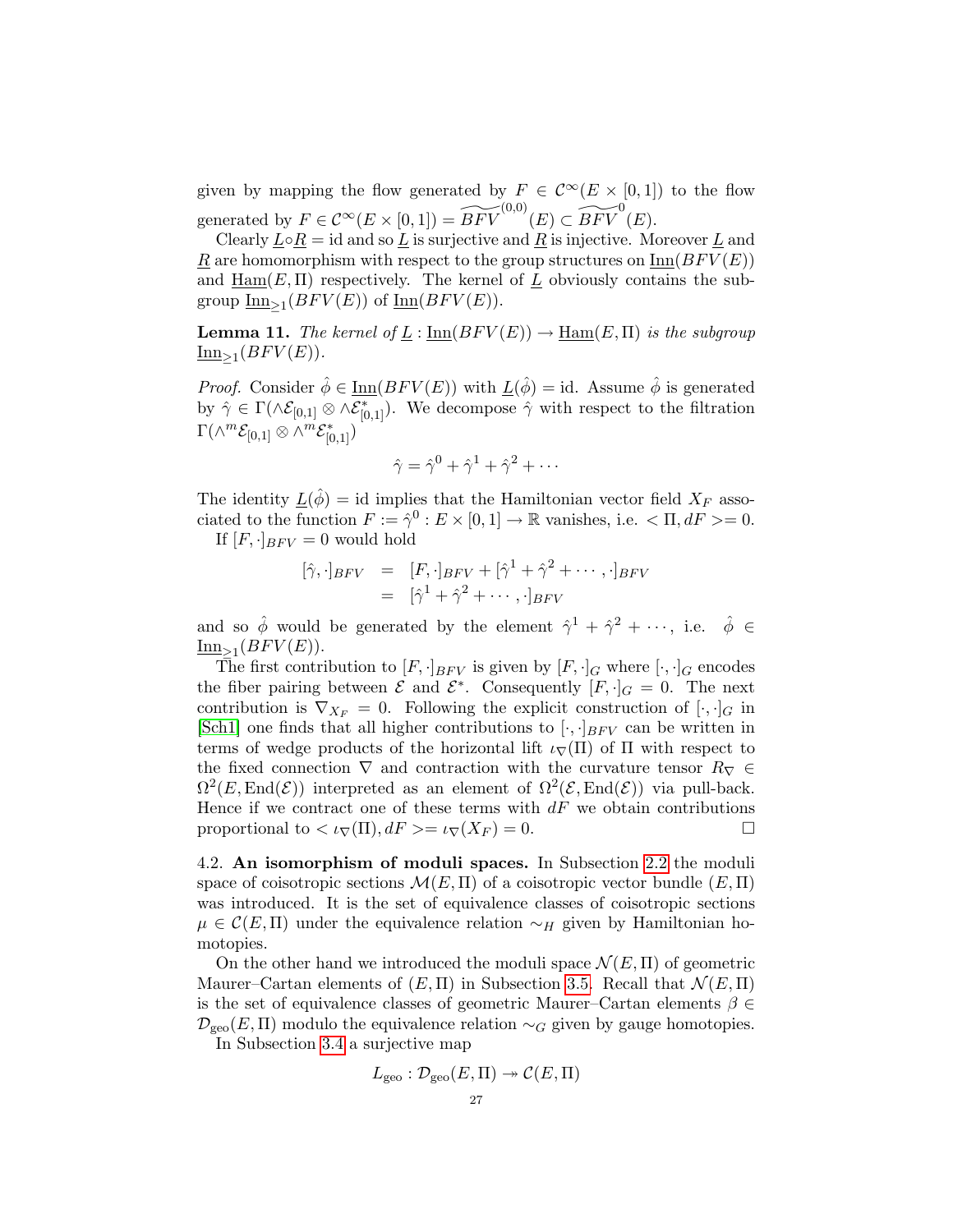given by mapping the flow generated by  $F \in C^{\infty}(E \times [0,1])$  to the flow generated by  $F \in C^{\infty}(E \times [0,1]) = \widetilde{BFV}^{(0,0)}(E) \subset \widetilde{BFV}^{0}(E)$ .

Clearly  $L \circ R = id$  and so L is surjective and R is injective. Moreover L and R are homomorphism with respect to the group structures on  $\text{Inn}(BFV(E))$ and  $\underline{\text{Ham}}(E,\Pi)$  respectively. The kernel of  $\underline{L}$  obviously contains the subgroup  $\underline{\text{Inn}}_{\geq 1}(BFV(E))$  of  $\underline{\text{Inn}}(BFV(E)).$ 

<span id="page-26-1"></span>**Lemma 11.** The kernel of  $\underline{L}$  :  $\underline{\text{Inn}}(BFV(E)) \rightarrow \underline{\text{Ham}}(E,\Pi)$  is the subgroup  $\underline{\text{Inn}}_{\geq 1}(BFV(E)).$ 

*Proof.* Consider  $\hat{\phi} \in \underline{\text{Inn}}(BFV(E))$  with  $\underline{L}(\hat{\phi}) = id$ . Assume  $\hat{\phi}$  is generated by  $\hat{\gamma} \in \Gamma(\wedge \mathcal{E}_{[0,1]} \otimes \wedge \mathcal{E}_{[0,1]}^*)$ . We decompose  $\hat{\gamma}$  with respect to the filtration  $\Gamma(\wedge^m \mathcal{E}_{[0,1]}\otimes \wedge^m \mathcal{E}_{[0,1]}^*)$ 

$$
\hat{\gamma} = \hat{\gamma}^0 + \hat{\gamma}^1 + \hat{\gamma}^2 + \cdots
$$

The identity  $\underline{L}(\hat{\phi}) = id$  implies that the Hamiltonian vector field  $X_F$  associated to the function  $F := \hat{\gamma}^0 : E \times [0, 1] \to \mathbb{R}$  vanishes, i.e.  $\langle \Pi, dF \rangle = 0$ .

If  $[F, \cdot]_{BFV} = 0$  would hold

$$
[\hat{\gamma}, \cdot]_{BFV} = [F, \cdot]_{BFV} + [\hat{\gamma}^1 + \hat{\gamma}^2 + \cdots, \cdot]_{BFV}
$$
  
=  $[\hat{\gamma}^1 + \hat{\gamma}^2 + \cdots, \cdot]_{BFV}$ 

and so  $\hat{\phi}$  would be generated by the element  $\hat{\gamma}^1 + \hat{\gamma}^2 + \cdots$ , i.e.  $\hat{\phi} \in$  $\underline{\text{Inn}}_{\geq 1}(BFV(E)).$ 

The first contribution to  $[F, \cdot]_{BFV}$  is given by  $[F, \cdot]_G$  where  $[\cdot, \cdot]_G$  encodes the fiber pairing between  $\mathcal{E}$  and  $\mathcal{E}^*$ . Consequently  $[F, \cdot]_G = 0$ . The next contribution is  $\nabla_{X_F} = 0$ . Following the explicit construction of  $[\cdot, \cdot]_G$  in [\[Sch1\]](#page-33-10) one finds that all higher contributions to  $[\cdot, \cdot]_{BFV}$  can be written in terms of wedge products of the horizontal lift  $i_{\nabla}(\Pi)$  of  $\Pi$  with respect to the fixed connection  $\nabla$  and contraction with the curvature tensor  $R_{\nabla} \in$  $\Omega^2(E,\text{End}(\mathcal{E}))$  interpreted as an element of  $\Omega^2(\mathcal{E},\text{End}(\mathcal{E}))$  via pull-back. Hence if we contract one of these terms with  $dF$  we obtain contributions proportional to  $\langle \iota_{\nabla}(\Pi), dF \rangle = \iota_{\nabla}(X_F) = 0.$ 

<span id="page-26-0"></span>4.2. An isomorphism of moduli spaces. In Subsection [2.2](#page-4-0) the moduli space of coisotropic sections  $\mathcal{M}(E,\Pi)$  of a coisotropic vector bundle  $(E,\Pi)$ was introduced. It is the set of equivalence classes of coisotropic sections  $\mu \in \mathcal{C}(E, \Pi)$  under the equivalence relation  $\sim_H$  given by Hamiltonian homotopies.

On the other hand we introduced the moduli space  $\mathcal{N}(E,\Pi)$  of geometric Maurer–Cartan elements of  $(E, \Pi)$  in Subsection [3.5.](#page-20-0) Recall that  $\mathcal{N}(E, \Pi)$ is the set of equivalence classes of geometric Maurer–Cartan elements  $\beta \in$  $\mathcal{D}_{\text{geo}}(E,\Pi)$  modulo the equivalence relation  $\sim_G$  given by gauge homotopies.

In Subsection [3.4](#page-16-0) a surjective map

$$
L_{\rm geo} : \mathcal{D}_{\rm geo}(E,\Pi) \twoheadrightarrow \mathcal{C}(E,\Pi)
$$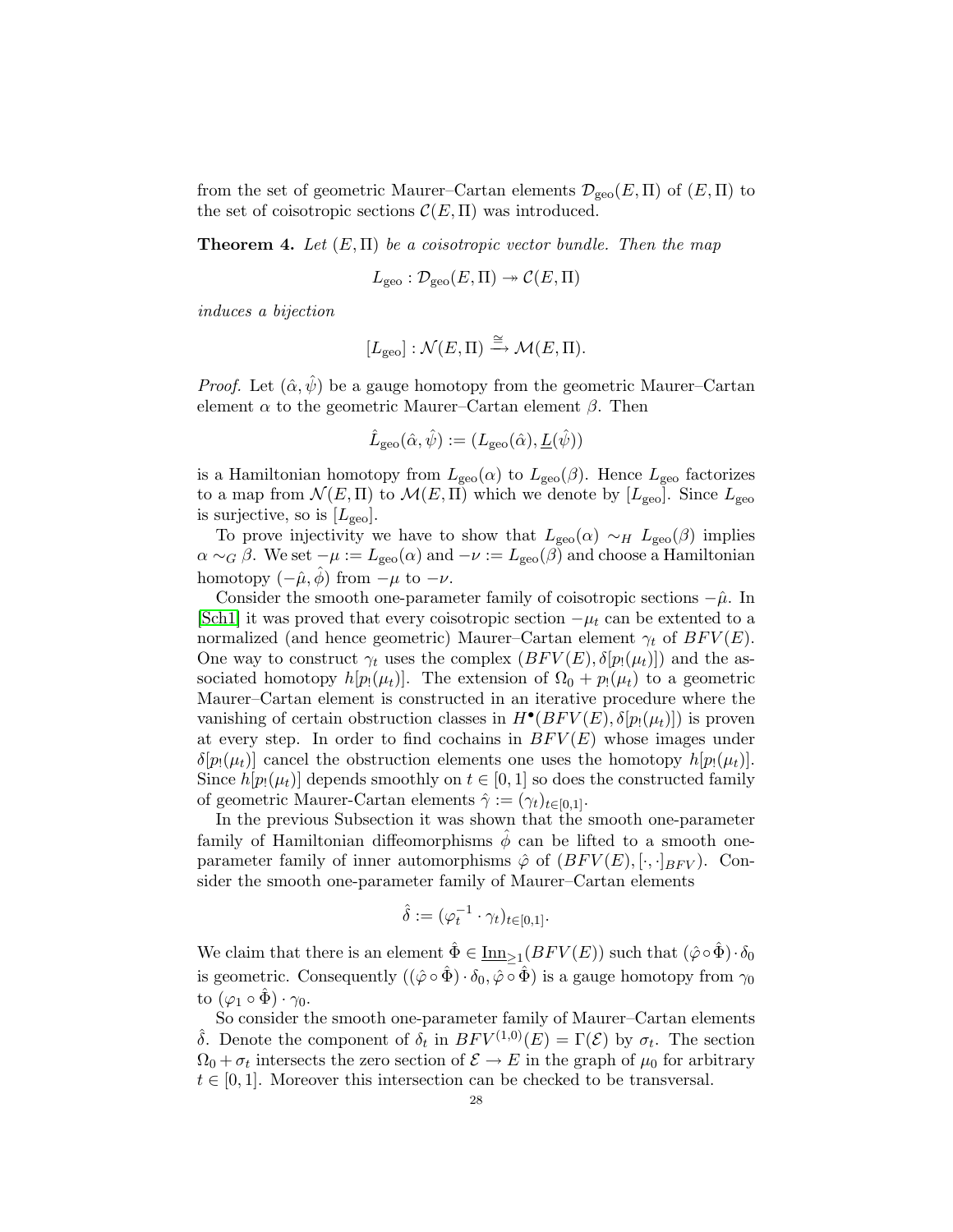from the set of geometric Maurer–Cartan elements  $\mathcal{D}_{\rm{ceo}}(E,\Pi)$  of  $(E,\Pi)$  to the set of coisotropic sections  $\mathcal{C}(E,\Pi)$  was introduced.

<span id="page-27-0"></span>**Theorem 4.** Let  $(E,\Pi)$  be a coisotropic vector bundle. Then the map

$$
L_{\rm geo}: \mathcal{D}_{\rm geo}(E,\Pi) \to \mathcal{C}(E,\Pi)
$$

induces a bijection

$$
[L_{\text{geo}}] : \mathcal{N}(E, \Pi) \xrightarrow{\cong} \mathcal{M}(E, \Pi).
$$

*Proof.* Let  $(\hat{\alpha}, \hat{\psi})$  be a gauge homotopy from the geometric Maurer–Cartan element  $\alpha$  to the geometric Maurer–Cartan element  $\beta$ . Then

$$
\hat{L}_{\rm geo}(\hat{\alpha}, \hat{\psi}) := (L_{\rm geo}(\hat{\alpha}), \underline{L}(\hat{\psi}))
$$

is a Hamiltonian homotopy from  $L_{\text{geo}}(\alpha)$  to  $L_{\text{geo}}(\beta)$ . Hence  $L_{\text{geo}}$  factorizes to a map from  $\mathcal{N}(E,\Pi)$  to  $\mathcal{M}(E,\Pi)$  which we denote by  $[L_{\text{geo}}]$ . Since  $L_{\text{geo}}$ is surjective, so is  $[L_{\text{geo}}]$ .

To prove injectivity we have to show that  $L_{\text{geo}}(\alpha) \sim_H L_{\text{geo}}(\beta)$  implies  $\alpha \sim_G \beta$ . We set  $-\mu := L_{\text{geo}}(\alpha)$  and  $-\nu := L_{\text{geo}}(\beta)$  and choose a Hamiltonian homotopy  $(-\hat{\mu}, \phi)$  from  $-\mu$  to  $-\nu$ .

Consider the smooth one-parameter family of coisotropic sections  $-\hat{\mu}$ . In [\[Sch1\]](#page-33-10) it was proved that every coisotropic section  $-\mu_t$  can be extented to a normalized (and hence geometric) Maurer–Cartan element  $\gamma_t$  of  $BFV(E)$ . One way to construct  $\gamma_t$  uses the complex  $(BFV(E), \delta[p_!(\mu_t)])$  and the associated homotopy  $h[p_!(\mu_t)]$ . The extension of  $\Omega_0 + p_!(\mu_t)$  to a geometric Maurer–Cartan element is constructed in an iterative procedure where the vanishing of certain obstruction classes in  $H^{\bullet}(BFV(E), \delta[p_!(\mu_t)])$  is proven at every step. In order to find cochains in  $BFV(E)$  whose images under  $\delta[p_!(\mu_t)]$  cancel the obstruction elements one uses the homotopy  $h[p_!(\mu_t)]$ . Since  $h[p_1(\mu_t)]$  depends smoothly on  $t \in [0,1]$  so does the constructed family of geometric Maurer-Cartan elements  $\hat{\gamma} := (\gamma_t)_{t \in [0,1]}$ .

In the previous Subsection it was shown that the smooth one-parameter family of Hamiltonian diffeomorphisms  $\phi$  can be lifted to a smooth oneparameter family of inner automorphisms  $\hat{\varphi}$  of  $(BFV(E), [\cdot, \cdot]_{BFV})$ . Consider the smooth one-parameter family of Maurer–Cartan elements

$$
\hat{\delta} := (\varphi_t^{-1} \cdot \gamma_t)_{t \in [0,1]}.
$$

We claim that there is an element  $\hat{\Phi} \in \underline{\text{Inn}}_{\geq 1}(BFV(E))$  such that  $(\hat{\varphi} \circ \hat{\Phi}) \cdot \delta_0$ is geometric. Consequently  $((\hat{\varphi} \circ \hat{\Phi}) \cdot \delta_0, \hat{\varphi} \circ \hat{\Phi})$  is a gauge homotopy from  $\gamma_0$ to  $(\varphi_1 \circ \Phi) \cdot \gamma_0$ .

So consider the smooth one-parameter family of Maurer–Cartan elements δ. Denote the component of  $\delta_t$  in  $BFV^{(1,0)}(E) = \Gamma(\mathcal{E})$  by  $\sigma_t$ . The section  $\Omega_0 + \sigma_t$  intersects the zero section of  $\mathcal{E} \to E$  in the graph of  $\mu_0$  for arbitrary  $t \in [0, 1]$ . Moreover this intersection can be checked to be transversal.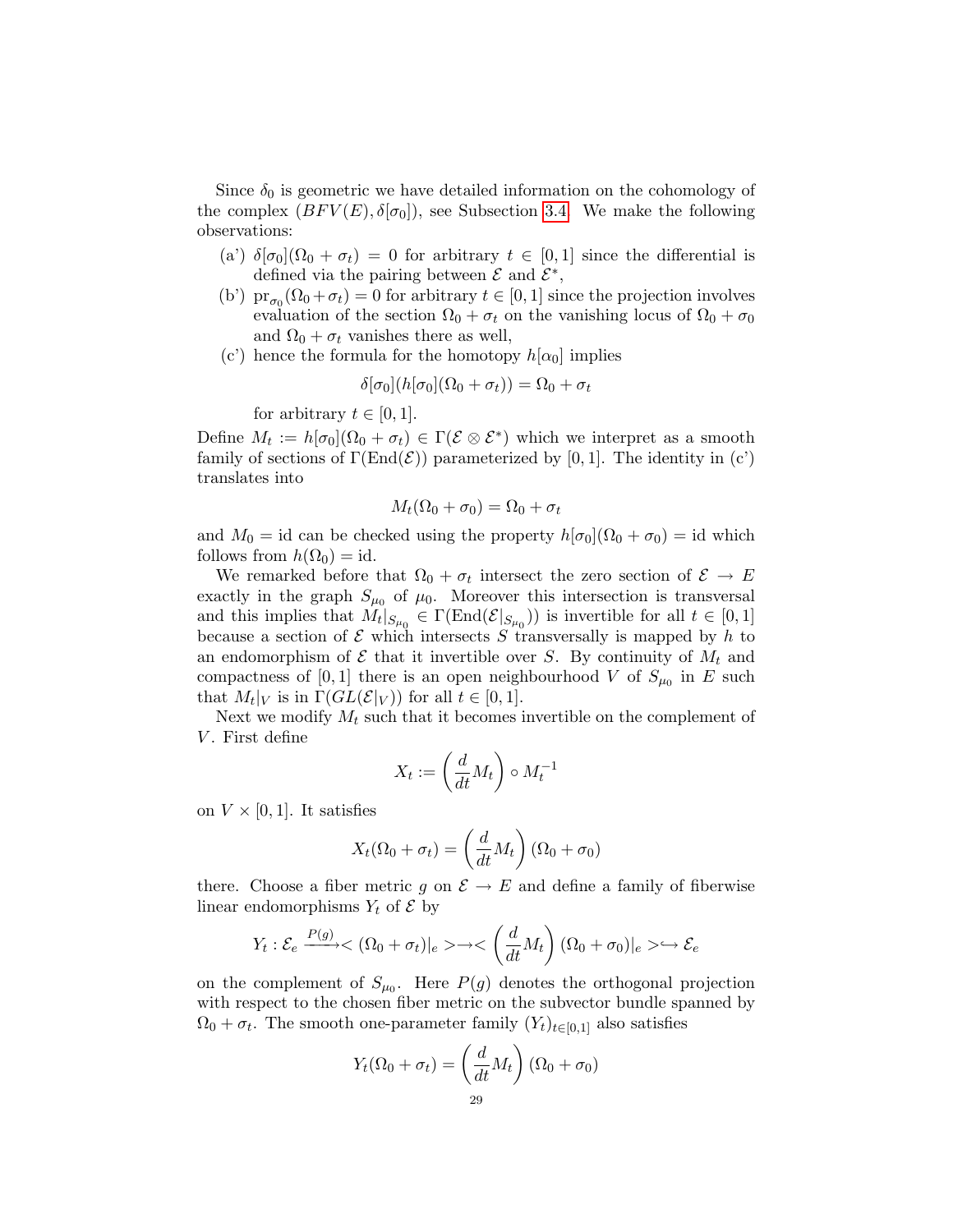Since  $\delta_0$  is geometric we have detailed information on the cohomology of the complex  $(BFV(E), \delta[\sigma_0])$ , see Subsection [3.4.](#page-16-0) We make the following observations:

- (a')  $\delta[\sigma_0](\Omega_0 + \sigma_t) = 0$  for arbitrary  $t \in [0,1]$  since the differential is defined via the pairing between  $\mathcal E$  and  $\mathcal E^*$ ,
- (b')  $\text{pr}_{\sigma_0}(\Omega_0 + \sigma_t) = 0$  for arbitrary  $t \in [0, 1]$  since the projection involves evaluation of the section  $\Omega_0 + \sigma_t$  on the vanishing locus of  $\Omega_0 + \sigma_0$ and  $\Omega_0 + \sigma_t$  vanishes there as well,
- (c') hence the formula for the homotopy  $h[\alpha_0]$  implies

$$
\delta[\sigma_0](h[\sigma_0](\Omega_0 + \sigma_t)) = \Omega_0 + \sigma_t
$$

for arbitrary  $t \in [0, 1]$ .

Define  $M_t := h[\sigma_0](\Omega_0 + \sigma_t) \in \Gamma(\mathcal{E} \otimes \mathcal{E}^*)$  which we interpret as a smooth family of sections of  $\Gamma(\text{End}(\mathcal{E}))$  parameterized by [0, 1]. The identity in (c') translates into

$$
M_t(\Omega_0 + \sigma_0) = \Omega_0 + \sigma_t
$$

and  $M_0 = id$  can be checked using the property  $h[\sigma_0](\Omega_0 + \sigma_0) = id$  which follows from  $h(\Omega_0) = id$ .

We remarked before that  $\Omega_0 + \sigma_t$  intersect the zero section of  $\mathcal{E} \to E$ exactly in the graph  $S_{\mu_0}$  of  $\mu_0$ . Moreover this intersection is transversal and this implies that  $M_t|_{S_{\mu_0}} \in \Gamma(\text{End}(\mathcal{E}|_{S_{\mu_0}}))$  is invertible for all  $t \in [0,1]$ because a section of  $\mathcal E$  which intersects  $S$  transversally is mapped by h to an endomorphism of  $\mathcal E$  that it invertible over S. By continuity of  $M_t$  and compactness of [0, 1] there is an open neighbourhood V of  $S_{\mu_0}$  in E such that  $M_t|_V$  is in  $\Gamma(GL(\mathcal{E}|_V))$  for all  $t \in [0,1]$ .

Next we modify  $M_t$  such that it becomes invertible on the complement of V. First define

$$
X_t := \left(\frac{d}{dt}M_t\right) \circ M_t^{-1}
$$

on  $V \times [0, 1]$ . It satisfies

$$
X_t(\Omega_0 + \sigma_t) = \left(\frac{d}{dt}M_t\right)(\Omega_0 + \sigma_0)
$$

there. Choose a fiber metric g on  $\mathcal{E} \to E$  and define a family of fiberwise linear endomorphisms  $Y_t$  of  $\mathcal E$  by

$$
Y_t: \mathcal{E}_e \xrightarrow{P(g)} \langle \Omega_0 + \sigma_t \rangle|_e \rangle \to \langle \left(\frac{d}{dt} M_t\right) (\Omega_0 + \sigma_0)|_e \rangle \hookrightarrow \mathcal{E}_e
$$

on the complement of  $S_{\mu_0}$ . Here  $P(g)$  denotes the orthogonal projection with respect to the chosen fiber metric on the subvector bundle spanned by  $\Omega_0 + \sigma_t$ . The smooth one-parameter family  $(Y_t)_{t \in [0,1]}$  also satisfies

$$
Y_t(\Omega_0 + \sigma_t) = \left(\frac{d}{dt}M_t\right)(\Omega_0 + \sigma_0)
$$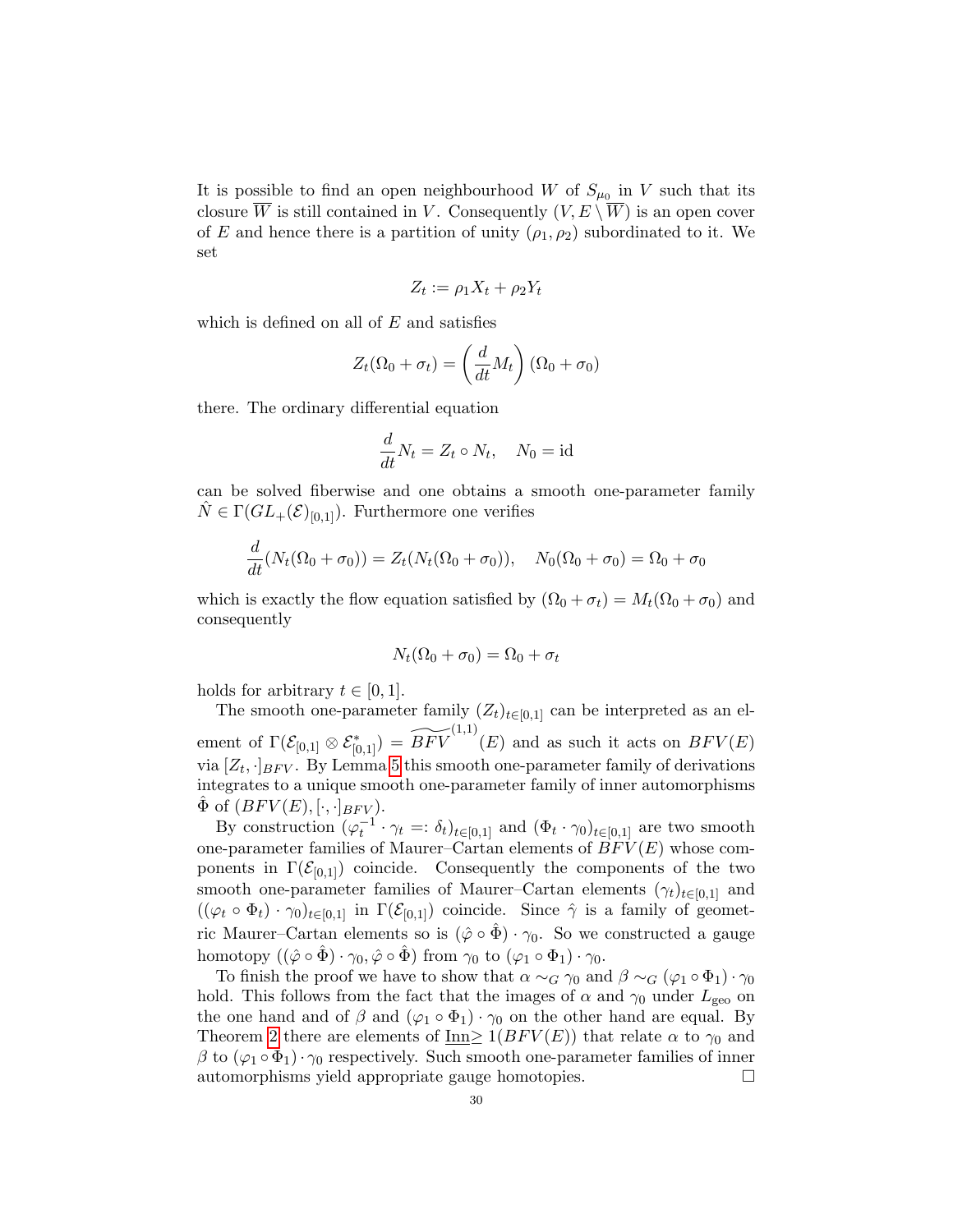It is possible to find an open neighbourhood W of  $S_{\mu_0}$  in V such that its closure  $\overline{W}$  is still contained in V. Consequently  $(V, E \setminus \overline{W})$  is an open cover of E and hence there is a partition of unity  $(\rho_1, \rho_2)$  subordinated to it. We set

$$
Z_t := \rho_1 X_t + \rho_2 Y_t
$$

which is defined on all of  $E$  and satisfies

$$
Z_t(\Omega_0 + \sigma_t) = \left(\frac{d}{dt}M_t\right)(\Omega_0 + \sigma_0)
$$

there. The ordinary differential equation

$$
\frac{d}{dt}N_t = Z_t \circ N_t, \quad N_0 = \text{id}
$$

can be solved fiberwise and one obtains a smooth one-parameter family  $\hat{N} \in \Gamma(GL_+(\mathcal{E})_{[0,1]})$ . Furthermore one verifies

$$
\frac{d}{dt}(N_t(\Omega_0 + \sigma_0)) = Z_t(N_t(\Omega_0 + \sigma_0)), \quad N_0(\Omega_0 + \sigma_0) = \Omega_0 + \sigma_0
$$

which is exactly the flow equation satisfied by  $(\Omega_0 + \sigma_t) = M_t(\Omega_0 + \sigma_0)$  and consequently

$$
N_t(\Omega_0 + \sigma_0) = \Omega_0 + \sigma_t
$$

holds for arbitrary  $t \in [0, 1]$ .

The smooth one-parameter family  $(Z_t)_{t\in[0,1]}$  can be interpreted as an element of  $\Gamma(\mathcal{E}_{[0,1]}\otimes \mathcal{E}_{[0,1]}^*)=\widetilde{BFV}^{(1,1)}(E)$  and as such it acts on  $BFV(E)$ via  $[Z_t, \cdot]_{BFV}$ . By Lemma [5](#page-16-2) this smooth one-parameter family of derivations integrates to a unique smooth one-parameter family of inner automorphisms  $\Phi$  of  $(BFV(E), [\cdot, \cdot]_{BFV}).$ 

By construction  $(\varphi_t^{-1} \cdot \gamma_t =: \delta_t)_{t \in [0,1]}$  and  $(\Phi_t \cdot \gamma_0)_{t \in [0,1]}$  are two smooth one-parameter families of Maurer–Cartan elements of  $BFV(E)$  whose components in  $\Gamma(\mathcal{E}_{[0,1]})$  coincide. Consequently the components of the two smooth one-parameter families of Maurer–Cartan elements  $(\gamma_t)_{t\in[0,1]}$  and  $((\varphi_t \circ \Phi_t) \cdot \gamma_0)_{t \in [0,1]}$  in  $\Gamma(\mathcal{E}_{[0,1]})$  coincide. Since  $\hat{\gamma}$  is a family of geometric Maurer–Cartan elements so is  $(\hat{\varphi} \circ \hat{\Phi}) \cdot \gamma_0$ . So we constructed a gauge homotopy  $((\hat{\varphi} \circ \hat{\Phi}) \cdot \gamma_0, \hat{\varphi} \circ \hat{\Phi})$  from  $\gamma_0$  to  $(\varphi_1 \circ \Phi_1) \cdot \gamma_0$ .

To finish the proof we have to show that  $\alpha \sim_G \gamma_0$  and  $\beta \sim_G (\varphi_1 \circ \Phi_1) \cdot \gamma_0$ hold. This follows from the fact that the images of  $\alpha$  and  $\gamma_0$  under  $L_{\text{geo}}$  on the one hand and of  $\beta$  and  $(\varphi_1 \circ \Phi_1) \cdot \gamma_0$  on the other hand are equal. By Theorem [2](#page-19-0) there are elements of Inn>  $1(BFV(E))$  that relate  $\alpha$  to  $\gamma_0$  and  $\beta$  to  $(\varphi_1 \circ \Phi_1) \cdot \gamma_0$  respectively. Such smooth one-parameter families of inner automorphisms yield appropriate gauge homotopies.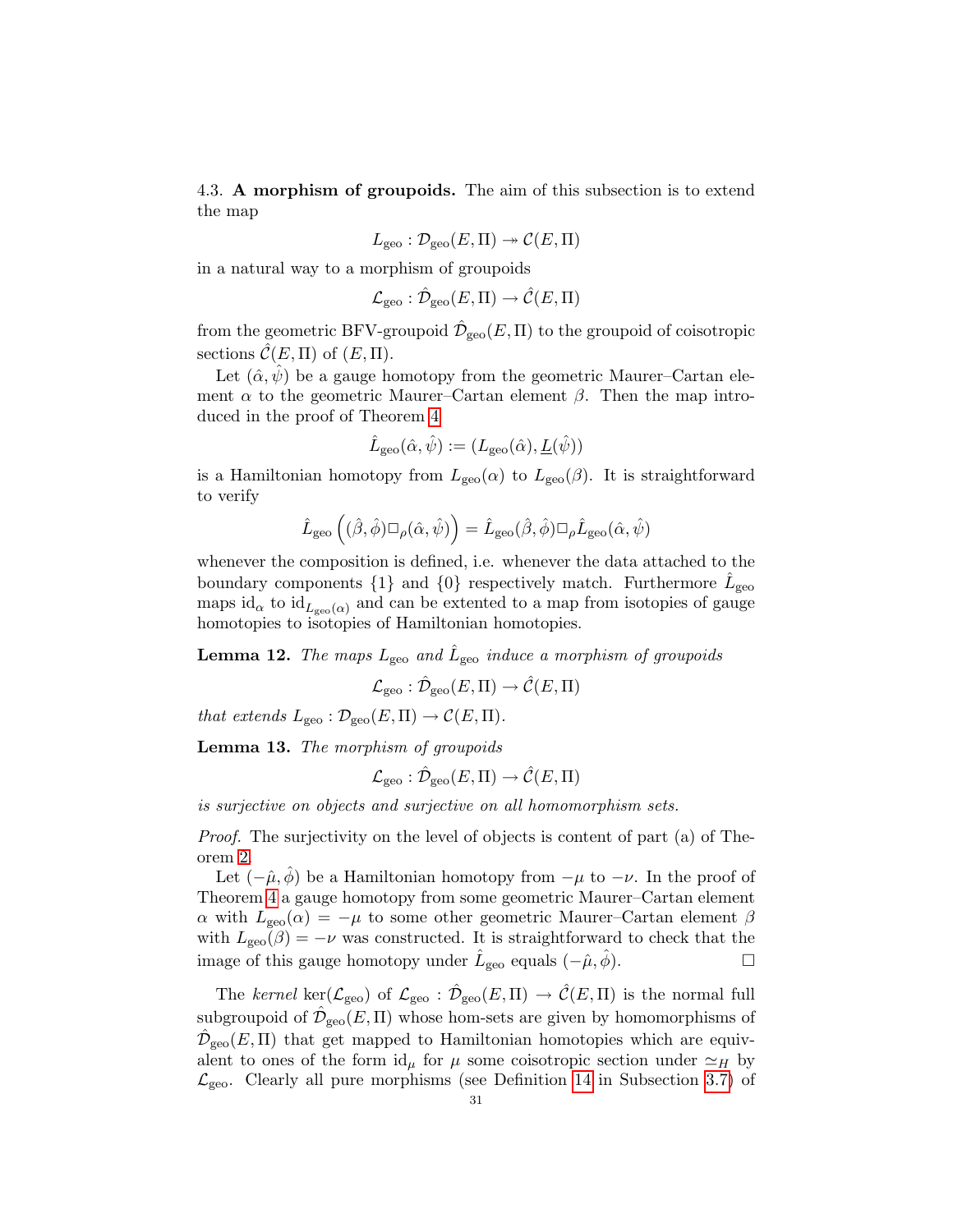<span id="page-30-0"></span>4.3. A morphism of groupoids. The aim of this subsection is to extend the map

$$
L_{\rm geo}: \mathcal{D}_{\rm geo}(E,\Pi) \to \mathcal{C}(E,\Pi)
$$

in a natural way to a morphism of groupoids

$$
\mathcal{L}_{\text{geo}} : \hat{\mathcal{D}}_{\text{geo}}(E,\Pi) \to \hat{\mathcal{C}}(E,\Pi)
$$

from the geometric BFV-groupoid  $\hat{\mathcal{D}}_{\text{geo}}(E,\Pi)$  to the groupoid of coisotropic sections  $\mathcal{C}(E,\Pi)$  of  $(E,\Pi)$ .

Let  $(\hat{\alpha}, \hat{\psi})$  be a gauge homotopy from the geometric Maurer–Cartan element  $\alpha$  to the geometric Maurer–Cartan element  $\beta$ . Then the map introduced in the proof of Theorem [4](#page-27-0)

$$
\hat{L}_{\rm geo}(\hat{\alpha}, \hat{\psi}) := (L_{\rm geo}(\hat{\alpha}), \underline{L}(\hat{\psi}))
$$

is a Hamiltonian homotopy from  $L_{\text{geo}}(\alpha)$  to  $L_{\text{geo}}(\beta)$ . It is straightforward to verify

$$
\hat{L}_{\rm geo}\left((\hat{\beta}, \hat{\phi}) \Box_{\rho}(\hat{\alpha}, \hat{\psi})\right) = \hat{L}_{\rm geo}(\hat{\beta}, \hat{\phi}) \Box_{\rho} \hat{L}_{\rm geo}(\hat{\alpha}, \hat{\psi})
$$

whenever the composition is defined, i.e. whenever the data attached to the boundary components  $\{1\}$  and  $\{0\}$  respectively match. Furthermore  $\hat{L}_{\text{geo}}$ maps id<sub>α</sub> to id<sub>L<sub>geo</sub>(α) and can be extented to a map from isotopies of gauge</sub> homotopies to isotopies of Hamiltonian homotopies.

<span id="page-30-1"></span>**Lemma 12.** The maps  $L_{\text{geo}}$  and  $\hat{L}_{\text{geo}}$  induce a morphism of groupoids

$$
\mathcal{L}_{\text{geo}}: \hat{\mathcal{D}}_{\text{geo}}(E,\Pi) \to \hat{\mathcal{C}}(E,\Pi)
$$

that extends  $L_{\text{geo}} : \mathcal{D}_{\text{geo}}(E,\Pi) \to \mathcal{C}(E,\Pi)$ .

Lemma 13. The morphism of groupoids

$$
\mathcal{L}_{\text{geo}} : \hat{\mathcal{D}}_{\text{geo}}(E,\Pi) \to \hat{\mathcal{C}}(E,\Pi)
$$

is surjective on objects and surjective on all homomorphism sets.

Proof. The surjectivity on the level of objects is content of part (a) of Theorem [2.](#page-19-0)

Let  $(-\hat{\mu}, \hat{\phi})$  be a Hamiltonian homotopy from  $-\mu$  to  $-\nu$ . In the proof of Theorem [4](#page-27-0) a gauge homotopy from some geometric Maurer–Cartan element α with  $L_{\text{geo}}(α) = -μ$  to some other geometric Maurer–Cartan element β with  $L_{\rm geo}(\beta) = -\nu$  was constructed. It is straightforward to check that the image of this gauge homotopy under  $\hat{L}_{\text{geo}}$  equals  $(-\hat{\mu}, \hat{\phi})$ .

The kernel ker( $\mathcal{L}_{\text{geo}}$ ) of  $\mathcal{L}_{\text{geo}} : \hat{\mathcal{D}}_{\text{geo}}(E,\Pi) \to \hat{\mathcal{C}}(E,\Pi)$  is the normal full subgroupoid of  $\hat{\mathcal{D}}_{\text{geo}}(E,\Pi)$  whose hom-sets are given by homomorphisms of  $\hat{\mathcal{D}}_{\text{geo}}(E,\Pi)$  that get mapped to Hamiltonian homotopies which are equivalent to ones of the form  $\mathrm{id}_{\mu}$  for  $\mu$  some coisotropic section under  $\simeq_H$  by  $\mathcal{L}_{\text{geo}}$ . Clearly all pure morphisms (see Definition [14](#page-22-1) in Subsection [3.7\)](#page-22-0) of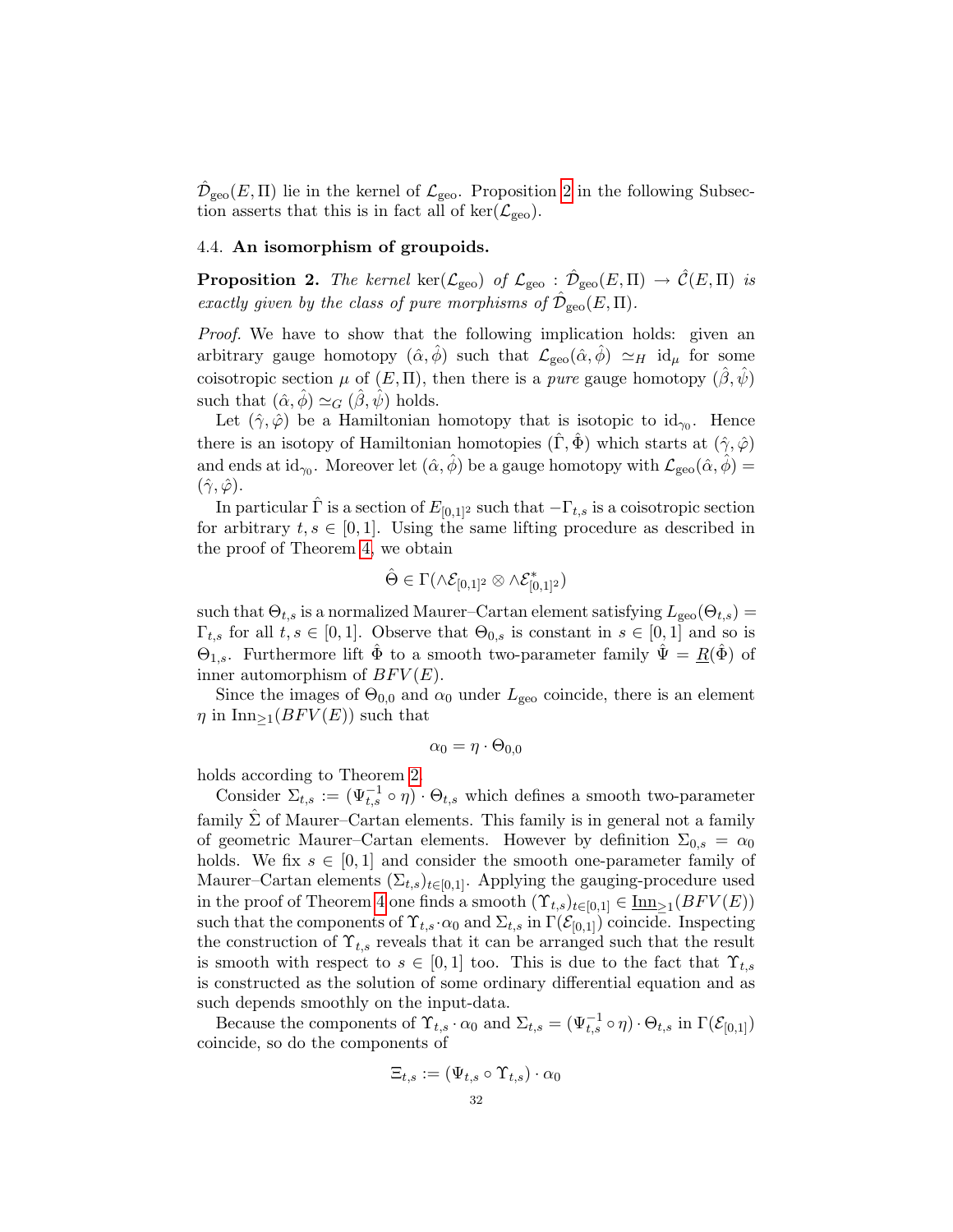$\hat{\mathcal{D}}_{\text{geo}}(E,\Pi)$  lie in the kernel of  $\mathcal{L}_{\text{geo}}$ . Proposition [2](#page-31-1) in the following Subsection asserts that this is in fact all of ker( $\mathcal{L}_{\text{geo}}$ ).

## <span id="page-31-0"></span>4.4. An isomorphism of groupoids.

<span id="page-31-1"></span>**Proposition 2.** The kernel ker( $\mathcal{L}_{\text{geo}}$ ) of  $\mathcal{L}_{\text{geo}} : \hat{\mathcal{D}}_{\text{geo}}(E,\Pi) \to \hat{\mathcal{C}}(E,\Pi)$  is exactly given by the class of pure morphisms of  $\hat{\mathcal{D}}_{\rm geo}(E,\Pi)$ .

Proof. We have to show that the following implication holds: given an arbitrary gauge homotopy  $(\hat{\alpha}, \hat{\phi})$  such that  $\mathcal{L}_{geo}(\hat{\alpha}, \hat{\phi}) \simeq_H \mathrm{id}_{\mu}$  for some coisotropic section  $\mu$  of  $(E, \Pi)$ , then there is a *pure* gauge homotopy  $(\hat{\beta}, \hat{\psi})$ such that  $(\hat{\alpha}, \hat{\phi}) \simeq_G (\hat{\beta}, \hat{\psi})$  holds.

Let  $(\hat{\gamma}, \hat{\varphi})$  be a Hamiltonian homotopy that is isotopic to  $\mathrm{id}_{\gamma_0}$ . Hence there is an isotopy of Hamiltonian homotopies  $(\Gamma, \Phi)$  which starts at  $(\hat{\gamma}, \hat{\varphi})$ and ends at id<sub> $\gamma_0$ </sub>. Moreover let  $(\hat{\alpha}, \hat{\phi})$  be a gauge homotopy with  $\mathcal{L}_{geo}(\hat{\alpha}, \hat{\phi}) =$  $(\hat{\gamma}, \hat{\varphi})$ .

In particular  $\hat{\Gamma}$  is a section of  $E_{[0,1]^2}$  such that  $-\Gamma_{t,s}$  is a coisotropic section for arbitrary  $t, s \in [0, 1]$ . Using the same lifting procedure as described in the proof of Theorem [4,](#page-27-0) we obtain

$$
\hat{\Theta} \in \Gamma(\wedge \mathcal{E}_{[0,1]^2} \otimes \wedge \mathcal{E}_{[0,1]^2}^*)
$$

such that  $\Theta_{t,s}$  is a normalized Maurer–Cartan element satisfying  $L_{\rm geo}(\Theta_{t,s}) =$  $\Gamma_{t,s}$  for all  $t, s \in [0,1]$ . Observe that  $\Theta_{0,s}$  is constant in  $s \in [0,1]$  and so is  $\Theta_{1,s}$ . Furthermore lift  $\hat{\Phi}$  to a smooth two-parameter family  $\hat{\Psi} = R(\hat{\Phi})$  of inner automorphism of  $BFV(E)$ .

Since the images of  $\Theta_{0,0}$  and  $\alpha_0$  under  $L_{\text{geo}}$  coincide, there is an element  $\eta$  in Inn<sub>>1</sub>( $BFV(E)$ ) such that

$$
\alpha_0=\eta\cdot\Theta_{0,0}
$$

holds according to Theorem [2.](#page-19-0)

Consider  $\Sigma_{t,s} := (\Psi_{t,s}^{-1} \circ \eta) \cdot \Theta_{t,s}$  which defines a smooth two-parameter family  $\hat{\Sigma}$  of Maurer–Cartan elements. This family is in general not a family of geometric Maurer–Cartan elements. However by definition  $\Sigma_{0,s} = \alpha_0$ holds. We fix  $s \in [0,1]$  and consider the smooth one-parameter family of Maurer–Cartan elements  $(\Sigma_{t,s})_{t\in[0,1]}$ . Applying the gauging-procedure used in the proof of Theorem [4](#page-27-0) one finds a smooth  $(\Upsilon_{t,s})_{t\in[0,1]}\in\underline{\mathrm{Inn}}_{\geq 1}(BFV(E))$ such that the components of  $\Upsilon_{t,s} \cdot \alpha_0$  and  $\Sigma_{t,s}$  in  $\Gamma(\mathcal{E}_{[0,1]})$  coincide. Inspecting the construction of  $\Upsilon_{t,s}$  reveals that it can be arranged such that the result is smooth with respect to  $s \in [0,1]$  too. This is due to the fact that  $\Upsilon_{t,s}$ is constructed as the solution of some ordinary differential equation and as such depends smoothly on the input-data.

Because the components of  $\Upsilon_{t,s} \cdot \alpha_0$  and  $\Sigma_{t,s} = (\Psi_{t,s}^{-1} \circ \eta) \cdot \Theta_{t,s}$  in  $\Gamma(\mathcal{E}_{[0,1]})$ coincide, so do the components of

$$
\Xi_{t,s} := (\Psi_{t,s} \circ \Upsilon_{t,s}) \cdot \alpha_0
$$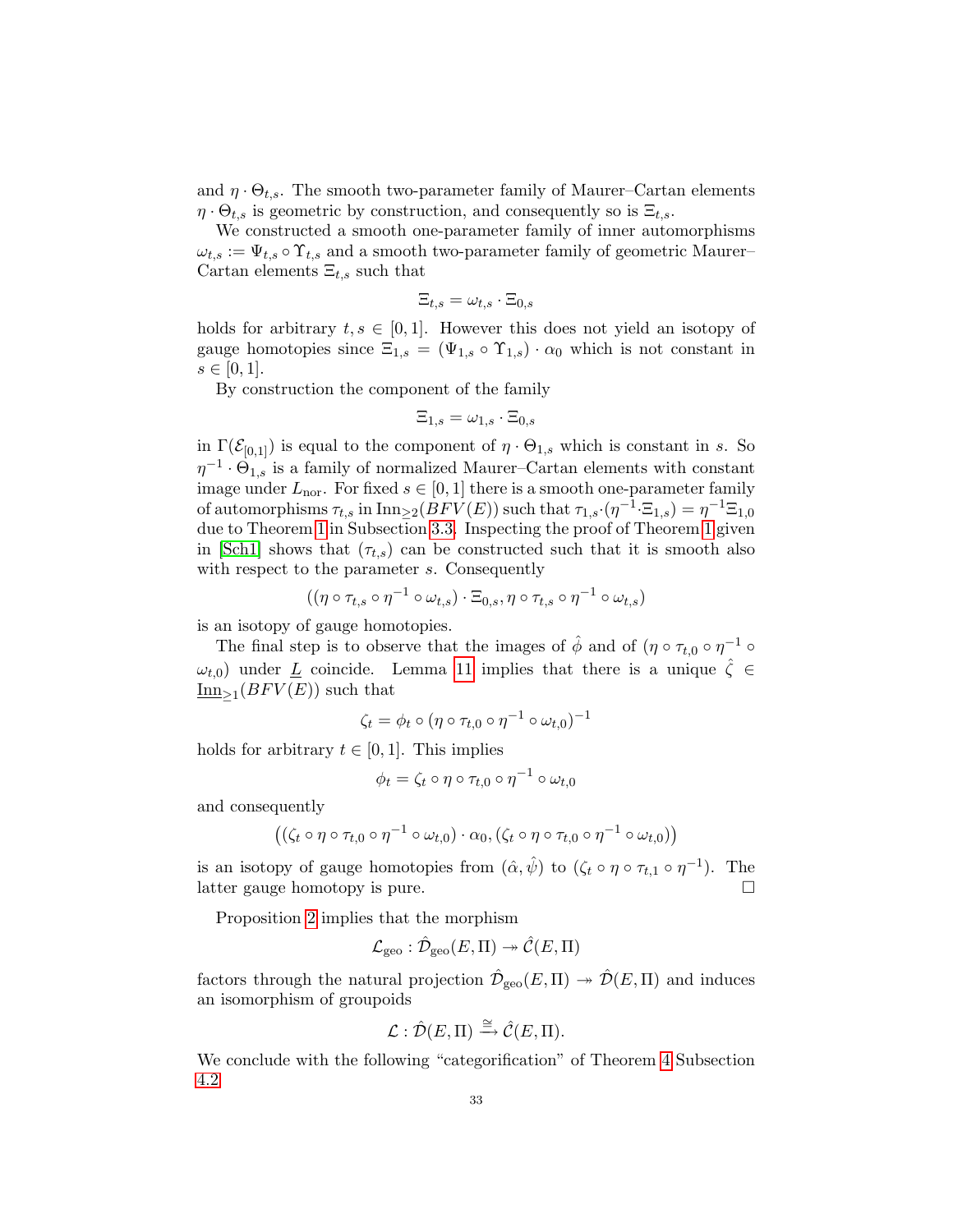and  $\eta \cdot \Theta_{t,s}$ . The smooth two-parameter family of Maurer–Cartan elements  $\eta \cdot \Theta_{t,s}$  is geometric by construction, and consequently so is  $\Xi_{t,s}$ .

We constructed a smooth one-parameter family of inner automorphisms  $\omega_{t,s} := \Psi_{t,s} \circ \Upsilon_{t,s}$  and a smooth two-parameter family of geometric Maurer– Cartan elements  $\Xi_{t,s}$  such that

$$
\Xi_{t,s}=\omega_{t,s}\cdot\Xi_{0,s}
$$

holds for arbitrary  $t, s \in [0, 1]$ . However this does not yield an isotopy of gauge homotopies since  $\Xi_{1,s} = (\Psi_{1,s} \circ \Upsilon_{1,s}) \cdot \alpha_0$  which is not constant in  $s \in [0, 1].$ 

By construction the component of the family

$$
\Xi_{1,s}=\omega_{1,s}\cdot\Xi_{0,s}
$$

in  $\Gamma(\mathcal{E}_{[0,1]})$  is equal to the component of  $\eta \cdot \Theta_{1,s}$  which is constant in s. So  $\eta^{-1} \cdot \Theta_{1,s}$  is a family of normalized Maurer–Cartan elements with constant image under  $L_{\text{nor}}$ . For fixed  $s \in [0, 1]$  there is a smooth one-parameter family of automorphisms  $\tau_{t,s}$  in  $\text{Inn}_{\geq 2}(BFV(E))$  such that  $\tau_{1,s}\cdot(\eta^{-1}\cdot\Xi_{1,s})=\eta^{-1}\Xi_{1,0}$ due to Theorem [1](#page-16-1) in Subsection [3.3.](#page-15-0) Inspecting the proof of Theorem [1](#page-16-1) given in [\[Sch1\]](#page-33-10) shows that  $(\tau_{t,s})$  can be constructed such that it is smooth also with respect to the parameter s. Consequently

$$
((\eta \circ \tau_{t,s} \circ \eta^{-1} \circ \omega_{t,s}) \cdot \Xi_{0,s}, \eta \circ \tau_{t,s} \circ \eta^{-1} \circ \omega_{t,s})
$$

is an isotopy of gauge homotopies.

The final step is to observe that the images of  $\hat{\phi}$  and of  $(\eta \circ \tau_{t,0} \circ \eta^{-1} \circ$  $\omega_{t,0}$ ) under <u>L</u> coincide. Lemma [11](#page-26-1) implies that there is a unique  $\zeta \in$  $\underline{\text{Inn}}_{\geq 1}(BFV(E))$  such that

$$
\zeta_t = \phi_t \circ (\eta \circ \tau_{t,0} \circ \eta^{-1} \circ \omega_{t,0})^{-1}
$$

holds for arbitrary  $t \in [0, 1]$ . This implies

$$
\phi_t = \zeta_t \circ \eta \circ \tau_{t,0} \circ \eta^{-1} \circ \omega_{t,0}
$$

and consequently

$$
((\zeta_t \circ \eta \circ \tau_{t,0} \circ \eta^{-1} \circ \omega_{t,0}) \cdot \alpha_0, (\zeta_t \circ \eta \circ \tau_{t,0} \circ \eta^{-1} \circ \omega_{t,0}))
$$

is an isotopy of gauge homotopies from  $(\hat{\alpha}, \hat{\psi})$  to  $(\zeta_t \circ \eta \circ \tau_{t,1} \circ \eta^{-1})$ . The latter gauge homotopy is pure.

Proposition [2](#page-31-1) implies that the morphism

$$
\mathcal{L}_{\text{geo}}: \hat{\mathcal{D}}_{\text{geo}}(E,\Pi) \twoheadrightarrow \hat{\mathcal{C}}(E,\Pi)
$$

factors through the natural projection  $\hat{\mathcal{D}}_{\text{geo}}(E,\Pi) \rightarrow \hat{\mathcal{D}}(E,\Pi)$  and induces an isomorphism of groupoids

$$
\mathcal{L} : \hat{\mathcal{D}}(E,\Pi) \xrightarrow{\cong} \hat{\mathcal{C}}(E,\Pi).
$$

<span id="page-32-0"></span>We conclude with the following "categorification" of Theorem [4](#page-27-0) Subsection [4.2](#page-26-0)